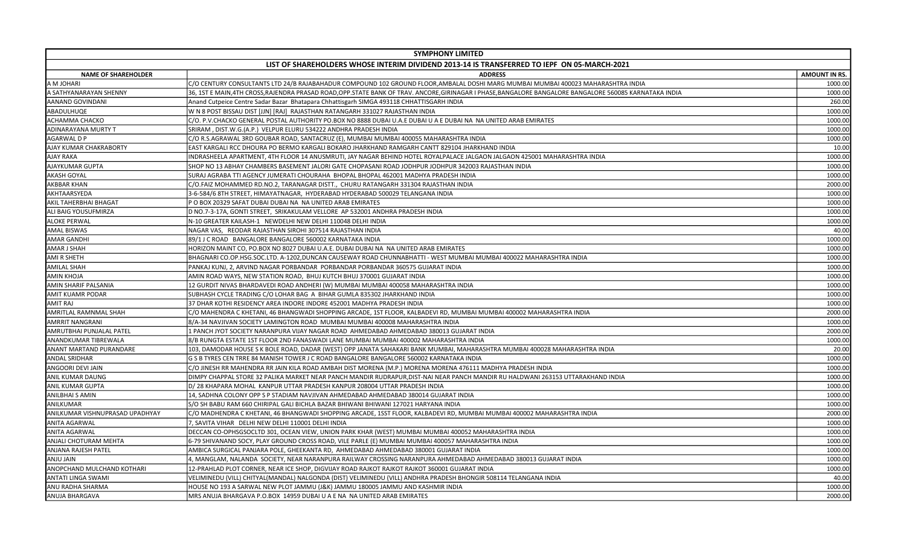| <b>SYMPHONY LIMITED</b>                                                                                                                                                       |                      |  |
|-------------------------------------------------------------------------------------------------------------------------------------------------------------------------------|----------------------|--|
| LIST OF SHAREHOLDERS WHOSE INTERIM DIVIDEND 2013-14 IS TRANSFERRED TO IEPF ON 05-MARCH-2021                                                                                   |                      |  |
| <b>NAME OF SHAREHOLDER</b><br><b>ADDRESS</b>                                                                                                                                  | <b>AMOUNT IN RS.</b> |  |
| A M JOHARI<br>C/O CENTURY CONSULTANTS LTD 24/B RAJABAHADUR COMPOUND 102 GROUND FLOOR,AMBALAL DOSHI MARG MUMBAI MUMBAI 400023 MAHARASHTRA INDIA                                | 1000.00              |  |
| 36, 1ST E MAIN,4TH CROSS,RAJENDRA PRASAD ROAD,OPP.STATE BANK OF TRAV. ANCORE,GIRINAGAR I PHASE,BANGALORE BANGALORE BANGALORE 560085 KARNATAKA INDIA<br>A SATHYANARAYAN SHENNY | 1000.00              |  |
| AANAND GOVINDANI<br>Anand Cutpeice Centre Sadar Bazar Bhatapara Chhattisgarh SIMGA 493118 CHHATTISGARH INDIA                                                                  | 260.00               |  |
| ABADULHUQE<br>W N 8 POST BISSAU DIST [JJN] [RAJ] RAJASTHAN RATANGARH 331027 RAJASTHAN INDIA                                                                                   | 1000.00              |  |
| ACHAMMA CHACKO<br>C/O. P.V.CHACKO GENERAL POSTAL AUTHORITY PO.BOX NO 8888 DUBAI U.A.E DUBAI U A E DUBAI NA NA UNITED ARAB EMIRATES                                            | 1000.00              |  |
| ADINARAYANA MURTY T<br>SRIRAM, DIST.W.G.(A.P.) VELPUR ELURU 534222 ANDHRA PRADESH INDIA                                                                                       | 1000.00              |  |
| AGARWAL D P<br>C/O R.S.AGRAWAL 3RD GOUBAR ROAD, SANTACRUZ (E), MUMBAI MUMBAI 400055 MAHARASHTRA INDIA                                                                         | 1000.00              |  |
| AJAY KUMAR CHAKRABORTY<br>EAST KARGALI RCC DHOURA PO BERMO KARGALI BOKARO JHARKHAND RAMGARH CANTT 829104 JHARKHAND INDIA                                                      | 10.00                |  |
| AJAY RAKA<br>INDRASHEELA APARTMENT, 4TH FLOOR 14 ANUSMRUTI, JAY NAGAR BEHIND HOTEL ROYALPALACE JALGAON JALGAON 425001 MAHARASHTRA INDIA                                       | 1000.00              |  |
| AJAYKUMAR GUPTA<br>SHOP NO 13 ABHAY CHAMBERS BASEMENT JALORI GATE CHOPASANI ROAD JODHPUR JODHPUR 342003 RAJASTHAN INDIA                                                       | 1000.00              |  |
| AKASH GOYAL<br>SURAJ AGRABA TTI AGENCY JUMERATI CHOURAHA BHOPAL BHOPAL 462001 MADHYA PRADESH INDIA                                                                            | 1000.00              |  |
| AKBBAR KHAN<br>C/O.FAIZ MOHAMMED RD.NO.2, TARANAGAR DISTT., CHURU RATANGARH 331304 RAJASTHAN INDIA                                                                            | 2000.00              |  |
| AKHTAARSYEDA<br>3-6-584/6 8TH STREET, HIMAYATNAGAR, HYDERABAD HYDERABAD 500029 TELANGANA INDIA                                                                                | 1000.00              |  |
| AKIL TAHERBHAI BHAGAT<br>P O BOX 20329 SAFAT DUBAI DUBAI NA NA UNITED ARAB EMIRATES                                                                                           | 1000.00              |  |
| ALI BAIG YOUSUFMIRZA<br>D NO.7-3-17A, GONTI STREET, SRIKAKULAM VELLORE AP 532001 ANDHRA PRADESH INDIA                                                                         | 1000.00              |  |
| <b>ALOKE PERWAL</b><br>N-10 GREATER KAILASH-1 NEWDELHI NEW DELHI 110048 DELHI INDIA                                                                                           | 1000.00              |  |
| AMAL BISWAS<br>NAGAR VAS, REODAR RAJASTHAN SIROHI 307514 RAJASTHAN INDIA                                                                                                      | 40.00                |  |
| <b>AMAR GANDHI</b><br>89/1 J C ROAD BANGALORE BANGALORE 560002 KARNATAKA INDIA                                                                                                | 1000.00              |  |
| AMAR J SHAH<br>HORIZON MAINT CO, PO.BOX NO 8027 DUBAI U.A.E. DUBAI DUBAI NA NA UNITED ARAB EMIRATES                                                                           | 1000.00              |  |
| <b>AMI R SHETH</b><br>BHAGNARI CO.OP.HSG.SOC.LTD. A-1202,DUNCAN CAUSEWAY ROAD CHUNNABHATTI - WEST MUMBAI MUMBAI 400022 MAHARASHTRA INDIA                                      | 1000.00              |  |
| AMILAL SHAH<br>PANKAJ KUNJ, 2, ARVIND NAGAR PORBANDAR PORBANDAR PORBANDAR 360575 GUJARAT INDIA                                                                                | 1000.00              |  |
| AMIN KHOJA<br>AMIN ROAD WAYS, NEW STATION ROAD, BHUJ KUTCH BHUJ 370001 GUJARAT INDIA                                                                                          | 1000.00              |  |
| AMIN SHARIF PALSANIA<br>12 GURDIT NIVAS BHARDAVEDI ROAD ANDHERI (W) MUMBAI MUMBAI 400058 MAHARASHTRA INDIA                                                                    | 1000.00              |  |
| AMIT KUAMR PODAR<br>SUBHASH CYCLE TRADING C/O LOHAR BAG A BIHAR GUMLA 835302 JHARKHAND INDIA                                                                                  | 1000.00              |  |
| 37 DHAR KOTHI RESIDENCY AREA INDORE INDORE 452001 MADHYA PRADESH INDIA<br>AMIT RAJ                                                                                            | 1000.00              |  |
| AMRITLAL RAMNMAL SHAH<br>C/O MAHENDRA C KHETANI, 46 BHANGWADI SHOPPING ARCADE, 1ST FLOOR, KALBADEVI RD, MUMBAI MUMBAI 400002 MAHARASHTRA INDIA                                | 2000.00              |  |
| <b>AMRRIT NANGRANI</b><br>8/A-34 NAVJIVAN SOCIETY LAMINGTON ROAD MUMBAI MUMBAI 400008 MAHARASHTRA INDIA                                                                       | 1000.00              |  |
| AMRUTBHAI PUNJALAL PATEL<br>1 PANCH JYOT SOCIETY NARANPURA VIJAY NAGAR ROAD AHMEDABAD AHMEDABAD 380013 GUJARAT INDIA                                                          | 2000.00              |  |
| ANANDKUMAR TIBREWALA<br>8/B RUNGTA ESTATE 1ST FLOOR 2ND FANASWADI LANE MUMBAI MUMBAI 400002 MAHARASHTRA INDIA                                                                 | 1000.00              |  |
| ANANT MARTAND PURANDARE<br>103, DAMODAR HOUSE S K BOLE ROAD, DADAR (WEST) OPP JANATA SAHAKARI BANK MUMBAI, MAHARASHTRA MUMBAI 400028 MAHARASHTRA INDIA                        | 20.00                |  |
| ANDAL SRIDHAR<br>G S B TYRES CEN TRRE 84 MANISH TOWER J C ROAD BANGALORE BANGALORE 560002 KARNATAKA INDIA                                                                     | 1000.00              |  |
| ANGOORI DEVI JAIN<br>C/O JINESH RR MAHENDRA RR JAIN KILA ROAD AMBAH DIST MORENA (M.P.) MORENA MORENA 476111 MADHYA PRADESH INDIA                                              | 1000.00              |  |
| <b>ANIL KUMAR DAUNG</b><br>DIMPY CHAPPAL STORE 32 PALIKA MARKET NEAR PANCH MANDIR RUDRAPUR,DIST-NAI NEAR PANCH MANDIR RU HALDWANI 263153 UTTARAKHAND INDIA                    | 1000.00              |  |
| ANIL KUMAR GUPTA<br>D/28 KHAPARA MOHAL KANPUR UTTAR PRADESH KANPUR 208004 UTTAR PRADESH INDIA                                                                                 | 1000.00              |  |
| <b>ANILBHAI S AMIN</b><br>14, SADHNA COLONY OPP S P STADIAM NAVJIVAN AHMEDABAD AHMEDABAD 380014 GUJARAT INDIA                                                                 | 1000.00              |  |
| ANILKUMAR<br>S/O SH BABU RAM 660 CHIRIPAL GALI BICHLA BAZAR BHIWANI BHIWANI 127021 HARYANA INDIA                                                                              | 1000.00              |  |
| ANILKUMAR VISHNUPRASAD UPADHYAY<br>C/O MADHENDRA C KHETANI, 46 BHANGWADI SHOPPING ARCADE, 1SST FLOOR, KALBADEVI RD, MUMBAI MUMBAI 400002 MAHARASHTRA INDIA                    | 2000.00              |  |
| <b>ANITA AGARWAL</b><br>7, SAVITA VIHAR DELHI NEW DELHI 110001 DELHI INDIA                                                                                                    | 1000.00              |  |
| <b>ANITA AGARWAL</b><br>DECCAN CO-OPHSGSOCLTD 301, OCEAN VIEW, UNION PARK KHAR (WEST) MUMBAI MUMBAI 400052 MAHARASHTRA INDIA                                                  | 1000.00              |  |
| ANJALI CHOTURAM MEHTA<br>6-79 SHIVANAND SOCY, PLAY GROUND CROSS ROAD, VILE PARLE (E) MUMBAI MUMBAI 400057 MAHARASHTRA INDIA                                                   | 1000.00              |  |
| ANJANA RAJESH PATEL<br>AMBICA SURGICAL PANJARA POLE, GHEEKANTA RD, AHMEDABAD AHMEDABAD 380001 GUJARAT INDIA                                                                   | 1000.00              |  |
| ANJU JAIN<br>4, MANGLAM, NALANDA SOCIETY, NEAR NARANPURA RAILWAY CROSSING NARANPURA AHMEDABAD AHMEDABAD 380013 GUJARAT INDIA                                                  | 1000.00              |  |
| ANOPCHAND MULCHAND KOTHARI<br>12-PRAHLAD PLOT CORNER, NEAR ICE SHOP, DIGVIJAY ROAD RAJKOT RAJKOT RAJKOT 360001 GUJARAT INDIA                                                  | 1000.00              |  |
| ANTATI LINGA SWAMI<br>VELIMINEDU (VILL) CHITYAL(MANDAL) NALGONDA (DIST) VELIMINEDU (VILL) ANDHRA PRADESH BHONGIR 508114 TELANGANA INDIA                                       | 40.00                |  |
| ANU RADHA SHARMA<br>HOUSE NO 193 A SARWAL NEW PLOT JAMMU (J&K) JAMMU 180005 JAMMU AND KASHMIR INDIA                                                                           | 1000.00              |  |
| <b>ANUJA BHARGAVA</b><br>MRS ANUJA BHARGAVA P.O.BOX 14959 DUBAI U A E NA NA UNITED ARAB EMIRATES                                                                              | 2000.00              |  |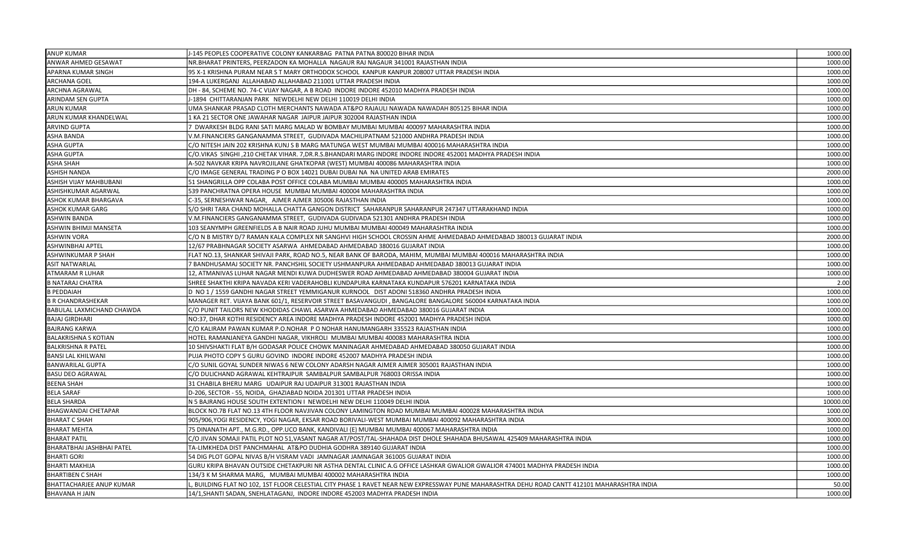| <b>ANUP KUMAR</b>               | J-145 PEOPLES COOPERATIVE COLONY KANKARBAG PATNA PATNA 800020 BIHAR INDIA                                                                     | 1000.00  |
|---------------------------------|-----------------------------------------------------------------------------------------------------------------------------------------------|----------|
| ANWAR AHMED GESAWAT             | NR.BHARAT PRINTERS, PEERZADON KA MOHALLA NAGAUR RAJ NAGAUR 341001 RAJASTHAN INDIA                                                             | 1000.00  |
| APARNA KUMAR SINGH              | 95 X-1 KRISHNA PURAM NEAR S T MARY ORTHODOX SCHOOL KANPUR KANPUR 208007 UTTAR PRADESH INDIA                                                   | 1000.00  |
| ARCHANA GOEL                    | 194-A LUKERGANJ ALLAHABAD ALLAHABAD 211001 UTTAR PRADESH INDIA                                                                                | 1000.00  |
| <b>ARCHNA AGRAWAL</b>           | DH - 84, SCHEME NO. 74-C VIJAY NAGAR, A B ROAD INDORE INDORE 452010 MADHYA PRADESH INDIA                                                      | 1000.00  |
| ARINDAM SEN GUPTA               | J-1894 CHITTARANJAN PARK NEWDELHI NEW DELHI 110019 DELHI INDIA                                                                                | 1000.00  |
| ARUN KUMAR                      | UMA SHANKAR PRASAD CLOTH MERCHANTS NAWADA AT&PO RAJAULI NAWADA NAWADAH 805125 BIHAR INDIA                                                     | 1000.00  |
| ARUN KUMAR KHANDELWAL           | 1 KA 21 SECTOR ONE JAWAHAR NAGAR JAIPUR JAIPUR 302004 RAJASTHAN INDIA                                                                         | 1000.00  |
| ARVIND GUPTA                    | 7 DWARKESH BLDG RANI SATI MARG MALAD W BOMBAY MUMBAI MUMBAI 400097 MAHARASHTRA INDIA                                                          | 1000.00  |
| ASHA BANDA                      | V.M.FINANCIERS GANGANAMMA STREET, GUDIVADA MACHILIPATNAM 521000 ANDHRA PRADESH INDIA                                                          | 1000.00  |
| ASHA GUPTA                      | C/O NITESH JAIN 202 KRISHNA KUNJ S B MARG MATUNGA WEST MUMBAI MUMBAI 400016 MAHARASHTRA INDIA                                                 | 1000.00  |
| <b>ASHA GUPTA</b>               | C/O.VIKAS SINGHI ,210 CHETAK VIHAR. 7,DR.R.S.BHANDARI MARG INDORE INDORE INDORE 452001 MADHYA PRADESH INDIA                                   | 1000.00  |
| ASHA SHAH                       | A-502 NAVKAR KRIPA NAVROJILANE GHATKOPAR (WEST) MUMBAI 400086 MAHARASHTRA INDIA                                                               | 1000.00  |
| <b>ASHISH NANDA</b>             | C/O IMAGE GENERAL TRADING P O BOX 14021 DUBAI DUBAI NA NA UNITED ARAB EMIRATES                                                                | 2000.00  |
| ASHISH VIJAY MAHBUBANI          | 51 SHANGRILLA OPP COLABA POST OFFICE COLABA MUMBAI MUMBAI 400005 MAHARASHTRA INDIA                                                            | 1000.00  |
| ASHISHKUMAR AGARWAL             | 539 PANCHRATNA OPERA HOUSE MUMBAI MUMBAI 400004 MAHARASHTRA INDIA                                                                             | 1000.00  |
| ASHOK KUMAR BHARGAVA            | C-35, SERNESHWAR NAGAR, AJMER AJMER 305006 RAJASTHAN INDIA                                                                                    | 1000.00  |
| ASHOK KUMAR GARG                | S/O SHRI TARA CHAND MOHALLA CHATTA GANGON DISTRICT SAHARANPUR SAHARANPUR 247347 UTTARAKHAND INDIA                                             | 1000.00  |
| <b>ASHWIN BANDA</b>             | V.M.FINANCIERS GANGANAMMA STREET, GUDIVADA GUDIVADA 521301 ANDHRA PRADESH INDIA                                                               | 1000.00  |
| ASHWIN BHIMJI MANSETA           | 103 SEANYMPH GREENFIELDS A B NAIR ROAD JUHU MUMBAI MUMBAI 400049 MAHARASHTRA INDIA                                                            | 1000.00  |
| <b>ASHWIN VORA</b>              | C/O N B MISTRY D/7 RAMAN KALA COMPLEX NR SANGHVI HIGH SCHOOL CROSSIN AHME AHMEDABAD AHMEDABAD 380013 GUJARAT INDIA                            | 2000.00  |
| ASHWINBHAI APTEL                | 12/67 PRABHNAGAR SOCIETY ASARWA AHMEDABAD AHMEDABAD 380016 GUJARAT INDIA                                                                      | 1000.00  |
| ASHWINKUMAR P SHAH              | FLAT NO.13, SHANKAR SHIVAJI PARK, ROAD NO.5, NEAR BANK OF BARODA, MAHIM, MUMBAI MUMBAI 400016 MAHARASHTRA INDIA                               | 1000.00  |
| ASIT NATWARLAL                  | 7 BANDHUSAMAJ SOCIETY NR. PANCHSHIL SOCIETY USHMANPURA AHMEDABAD AHMEDABAD 380013 GUJARAT INDIA                                               | 1000.00  |
| ATMARAM R LUHAR                 | 12, ATMANIVAS LUHAR NAGAR MENDI KUWA DUDHESWER ROAD AHMEDABAD AHMEDABAD 380004 GUJARAT INDIA                                                  | 1000.00  |
| <b>B NATARAJ CHATRA</b>         | SHREE SHAKTHI KRIPA NAVADA KERI VADERAHOBLI KUNDAPURA KARNATAKA KUNDAPUR 576201 KARNATAKA INDIA                                               | 2.00     |
| <b>B PEDDAIAH</b>               | D NO 1 / 1559 GANDHI NAGAR STREET YEMMIGANUR KURNOOL DIST ADONI 518360 ANDHRA PRADESH INDIA                                                   | 1000.00  |
| <b>B R CHANDRASHEKAR</b>        | MANAGER RET. VIJAYA BANK 601/1, RESERVOIR STREET BASAVANGUDI, BANGALORE BANGALORE 560004 KARNATAKA INDIA                                      | 1000.00  |
| BABULAL LAXMICHAND CHAWDA       | C/O PUNIT TAILORS NEW KHODIDAS CHAWL ASARWA AHMEDABAD AHMEDABAD 380016 GUJARAT INDIA                                                          | 1000.00  |
| BAJAJ GIRDHARI                  | NO:37, DHAR KOTHI RESIDENCY AREA INDORE MADHYA PRADESH INDORE 452001 MADHYA PRADESH INDIA                                                     | 1000.00  |
| <b>BAJRANG KARWA</b>            | C/O KALIRAM PAWAN KUMAR P.O.NOHAR P O NOHAR HANUMANGARH 335523 RAJASTHAN INDIA                                                                | 1000.00  |
| BALAKRISHNA S KOTIAN            | HOTEL RAMANJANEYA GANDHI NAGAR, VIKHROLI MUMBAI MUMBAI 400083 MAHARASHTRA INDIA                                                               | 1000.00  |
| <b>BALKRISHNA R PATEL</b>       | 10 SHIVSHAKTI FLAT B/H GODASAR POLICE CHOWK MANINAGAR AHMEDABAD AHMEDABAD 380050 GUJARAT INDIA                                                | 1000.00  |
| BANSI LAL KHILWANI              | PUJA PHOTO COPY 5 GURU GOVIND INDORE INDORE 452007 MADHYA PRADESH INDIA                                                                       | 1000.00  |
| <b>BANWARILAL GUPTA</b>         | C/O SUNIL GOYAL SUNDER NIWAS 6 NEW COLONY ADARSH NAGAR AJMER AJMER 305001 RAJASTHAN INDIA                                                     | 1000.00  |
| BASU DEO AGRAWAL                | C/O DULICHAND AGRAWAL KEHTRAJPUR SAMBALPUR SAMBALPUR 768003 ORISSA INDIA                                                                      | 1000.00  |
| <b>BEENA SHAH</b>               | 31 CHABILA BHERU MARG UDAIPUR RAJ UDAIPUR 313001 RAJASTHAN INDIA                                                                              | 1000.00  |
| <b>BELA SARAF</b>               | D-206, SECTOR - 55, NOIDA, GHAZIABAD NOIDA 201301 UTTAR PRADESH INDIA                                                                         | 1000.00  |
| <b>BELA SHARDA</b>              | N 5 BAJRANG HOUSE SOUTH EXTENTION I NEWDELHI NEW DELHI 110049 DELHI INDIA                                                                     | 10000.00 |
| <b>BHAGWANDAI CHETAPAR</b>      | BLOCK NO.7B FLAT NO.13 4TH FLOOR NAVJIVAN COLONY LAMINGTON ROAD MUMBAI MUMBAI 400028 MAHARASHTRA INDIA                                        | 1000.00  |
| <b>BHARAT C SHAH</b>            | 905/906,YOGI RESIDENCY, YOGI NAGAR, EKSAR ROAD BORIVALI-WEST MUMBAI MUMBAI 400092 MAHARASHTRA INDIA                                           | 3000.00  |
| <b>BHARAT MEHTA</b>             | 75 DINANATH APT., M.G.RD., OPP.UCO BANK, KANDIVALI (E) MUMBAI MUMBAI 400067 MAHARASHTRA INDIA                                                 | 1000.00  |
| <b>BHARAT PATIL</b>             | C/O JIVAN SOMAJI PATIL PLOT NO 51,VASANT NAGAR AT/POST/TAL-SHAHADA DIST DHOLE SHAHADA BHUSAWAL 425409 MAHARASHTRA INDIA                       | 1000.00  |
| BHARATBHAI JASHBHAI PATEL       | TA-LIMKHEDA DIST PANCHMAHAL AT&PO DUDHIA GODHRA 389140 GUJARAT INDIA                                                                          | 1000.00  |
| <b>BHARTI GORI</b>              | 54 DIG PLOT GOPAL NIVAS B/H VISRAM VADI JAMNAGAR JAMNAGAR 361005 GUJARAT INDIA                                                                | 1000.00  |
| <b>BHARTI MAKHIJA</b>           | GURU KRIPA BHAVAN OUTSIDE CHETAKPURI NR ASTHA DENTAL CLINIC A.G OFFICE LASHKAR GWALIOR GWALIOR 474001 MADHYA PRADESH INDIA                    | 1000.00  |
| <b>BHARTIBEN C SHAH</b>         | 134/3 K M SHARMA MARG, MUMBAI MUMBAI 400002 MAHARASHTRA INDIA                                                                                 | 1000.00  |
| <b>BHATTACHARJEE ANUP KUMAR</b> | L, BUILDING FLAT NO 102, 1ST FLOOR CELESTIAL CITY PHASE 1 RAVET NEAR NEW EXPRESSWAY PUNE MAHARASHTRA DEHU ROAD CANTT 412101 MAHARASHTRA INDIA | 50.00    |
| <b>BHAVANA H JAIN</b>           | 14/1, SHANTI SADAN, SNEHLATAGANJ, INDORE INDORE 452003 MADHYA PRADESH INDIA                                                                   | 1000.00  |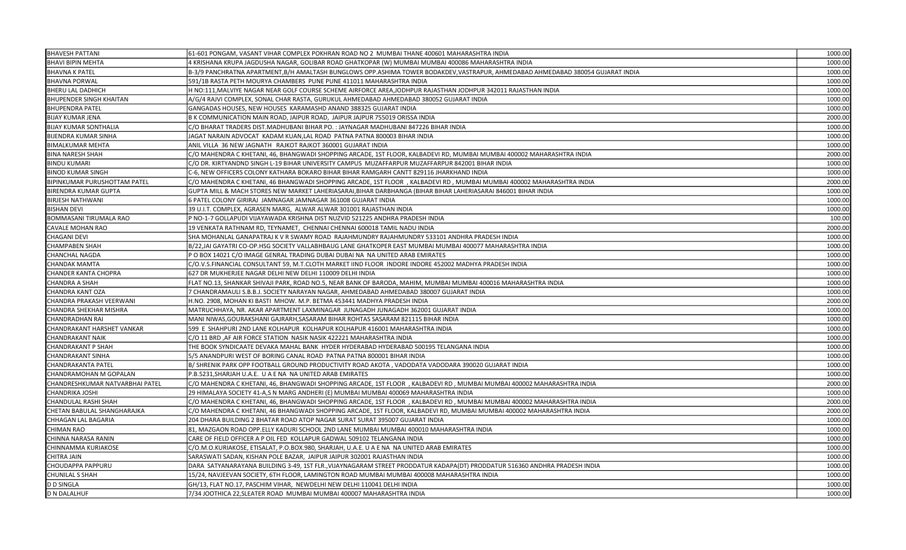| <b>BHAVESH PATTANI</b>          | 61-601 PONGAM, VASANT VIHAR COMPLEX POKHRAN ROAD NO 2 MUMBAI THANE 400601 MAHARASHTRA INDIA                                    | 1000.00 |
|---------------------------------|--------------------------------------------------------------------------------------------------------------------------------|---------|
| <b>BHAVI BIPIN MEHTA</b>        | 4 KRISHANA KRUPA JAGDUSHA NAGAR, GOLIBAR ROAD GHATKOPAR (W) MUMBAI MUMBAI 400086 MAHARASHTRA INDIA                             | 1000.00 |
| <b>BHAVNA K PATEL</b>           | B-3/9 PANCHRATNA APARTMENT,B/H AMALTASH BUNGLOWS OPP.ASHIMA TOWER BODAKDEV,VASTRAPUR, AHMEDABAD AHMEDABAD 380054 GUJARAT INDIA | 1000.00 |
| <b>BHAVNA PORWAL</b>            | 591/1B RASTA PETH MOURYA CHAMBERS PUNE PUNE 411011 MAHARASHTRA INDIA                                                           | 1000.00 |
| BHERU LAL DADHICH               | H NO:111, MALVIYE NAGAR NEAR GOLF COURSE SCHEME AIRFORCE AREA, JODHPUR RAJASTHAN JODHPUR 342011 RAJASTHAN INDIA                | 1000.00 |
| <b>BHUPENDER SINGH KHAITAN</b>  | A/G/4 RAJVI COMPLEX, SONAL CHAR RASTA, GURUKUL AHMEDABAD AHMEDABAD 380052 GUJARAT INDIA                                        | 1000.00 |
| <b>BHUPENDRA PATEL</b>          | GANGADAS HOUSES, NEW HOUSES KARAMASHD ANAND 388325 GUJARAT INDIA                                                               | 1000.00 |
| <b>BIJAY KUMAR JENA</b>         | B K COMMUNICATION MAIN ROAD, JAIPUR ROAD, JAIPUR JAJPUR 755019 ORISSA INDIA                                                    | 2000.00 |
| <b>BIJAY KUMAR SONTHALIA</b>    | C/O BHARAT TRADERS DIST.MADHUBANI BIHAR PO. : JAYNAGAR MADHUBANI 847226 BIHAR INDIA                                            | 1000.00 |
| <b>BIJENDRA KUMAR SINHA</b>     | JAGAT NARAIN ADVOCAT KADAM KUAN,LAL ROAD PATNA PATNA 800003 BIHAR INDIA                                                        | 1000.00 |
| BIMALKUMAR MEHTA                | ANIL VILLA 36 NEW JAGNATH RAJKOT RAJKOT 360001 GUJARAT INDIA                                                                   | 1000.00 |
| <b>BINA NARESH SHAH</b>         | C/O MAHENDRA C KHETANI, 46, BHANGWADI SHOPPING ARCADE, 1ST FLOOR, KALBADEVI RD, MUMBAI MUMBAI 400002 MAHARASHTRA INDIA         | 2000.00 |
| <b>BINDU KUMARI</b>             | C/O DR. KIRTYANDND SINGH L-19 BIHAR UNIVERSITY CAMPUS MUZAFFARPUR MUZAFFARPUR 842001 BIHAR INDIA                               | 1000.00 |
| <b>BINOD KUMAR SINGH</b>        | C-6, NEW OFFICERS COLONY KATHARA BOKARO BIHAR BIHAR RAMGARH CANTT 829116 JHARKHAND INDIA                                       | 1000.00 |
| BIPINKUMAR PURUSHOTTAM PATEL    | C/O MAHENDRA C KHETANI, 46 BHANGWADI SHOPPING ARCADE, 1ST FLOOR , KALBADEVI RD, MUMBAI MUMBAI 400002 MAHARASHTRA INDIA         | 2000.00 |
| BIRENDRA KUMAR GUPTA            | GUPTA MILL & MACH STORES NEW MARKET LAHERIASARAI, BIHAR DARBHANGA (BIHAR BIHAR LAHERIASARAI 846001 BIHAR INDIA                 | 1000.00 |
| <b>BIRJESH NATHWANI</b>         | 6 PATEL COLONY GIRIRAJ JAMNAGAR JAMNAGAR 361008 GUJARAT INDIA                                                                  | 1000.00 |
| <b>BISHAN DEVI</b>              | 39 U.I.T. COMPLEX, AGRASEN MARG, ALWAR ALWAR 301001 RAJASTHAN INDIA                                                            | 1000.00 |
| BOMMASANI TIRUMALA RAO          | P NO-1-7 GOLLAPUDI VIJAYAWADA KRISHNA DIST NUZVID 521225 ANDHRA PRADESH INDIA                                                  | 100.00  |
| CAVALE MOHAN RAO                | 19 VENKATA RATHNAM RD, TEYNAMET, CHENNAI CHENNAI 600018 TAMIL NADU INDIA                                                       | 2000.00 |
| <b>CHAGANI DEVI</b>             | SHA MOHANLAL GANAPATRAJ K V R SWAMY ROAD RAJAHMUNDRY RAJAHMUNDRY 533101 ANDHRA PRADESH INDIA                                   | 1000.00 |
| <b>CHAMPABEN SHAH</b>           | B/22, JAI GAYATRI CO-OP. HSG SOCIETY VALLABHBAUG LANE GHATKOPER EAST MUMBAI MUMBAI 400077 MAHARASHTRA INDIA                    | 1000.00 |
| <b>CHANCHAL NAGDA</b>           | P O BOX 14021 C/O IMAGE GENRAL TRADING DUBAI DUBAI NA NA UNITED ARAB EMIRATES                                                  | 1000.00 |
| <b>CHANDAK MAMTA</b>            | C/O.V.S.FINANCIAL CONSULTANT 59, M.T.CLOTH MARKET IIND FLOOR INDORE INDORE 452002 MADHYA PRADESH INDIA                         | 1000.00 |
| CHANDER KANTA CHOPRA            | 627 DR MUKHERJEE NAGAR DELHI NEW DELHI 110009 DELHI INDIA                                                                      | 1000.00 |
| CHANDRA A SHAH                  | FLAT NO.13, SHANKAR SHIVAJI PARK, ROAD NO.5, NEAR BANK OF BARODA, MAHIM, MUMBAI MUMBAI 400016 MAHARASHTRA INDIA                | 1000.00 |
| <b>CHANDRA KANT OZA</b>         | 7 CHANDRAMAULI S.B.B.J. SOCIETY NARAYAN NAGAR, AHMEDABAD AHMEDABAD 380007 GUJARAT INDIA                                        | 1000.00 |
| CHANDRA PRAKASH VEERWANI        | H.NO. 2908, MOHAN KI BASTI MHOW. M.P. BETMA 453441 MADHYA PRADESH INDIA                                                        | 2000.00 |
| CHANDRA SHEKHAR MISHRA          | MATRUCHHAYA, NR. AKAR APARTMENT LAXMINAGAR JUNAGADH JUNAGADH 362001 GUJARAT INDIA                                              | 1000.00 |
| CHANDRADHAN RAI                 | MANI NIWAS, GOURAKSHANI GAJRARH, SASARAM BIHAR ROHTAS SASARAM 821115 BIHAR INDIA                                               | 1000.00 |
| CHANDRAKANT HARSHET VANKAR      | 599 E SHAHPURI 2ND LANE KOLHAPUR KOLHAPUR KOLHAPUR 416001 MAHARASHTRA INDIA                                                    | 1000.00 |
| CHANDRAKANT NAIK                | C/O 11 BRD, AF AIR FORCE STATION NASIK NASIK 422221 MAHARASHTRA INDIA                                                          | 1000.00 |
| CHANDRAKANT P SHAH              | THE BOOK SYNDICAATE DEVAKA MAHAL BANK HYDER HYDERABAD HYDERABAD 500195 TELANGANA INDIA                                         | 1000.00 |
| <b>CHANDRAKANT SINHA</b>        | 5/5 ANANDPURI WEST OF BORING CANAL ROAD PATNA PATNA 800001 BIHAR INDIA                                                         | 1000.00 |
| <b>CHANDRAKANTA PATEL</b>       | B/ SHRENIK PARK OPP FOOTBALL GROUND PRODUCTIVITY ROAD AKOTA , VADODATA VADODARA 390020 GUJARAT INDIA                           | 1000.00 |
| CHANDRAMOHAN M GOPALAN          | P.B.5231, SHARJAH U.A.E. U A E NA NA UNITED ARAB EMIRATES                                                                      | 1000.00 |
| CHANDRESHKUMAR NATVARBHAI PATEL | C/O MAHENDRA C KHETANI, 46, BHANGWADI SHOPPING ARCADE, 1ST FLOOR), KALBADEVI RD, MUMBAI MUMBAI 400002 MAHARASHTRA INDIA        | 2000.00 |
| CHANDRIKA JOSHI                 | 29 HIMALAYA SOCIETY 41-A,S N MARG ANDHERI (E) MUMBAI MUMBAI 400069 MAHARASHTRA INDIA                                           | 1000.00 |
| CHANDULAL RASHI SHAH            | C/O MAHENDRA C KHETANI, 46, BHANGWADI SHOPPING ARCADE, 1ST FLOOR , KALBADEVI RD, MUMBAI MUMBAI 400002 MAHARASHTRA INDIA        | 2000.00 |
| CHETAN BABULAL SHANGHARAJKA     | C/O MAHENDRA C KHETANI, 46 BHANGWADI SHOPPING ARCADE, 1ST FLOOR, KALBADEVI RD, MUMBAI MUMBAI 400002 MAHARASHTRA INDIA          | 2000.00 |
| CHHAGAN LAL BAGARIA             | 204 DHARA BUILDING 2 BHATAR ROAD ATOP NAGAR SURAT SURAT 395007 GUJARAT INDIA                                                   | 1000.00 |
| <b>CHIMAN RAO</b>               | 81, MAZGAON ROAD OPP.ELLY KADURI SCHOOL 2ND LANE MUMBAI MUMBAI 400010 MAHARASHTRA INDIA                                        | 1000.00 |
| CHINNA NARASA RANIN             | CARE OF FIELD OFFICER A P OIL FED KOLLAPUR GADWAL 509102 TELANGANA INDIA                                                       | 1000.00 |
| CHINNAMMA KURIAKOSE             | C/O.M.O.KURIAKOSE, ETISALAT, P.O.BOX.980, SHARJAH, U.A.E. U A E NA NA UNITED ARAB EMIRATES                                     | 1000.00 |
| CHITRA JAIN                     | SARASWATI SADAN, KISHAN POLE BAZAR, JAIPUR JAIPUR 302001 RAJASTHAN INDIA                                                       | 1000.00 |
| CHOUDAPPA PAPPURU               | DARA SATYANARAYANA BUILDING 3-49, 1ST FLR.,VIJAYNAGARAM STREET PRODDATUR KADAPA(DT) PRODDATUR 516360 ANDHRA PRADESH INDIA      | 1000.00 |
| CHUNILAL S SHAH                 | 15/24, NAVJEEVAN SOCIETY, 6TH FLOOR, LAMINGTON ROAD MUMBAI MUMBAI 400008 MAHARASHTRA INDIA                                     | 1000.00 |
| <b>D D SINGLA</b>               | GH/13, FLAT NO.17, PASCHIM VIHAR, NEWDELHI NEW DELHI 110041 DELHI INDIA                                                        | 1000.00 |
| <b>D N DALALHUF</b>             | 7/34 JOOTHICA 22, SLEATER ROAD MUMBAI MUMBAI 400007 MAHARASHTRA INDIA                                                          | 1000.00 |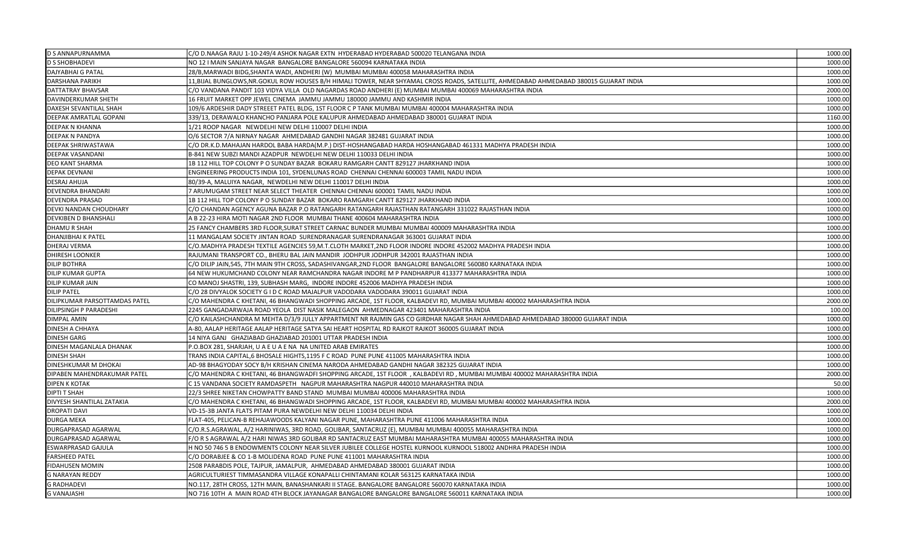| D S ANNAPURNAMMA              | C/O D.NAAGA RAJU 1-10-249/4 ASHOK NAGAR EXTN HYDERABAD HYDERABAD 500020 TELANGANA INDIA                                                  | 1000.00 |
|-------------------------------|------------------------------------------------------------------------------------------------------------------------------------------|---------|
| <b>D S SHOBHADEVI</b>         | NO 12 I MAIN SANJAYA NAGAR BANGALORE BANGALORE 560094 KARNATAKA INDIA                                                                    | 1000.00 |
| <b>DAJYABHAI G PATAL</b>      | 28/B,MARWADI BIDG,SHANTA WADI, ANDHERI (W)  MUMBAI MUMBAI 400058 MAHARASHTRA INDIA                                                       | 1000.00 |
| <b>DARSHANA PARIKH</b>        | 11, BIJAL BUNGLOWS, NR. GOKUL ROW HOUSES B/H HIMALI TOWER, NEAR SHYAMAL CROSS ROADS, SATELLITE, AHMEDABAD AHMEDABAD 380015 GUJARAT INDIA | 1000.00 |
| <b>DATTATRAY BHAVSAR</b>      | C/O VANDANA PANDIT 103 VIDYA VILLA OLD NAGARDAS ROAD ANDHERI (E) MUMBAI MUMBAI 400069 MAHARASHTRA INDIA                                  | 2000.00 |
| DAVINDERKUMAR SHETH           | 16 FRUIT MARKET OPP JEWEL CINEMA JAMMU JAMMU 180000 JAMMU AND KASHMIR INDIA                                                              | 1000.00 |
| <b>DAXESH SEVANTILAL SHAH</b> | 109/6 ARDESHIR DADY STREEET PATEL BLDG. 1ST FLOOR C P TANK MUMBAI MUMBAI 400004 MAHARASHTRA INDIA                                        | 1000.00 |
| <b>DEEPAK AMRATLAL GOPANI</b> | 339/13, DERAWALO KHANCHO PANJARA POLE KALUPUR AHMEDABAD AHMEDABAD 380001 GUJARAT INDIA                                                   | 1160.00 |
| DEEPAK N KHANNA               | 1/21 ROOP NAGAR NEWDELHI NEW DELHI 110007 DELHI INDIA                                                                                    | 1000.00 |
| DEEPAK N PANDYA               | O/6 SECTOR 7/A NIRNAY NAGAR AHMEDABAD GANDHI NAGAR 382481 GUJARAT INDIA                                                                  | 1000.00 |
| DEEPAK SHRIWASTAWA            | C/O DR.K.D.MAHAJAN HARDOL BABA HARDA(M.P.) DIST-HOSHANGABAD HARDA HOSHANGABAD 461331 MADHYA PRADESH INDIA                                | 1000.00 |
| <b>DEEPAK VASANDANI</b>       | B-841 NEW SUBZI MANDI AZADPUR NEWDELHI NEW DELHI 110033 DELHI INDIA                                                                      | 1000.00 |
| <b>DEO KANT SHARMA</b>        | 1B 112 HILL TOP COLONY P O SUNDAY BAZAR BOKARU RAMGARH CANTT 829127 JHARKHAND INDIA                                                      | 1000.00 |
| <b>DEPAK DEVNANI</b>          | ENGINEERING PRODUCTS INDIA 101, SYDENLUNAS ROAD CHENNAI CHENNAI 600003 TAMIL NADU INDIA                                                  | 1000.00 |
| DESRAJ AHUJA                  | 80/39-A, MALUIYA NAGAR, NEWDELHI NEW DELHI 110017 DELHI INDIA                                                                            | 1000.00 |
| <b>DEVENDRA BHANDARI</b>      | 7 ARUMUGAM STREET NEAR SELECT THEATER CHENNAI CHENNAI 600001 TAMIL NADU INDIA                                                            | 1000.00 |
| <b>DEVENDRA PRASAD</b>        | 1B 112 HILL TOP COLONY P O SUNDAY BAZAR BOKARO RAMGARH CANTT 829127 JHARKHAND INDIA                                                      | 1000.00 |
| DEVKI NANDAN CHOUDHARY        | C/O CHANDAN AGENCY AGUNA BAZAR P.O RATANGARH RATANGARH RAJASTHAN RATANGARH 331022 RAJASTHAN INDIA                                        | 1000.00 |
| <b>DEVKIBEN D BHANSHALI</b>   | A B 22-23 HIRA MOTI NAGAR 2ND FLOOR MUMBAI THANE 400604 MAHARASHTRA INDIA                                                                | 1000.00 |
| DHAMU R SHAH                  | 25 FANCY CHAMBERS 3RD FLOOR,SURAT STREET CARNAC BUNDER MUMBAI MUMBAI 400009 MAHARASHTRA INDIA                                            | 1000.0  |
| <b>DHANJIBHAI K PATEL</b>     | 11 MANGALAM SOCIETY JINTAN ROAD SURENDRANAGAR SURENDRANAGAR 363001 GUJARAT INDIA                                                         | 1000.00 |
| <b>DHERAJ VERMA</b>           | C/O.MADHYA PRADESH TEXTILE AGENCIES 59,M.T.CLOTH MARKET,2ND FLOOR INDORE INDORE 452002 MADHYA PRADESH INDIA                              | 1000.0  |
| <b>DHIRESH LOONKER</b>        | RAJUMANI TRANSPORT CO., BHERU BAL JAIN MANDIR JODHPUR JODHPUR 342001 RAJASTHAN INDIA                                                     | 1000.00 |
| <b>DILIP BOTHRA</b>           | C/O DILIP JAIN,545, 7TH MAIN 9TH CROSS, SADASHIVANGAR,2ND FLOOR BANGALORE BANGALORE 560080 KARNATAKA INDIA                               | 1000.00 |
| <b>DILIP KUMAR GUPTA</b>      | 64 NEW HUKUMCHAND COLONY NEAR RAMCHANDRA NAGAR INDORE M P PANDHARPUR 413377 MAHARASHTRA INDIA                                            | 1000.00 |
| <b>DILIP KUMAR JAIN</b>       | CO MANOJ SHASTRI, 139, SUBHASH MARG, INDORE INDORE 452006 MADHYA PRADESH INDIA                                                           | 1000.00 |
| <b>DILIP PATEL</b>            | C/O 28 DIVYALOK SOCIETY G I D C ROAD MAJALPUR VADODARA VADODARA 390011 GUJARAT INDIA                                                     | 1000.00 |
| DILIPKUMAR PARSOTTAMDAS PATEL | C/O MAHENDRA C KHETANI, 46 BHANGWADI SHOPPING ARCADE, 1ST FLOOR, KALBADEVI RD, MUMBAI MUMBAI 400002 MAHARASHTRA INDIA                    | 2000.00 |
| <b>DILIPSINGH P PARADESHI</b> | 2245 GANGADARWAJA ROAD YEOLA DIST NASIK MALEGAON AHMEDNAGAR 423401 MAHARASHTRA INDIA                                                     | 100.00  |
| DIMPAL AMIN                   | C/O KAILASHCHANDRA M MEHTA D/3/9 JULLY APPARTMENT NR RAJMIN GAS CO GIRDHAR NAGAR SHAH AHMEDABAD AHMEDABAD 380000 GUJARAT INDIA           | 1000.00 |
| <b>DINESH A CHHAYA</b>        | A-80, AALAP HERITAGE AALAP HERITAGE SATYA SAI HEART HOSPITAL RD RAJKOT RAJKOT 360005 GUJARAT INDIA                                       | 1000.00 |
| DINESH GARG                   | 14 NIYA GANJ GHAZIABAD GHAZIABAD 201001 UTTAR PRADESH INDIA                                                                              | 1000.00 |
| DINESH MAGANLALA DHANAK       | P.O.BOX 281, SHARJAH, U A E U A E NA NA UNITED ARAB EMIRATES                                                                             | 1000.00 |
| <b>DINESH SHAH</b>            | TRANS INDIA CAPITAL,6 BHOSALE HIGHTS,1195 F C ROAD  PUNE PUNE 411005 MAHARASHTRA INDIA                                                   | 1000.00 |
| DINESHKUMAR M DHOKAI          | AD-98 BHAGYODAY SOCY B/H KRISHAN CINEMA NARODA AHMEDABAD GANDHI NAGAR 382325 GUJARAT INDIA                                               | 1000.00 |
| DIPABEN MAHENDRAKUMAR PATEL   | C/O MAHENDRA C KHETANI, 46 BHANGWADFI SHOPPING ARCADE, 1ST FLOOR , KALBADEVI RD , MUMBAI MUMBAI 400002 MAHARASHTRA INDIA                 | 2000.00 |
| <b>DIPEN K KOTAK</b>          | C 15 VANDANA SOCIETY RAMDASPETH NAGPUR MAHARASHTRA NAGPUR 440010 MAHARASHTRA INDIA                                                       | 50.00   |
| <b>DIPTI T SHAH</b>           | 22/3 SHREE NIKETAN CHOWPATTY BAND STAND MUMBAI MUMBAI 400006 MAHARASHTRA INDIA                                                           | 1000.00 |
| DIVYESH SHANTILAL ZATAKIA     | C/O MAHENDRA C KHETANI, 46 BHANGWADI SHOPPING ARCADE, 1ST FLOOR, KALBADEVI RD, MUMBAI MUMBAI 400002 MAHARASHTRA INDIA                    | 2000.00 |
| <b>DROPATI DAVI</b>           | VD-15-3B JANTA FLATS PITAM PURA NEWDELHI NEW DELHI 110034 DELHI INDIA                                                                    | 1000.00 |
| <b>DURGA MEKA</b>             | FLAT-405, PELICAN-B REHAJAWOODS KALYANI NAGAR PUNE, MAHARASHTRA PUNE 411006 MAHARASHTRA INDIA                                            | 1000.0  |
| DURGAPRASAD AGARWAL           | C/O.R.S.AGRAWAL, A/2 HARINIWAS, 3RD ROAD, GOLIBAR, SANTACRUZ (E), MUMBAI MUMBAI 400055 MAHARASHTRA INDIA                                 | 1000.00 |
| DURGAPRASAD AGARWAI           | F/O R S AGRAWAL A/2 HARI NIWAS 3RD GOLIBAR RD SANTACRUZ EAST MUMBAI MAHARASHTRA MUMBAI 400055 MAHARASHTRA INDIA                          | 1000.00 |
| <b>ESWARPRASAD GAJULA</b>     | H NO 50 746 5 B ENDOWMENTS COLONY NEAR SILVER JUBILEE COLLEGE HOSTEL KURNOOL KURNOOL 518002 ANDHRA PRADESH INDIA                         | 1000.00 |
| <b>FARSHEED PATEL</b>         | C/O DORABJEE & CO 1-B MOLIDENA ROAD PUNE PUNE 411001 MAHARASHTRA INDIA                                                                   | 1000.00 |
| <b>FIDAHUSEN MOMIN</b>        | 2508 PARABDIS POLE, TAJPUR, JAMALPUR, AHMEDABAD AHMEDABAD 380001 GUJARAT INDIA                                                           | 1000.00 |
| <b>G NARAYAN REDDY</b>        | AGRICULTURIEST TIMMASANDRA VILLAGE KONAPALLI CHINTAMANI KOLAR 563125 KARNATAKA INDIA                                                     | 1000.00 |
| <b>G RADHADEVI</b>            | NO.117, 28TH CROSS, 12TH MAIN, BANASHANKARI II STAGE. BANGALORE BANGALORE 560070 KARNATAKA INDIA                                         | 1000.00 |
| <b>G VANAJASHI</b>            | NO 716 10TH A MAIN ROAD 4TH BLOCK JAYANAGAR BANGALORE BANGALORE BANGALORE 560011 KARNATAKA INDIA                                         | 1000.00 |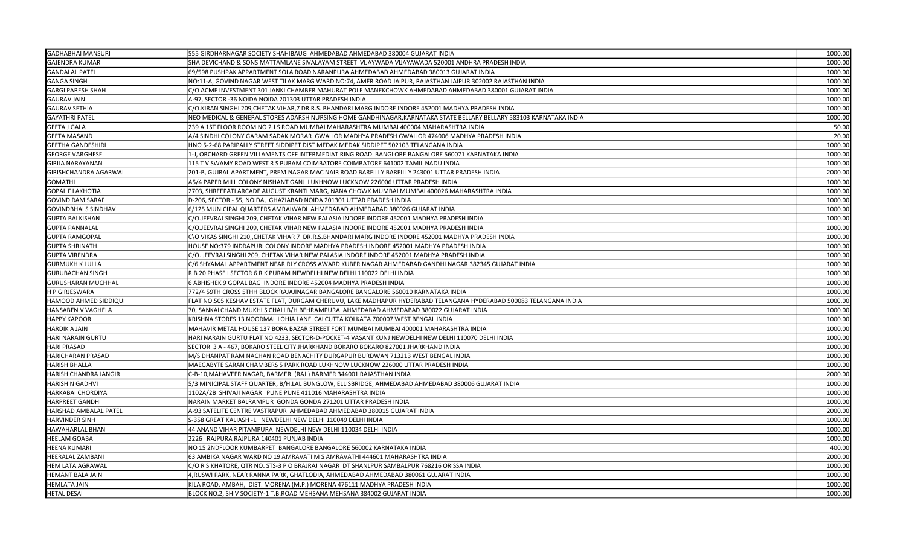| <b>GADHABHAI MANSURI</b>     | 555 GIRDHARNAGAR SOCIETY SHAHIBAUG AHMEDABAD AHMEDABAD 380004 GUJARAT INDIA                                         | 1000.00 |
|------------------------------|---------------------------------------------------------------------------------------------------------------------|---------|
| <b>GAJENDRA KUMAR</b>        | SHA DEVICHAND & SONS MATTAMLANE SIVALAYAM STREET VIJAYWADA VIJAYAWADA 520001 ANDHRA PRADESH INDIA                   | 1000.00 |
| <b>GANDALAL PATEL</b>        | 69/598 PUSHPAK APPARTMENT SOLA ROAD NARANPURA AHMEDABAD AHMEDABAD 380013 GUJARAT INDIA                              | 1000.00 |
| <b>GANGA SINGH</b>           | NO:11-A, GOVIND NAGAR WEST TILAK MARG WARD NO:74, AMER ROAD JAIPUR, RAJASTHAN JAIPUR 302002 RAJASTHAN INDIA         | 1000.00 |
| <b>GARGI PARESH SHAH</b>     | C/O ACME INVESTMENT 301 JANKI CHAMBER MAHURAT POLE MANEKCHOWK AHMEDABAD AHMEDABAD 380001 GUJARAT INDIA              | 1000.00 |
| <b>GAURAV JAIN</b>           | A-97, SECTOR -36 NOIDA NOIDA 201303 UTTAR PRADESH INDIA                                                             | 1000.00 |
| <b>GAURAV SETHIA</b>         | C/O.KIRAN SINGHI 209,CHETAK VIHAR,7 DR.R.S. BHANDARI MARG INDORE INDORE 452001 MADHYA PRADESH INDIA                 | 1000.00 |
| <b>GAYATHRI PATEL</b>        | NEO MEDICAL & GENERAL STORES ADARSH NURSING HOME GANDHINAGAR,KARNATAKA STATE BELLARY BELLARY 583103 KARNATAKA INDIA | 1000.00 |
| <b>GEETA J GALA</b>          | 239 A 1ST FLOOR ROOM NO 2 J S ROAD MUMBAI MAHARASHTRA MUMBAI 400004 MAHARASHTRA INDIA                               | 50.00   |
| <b>GEETA MASAND</b>          | A/4 SINDHI COLONY GARAM SADAK MORAR  GWALIOR MADHYA PRADESH GWALIOR 474006 MADHYA PRADESH INDIA                     | 20.00   |
| <b>GEETHA GANDESHIRI</b>     | HNO 5-2-68 PARIPALLY STREET SIDDIPET DIST MEDAK MEDAK SIDDIPET 502103 TELANGANA INDIA                               | 1000.00 |
| <b>GEORGE VARGHESE</b>       | 1-J, ORCHARD GREEN VILLAMENTS OFF INTERMEDIAT RING ROAD BANGLORE BANGALORE 560071 KARNATAKA INDIA                   | 1000.00 |
| GIRIJA NARAYANAN             | 115 TV SWAMY ROAD WEST R S PURAM COIMBATORE COIMBATORE 641002 TAMIL NADU INDIA                                      | 1000.00 |
| <b>GIRISHCHANDRA AGARWAL</b> | 201-B, GUJRAL APARTMENT, PREM NAGAR MAC NAIR ROAD BAREILLY BAREILLY 243001 UTTAR PRADESH INDIA                      | 2000.00 |
| <b>GOMATHI</b>               | A5/4 PAPER MILL COLONY NISHANT GANJ LUKHNOW LUCKNOW 226006 UTTAR PRADESH INDIA                                      | 1000.00 |
| <b>GOPAL F LAKHOTIA</b>      | 2703, SHREEPATI ARCADE AUGUST KRANTI MARG, NANA CHOWK MUMBAI MUMBAI 400026 MAHARASHTRA INDIA                        | 1000.00 |
| <b>GOVIND RAM SARAF</b>      | D-206, SECTOR - 55, NOIDA, GHAZIABAD NOIDA 201301 UTTAR PRADESH INDIA                                               | 1000.00 |
| <b>GOVINDBHAI S SINDHAV</b>  | 6/125 MUNICIPAL QUARTERS AMRAIWADI  AHMEDABAD AHMEDABAD 380026 GUJARAT INDIA                                        | 1000.00 |
| <b>GUPTA BALKISHAN</b>       | C/O.JEEVRAJ SINGHI 209, CHETAK VIHAR NEW PALASIA INDORE INDORE 452001 MADHYA PRADESH INDIA                          | 1000.00 |
| <b>GUPTA PANNALAL</b>        | C/O.JEEVRAJ SINGHI 209, CHETAK VIHAR NEW PALASIA INDORE INDORE 452001 MADHYA PRADESH INDIA                          | 1000.00 |
| <b>GUPTA RAMGOPAL</b>        | C\O VIKAS SINGHI 210,,CHETAK VIHAR 7  DR.R.S.BHANDARI MARG INDORE INDORE 452001 MADHYA PRADESH INDIA                | 1000.00 |
| <b>GUPTA SHRINATH</b>        | HOUSE NO:379 INDRAPURI COLONY INDORE MADHYA PRADESH INDORE 452001 MADHYA PRADESH INDIA                              | 1000.00 |
| <b>GUPTA VIRENDRA</b>        | C/O. JEEVRAJ SINGHI 209, CHETAK VIHAR NEW PALASIA INDORE INDORE 452001 MADHYA PRADESH INDIA                         | 1000.00 |
| <b>GURMUKH K LULLA</b>       | C/6 SHYAMAL APPARTMENT NEAR RLY CROSS AWARD KUBER NAGAR AHMEDABAD GANDHI NAGAR 382345 GUJARAT INDIA                 | 1000.00 |
| <b>GURUBACHAN SINGH</b>      | R B 20 PHASE I SECTOR 6 R K PURAM NEWDELHI NEW DELHI 110022 DELHI INDIA                                             | 1000.00 |
| <b>GURUSHARAN MUCHHAL</b>    | 5 ABHISHEK 9 GOPAL BAG INDORE INDORE 452004 MADHYA PRADESH INDIA                                                    | 1000.00 |
| <b>H P GIRJESWARA</b>        | 772/4 59TH CROSS 5THH BLOCK RAJAJINAGAR BANGALORE BANGALORE 560010 KARNATAKA INDIA                                  | 1000.00 |
| HAMOOD AHMED SIDDIQUI        | FLAT NO.505 KESHAV ESTATE FLAT, DURGAM CHERUVU, LAKE MADHAPUR HYDERABAD TELANGANA HYDERABAD 500083 TELANGANA INDIA  | 1000.00 |
| HANSABEN V VAGHELA           | 70, SANKALCHAND MUKHI S CHALI B/H BEHRAMPURA  AHMEDABAD AHMEDABAD 380022 GUJARAT INDIA                              | 1000.00 |
| <b>HAPPY KAPOOR</b>          | KRISHNA STORES 13 NOORMAL LOHIA LANE  CALCUTTA KOLKATA 700007 WEST BENGAL INDIA                                     | 1000.00 |
| <b>HARDIK A JAIN</b>         | MAHAVIR METAL HOUSE 137 BORA BAZAR STREET FORT MUMBAI MUMBAI 400001 MAHARASHTRA INDIA                               | 1000.00 |
| HARI NARAIN GURTU            | HARI NARAIN GURTU FLAT NO 4233, SECTOR-D-POCKET-4 VASANT KUNJ NEWDELHI NEW DELHI 110070 DELHI INDIA                 | 1000.00 |
| <b>HARI PRASAD</b>           | SECTOR 3 A - 467, BOKARO STEEL CITY JHARKHAND BOKARO BOKARO 827001 JHARKHAND INDIA                                  | 1000.00 |
| HARICHARAN PRASAD            | M/S DHANPAT RAM NACHAN ROAD BENACHITY DURGAPUR BURDWAN 713213 WEST BENGAL INDIA                                     | 1000.00 |
| <b>HARISH BHALLA</b>         | MAEGABYTE SARAN CHAMBERS 5 PARK ROAD LUKHNOW LUCKNOW 226000 UTTAR PRADESH INDIA                                     | 1000.00 |
| HARISH CHANDRA JANGIR        | C-B-10,MAHAVEER NAGAR, BARMER. (RAJ.) BARMER 344001 RAJASTHAN INDIA                                                 | 2000.00 |
| <b>HARISH N GADHVI</b>       | 5/3 MINICIPAL STAFF QUARTER, B/H.LAL BUNGLOW, ELLISBRIDGE, AHMEDABAD AHMEDABAD 380006 GUJARAT INDIA                 | 1000.00 |
| HARKABAI CHORDIYA            | 1102A/2B SHIVAJI NAGAR PUNE PUNE 411016 MAHARASHTRA INDIA                                                           | 1000.00 |
| HARPREET GANDHI              | NARAIN MARKET BALRAMPUR GONDA GONDA 271201 UTTAR PRADESH INDIA                                                      | 1000.00 |
| HARSHAD AMBALAL PATEL        | A-93 SATELITE CENTRE VASTRAPUR  AHMEDABAD AHMEDABAD 380015 GUJARAT INDIA                                            | 2000.00 |
| HARVINDER SINH               | S-358 GREAT KALIASH -1 NEWDELHI NEW DELHI 110049 DELHI INDIA                                                        | 1000.00 |
| <b>HAWAHARLAL BHAN</b>       | 44 ANAND VIHAR PITAMPURA NEWDELHI NEW DELHI 110034 DELHI INDIA                                                      | 1000.00 |
| <b>HEELAM GOABA</b>          | 2226 RAJPURA RAJPURA 140401 PUNJAB INDIA                                                                            | 1000.00 |
| <b>HEENA KUMARI</b>          | NO 15 2NDFLOOR KUMBARPET BANGALORE BANGALORE 560002 KARNATAKA INDIA                                                 | 400.00  |
| <b>IEERALAL ZAMBANI</b>      | 63 AMBIKA NAGAR WARD NO 19 AMRAVATI M S AMRAVATHI 444601 MAHARASHTRA INDIA                                          | 2000.00 |
| <b>HEM LATA AGRAWAL</b>      | C/O R S KHATORE, QTR NO. STS-3 P O BRAJRAJ NAGAR  DT SHANLPUR SAMBALPUR 768216 ORISSA INDIA                         | 1000.00 |
| HEMANT BALA JAIN             | 1,RUSWI PARK, NEAR RANNA PARK, GHATLODIA, AHMEDABAD AHMEDABAD 380061 GUJARAT INDIA                                  | 1000.00 |
| <b>HEMLATA JAIN</b>          | KILA ROAD, AMBAH, DIST. MORENA (M.P.) MORENA 476111 MADHYA PRADESH INDIA                                            | 1000.00 |
| <b>HETAL DESAI</b>           | BLOCK NO.2, SHIV SOCIETY-1 T.B.ROAD MEHSANA MEHSANA 384002 GUJARAT INDIA                                            | 1000.00 |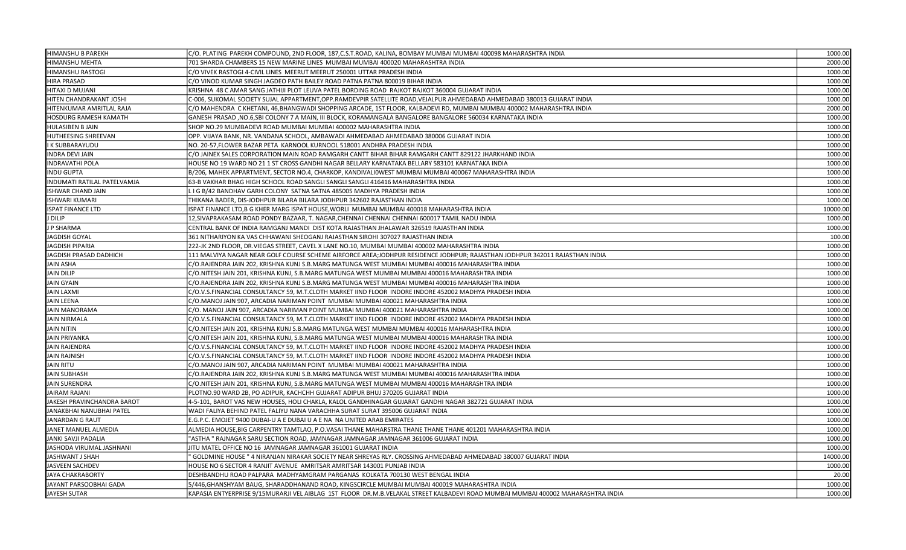| <b>HIMANSHU B PAREKH</b>    | C/O. PLATING  PAREKH COMPOUND, 2ND FLOOR, 187,C.S.T.ROAD, KALINA, BOMBAY MUMBAI MUMBAI 400098 MAHARASHTRA INDIA                  | 1000.00  |
|-----------------------------|----------------------------------------------------------------------------------------------------------------------------------|----------|
| HIMANSHU MEHTA              | 701 SHARDA CHAMBERS 15 NEW MARINE LINES MUMBAI MUMBAI 400020 MAHARASHTRA INDIA                                                   | 2000.00  |
| HIMANSHU RASTOGI            | C/O VIVEK RASTOGI 4-CIVIL LINES MEERUT MEERUT 250001 UTTAR PRADESH INDIA                                                         | 1000.00  |
| <b>HIRA PRASAD</b>          | C/O VINOD KUMAR SINGH JAGDEO PATH BAILEY ROAD PATNA PATNA 800019 BIHAR INDIA                                                     | 1000.00  |
| HITAXI D MUJANI             | KRISHNA 48 C AMAR SANG JATHIJI PLOT LEUVA PATEL BORDING ROAD RAJKOT RAJKOT 360004 GUJARAT INDIA                                  | 1000.00  |
| HITEN CHANDRAKANT JOSHI     | .<br>2-006, SUKOMAL SOCIETY SUJAL APPARTMENT,OPP.RAMDEVPIR SATELLITE ROAD,VEJALPUR AHMEDABAD AHMEDABAD 380013 GUJARAT INDIA      | 1000.00  |
| HITENKUMAR AMRITLAL RAJA    | C/O MAHENDRA C KHETANI, 46,BHANGWADI SHOPPING ARCADE, 1ST FLOOR, KALBADEVI RD, MUMBAI MUMBAI 400002 MAHARASHTRA INDIA            | 2000.00  |
| HOSDURG RAMESH KAMATH       | GANESH PRASAD ,NO.6,SBI COLONY 7 A MAIN, III BLOCK, KORAMANGALA BANGALORE BANGALORE 560034 KARNATAKA INDIA                       | 1000.00  |
| HULASIBEN B JAIN            | SHOP NO.29 MUMBADEVI ROAD MUMBAI MUMBAI 400002 MAHARASHTRA INDIA                                                                 | 1000.00  |
| HUTHEESING SHREEVAN         | OPP. VIJAYA BANK, NR. VANDANA SCHOOL, AMBAWADI AHMEDABAD AHMEDABAD 380006 GUJARAT INDIA                                          | 1000.00  |
| K SUBBARAYUDU               | NO. 20-57,FLOWER BAZAR PETA KARNOOL KURNOOL 518001 ANDHRA PRADESH INDIA                                                          | 1000.00  |
| <b>INDRA DEVI JAIN</b>      | C/O JAINEX SALES CORPORATION MAIN ROAD RAMGARH CANTT BIHAR BIHAR RAMGARH CANTT 829122 JHARKHAND INDIA                            | 1000.00  |
| NDRAVATHI POLA              | 1OUSE NO 19 WARD NO 21 1 ST CROSS GANDHI NAGAR BELLARY KARNATAKA BELLARY 583101 KARNATAKA INDIA                                  | 1000.00  |
| <b>INDU GUPTA</b>           | B/206, MAHEK APPARTMENT, SECTOR NO.4, CHARKOP, KANDIVALI0WEST MUMBAI MUMBAI 400067 MAHARASHTRA INDIA                             | 1000.00  |
| INDUMATI RATILAL PATELVAMJA | 63-B VAKHAR BHAG HIGH SCHOOL ROAD SANGLI SANGLI SANGLI 416416 MAHARASHTRA INDIA                                                  | 1000.00  |
| ISHWAR CHAND JAIN           | L I G B/42 BANDHAV GARH COLONY SATNA SATNA 485005 MADHYA PRADESH INDIA                                                           | 1000.00  |
| <b>ISHWARI KUMARI</b>       | THIKANA BADER, DIS-JODHPUR BILARA BILARA JODHPUR 342602 RAJASTHAN INDIA                                                          | 1000.00  |
| <b>ISPAT FINANCE LTD</b>    | ISPAT FINANCE LTD,B G KHER MARG ISPAT HOUSE,WORLI MUMBAI MUMBAI 400018 MAHARASHTRA INDIA                                         | 10000.00 |
| J DILIP                     | 12,SIVAPRAKASAM ROAD PONDY BAZAAR, T. NAGAR,CHENNAI CHENNAI CHENNAI 600017 TAMIL NADU INDIA                                      | 1000.00  |
| J P SHARMA                  | CENTRAL BANK OF INDIA RAMGANJ MANDI DIST KOTA RAJASTHAN JHALAWAR 326519 RAJASTHAN INDIA                                          | 1000.00  |
| <b>JAGDISH GOYAL</b>        | 361 NITHARIYON KA VAS CHHAWANI SHEOGANJ RAJASTHAN SIROHI 307027 RAJASTHAN INDIA                                                  | 100.00   |
| <b>JAGDISH PIPARIA</b>      | 222-JK 2ND FLOOR, DR.VIEGAS STREET, CAVEL X LANE NO.10, MUMBAI MUMBAI 400002 MAHARASHTRA INDIA                                   | 1000.00  |
| JAGDISH PRASAD DADHICH      | 111 MALVIYA NAGAR NEAR GOLF COURSE SCHEME AIRFORCE AREA;JODHPUR RESIDENCE JODHPUR; RAJASTHAN JODHPUR 342011 RAJASTHAN INDIA      | 1000.00  |
| JAIN ASHA                   | C/O.RAJENDRA JAIN 202, KRISHNA KUNJ S.B.MARG MATUNGA WEST MUMBAI MUMBAI 400016 MAHARASHTRA INDIA                                 | 1000.00  |
| <b>JAIN DILIP</b>           | C/O.NITESH JAIN 201, KRISHNA KUNJ, S.B.MARG MATUNGA WEST MUMBAI MUMBAI 400016 MAHARASHTRA INDIA                                  | 1000.00  |
| <b>JAIN GYAIN</b>           | C/O.RAJENDRA JAIN 202, KRISHNA KUNJ S.B.MARG MATUNGA WEST MUMBAI MUMBAI 400016 MAHARASHTRA INDIA                                 | 1000.00  |
| <b>JAIN LAXMI</b>           | C/O.V.S.FINANCIAL CONSULTANCY 59, M.T.CLOTH MARKET IIND FLOOR  INDORE INDORE 452002 MADHYA PRADESH INDIA                         | 1000.00  |
| <b>JAIN LEENA</b>           | C/O.MANOJ JAIN 907, ARCADIA NARIMAN POINT MUMBAI MUMBAI 400021 MAHARASHTRA INDIA                                                 | 1000.00  |
| <b>JAIN MANORAMA</b>        | C/O. MANOJ JAIN 907, ARCADIA NARIMAN POINT MUMBAI MUMBAI 400021 MAHARASHTRA INDIA                                                | 1000.00  |
| <b>JAIN NIRMALA</b>         | C/O.V.S.FINANCIAL CONSULTANCY 59, M.T.CLOTH MARKET IIND FLOOR  INDORE INDORE 452002 MADHYA PRADESH INDIA                         | 1000.00  |
| <b>JAIN NITIN</b>           | C/O.NITESH JAIN 201, KRISHNA KUNJ S.B.MARG MATUNGA WEST MUMBAI MUMBAI 400016 MAHARASHTRA INDIA                                   | 1000.00  |
| <b>JAIN PRIYANKA</b>        | C/O.NITESH JAIN 201, KRISHNA KUNJ, S.B.MARG MATUNGA WEST MUMBAI MUMBAI 400016 MAHARASHTRA INDIA                                  | 1000.00  |
| <b>JAIN RAJENDRA</b>        | C/O.V.S.FINANCIAL CONSULTANCY 59, M.T.CLOTH MARKET IIND FLOOR  INDORE INDORE 452002 MADHYA PRADESH INDIA                         | 1000.00  |
| JAIN RAJNISH                | C/O.V.S.FINANCIAL CONSULTANCY 59, M.T.CLOTH MARKET IIND FLOOR  INDORE INDORE 452002 MADHYA PRADESH INDIA                         | 1000.00  |
| JAIN RITU                   | C/O.MANOJ JAIN 907, ARCADIA NARIMAN POINT MUMBAI MUMBAI 400021 MAHARASHTRA INDIA                                                 | 1000.00  |
| JAIN SUBHASH                | C/O.RAJENDRA JAIN 202, KRISHNA KUNJ S.B.MARG MATUNGA WEST MUMBAI MUMBAI 400016 MAHARASHTRA INDIA                                 | 1000.00  |
| <b>JAIN SURENDRA</b>        | C/O.NITESH JAIN 201, KRISHNA KUNJ, S.B.MARG MATUNGA WEST MUMBAI MUMBAI 400016 MAHARASHTRA INDIA                                  | 1000.00  |
| JAIRAM RAJANI               | PLOTNO.90 WARD 2B, PO ADIPUR, KACHCHH GUJARAT ADIPUR BHUJ 370205 GUJARAT INDIA                                                   | 1000.00  |
| JAKESH PRAVINCHANDRA BAROT  | 4-5-101, BAROT VAS NEW HOUSES, HOLI CHAKLA, KALOL GANDHINAGAR GUJARAT GANDHI NAGAR 382721 GUJARAT INDIA                          | 1000.00  |
| JANAKBHAI NANUBHAI PATEL    | WADI FALIYA BEHIND PATEL FALIYU NANA VARACHHA SURAT SURAT 395006 GUJARAT INDIA                                                   | 1000.00  |
| <b>JANARDAN G RAUT</b>      | E.G.P.C. EMOJET 9400 DUBAI-U A E DUBAI U A E NA NA UNITED ARAB EMIRATES                                                          | 1000.00  |
| JANET MANUEL ALMEDIA        | ALMEDIA HOUSE,BIG CARPENTRY TAMTLAO, P.O.VASAI THANE MAHARSTRA THANE THANE THANE 401201 MAHARASHTRA INDIA                        | 1000.00  |
| <b>JANKI SAVJI PADALIA</b>  | "ASTHA " RAJNAGAR SARU SECTION ROAD, JAMNAGAR JAMNAGAR JAMNAGAR 361006 GUJARAT INDIA                                             | 1000.00  |
| JASHODA VIRUMAL JASHNANI    | JITU MATEL OFFICE NO 16 JAMNAGAR JAMNAGAR 361001 GUJARAT INDIA                                                                   | 1000.00  |
| JASHWANT J SHAH             | GOLDMINE HOUSE " 4 NIRANJAN NIRAKAR SOCIETY NEAR SHREYAS RLY. CROSSING AHMEDABAD AHMEDABAD 380007 GUJARAT INDIA                  | 14000.0  |
| JASVEEN SACHDEV             | HOUSE NO 6 SECTOR 4 RANJIT AVENUE AMRITSAR AMRITSAR 143001 PUNJAB INDIA                                                          | 1000.00  |
| JAYA CHAKRABORTY            | DESHBANDHU ROAD PALPARA MADHYAMGRAM PARGANAS KOLKATA 700130 WEST BENGAL INDIA                                                    | 20.00    |
| JAYANT PARSOOBHAI GADA      | 5/446,GHANSHYAM BAUG, SHARADDHANAND ROAD, KINGSCIRCLE MUMBAI MUMBAI 400019 MAHARASHTRA INDIA                                     | 1000.00  |
| JAYESH SUTAR                | KAPASIA ENTYERPRISE 9/15MURARJI VEL AIBLAG 1ST FLOOR DR.M.B.VELAKAL STREET KALBADEVI ROAD MUMBAI MUMBAI 400002 MAHARASHTRA INDIA | 1000.00  |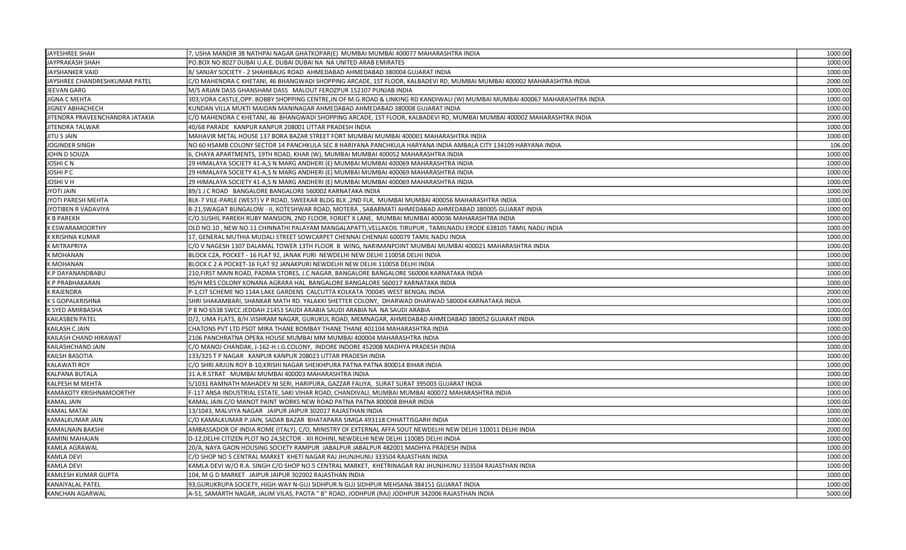| JAYESHREE SHAH                  | 7, USHA MANDIR 38 NATHPAI NAGAR GHATKOPAR(E) MUMBAI MUMBAI 400077 MAHARASHTRA INDIA                                            | 1000.00 |
|---------------------------------|--------------------------------------------------------------------------------------------------------------------------------|---------|
| JAYPRAKASH SHAH                 | PO.BOX NO 8027 DUBAI U.A.E. DUBAI DUBAI NA NA UNITED ARAB EMIRATES                                                             | 1000.00 |
| JAYSHANKER VAID                 | 8/ SANJAY SOCIETY - 2 SHAHIBAUG ROAD AHMEDABAD AHMEDABAD 380004 GUJARAT INDIA                                                  | 1000.00 |
| JAYSHREE CHANDRESHKUMAR PATEL   | C/O MAHENDRA C KHETANI, 46 BHANGWADI SHOPPING ARCADE, 1ST FLOOR, KALBADEVI RD, MUMBAI MUMBAI 400002 MAHARASHTRA INDIA          | 2000.00 |
| JEEVAN GARG                     | M/S ARJAN DASS GHANSHAM DASS MALOUT FEROZPUR 152107 PUNJAB INDIA                                                               | 1000.00 |
| JIGNA C MEHTA                   | 303, VORA CASTLE, OPP. BOBBY SHOPPING CENTRE, JN.OF M.G.ROAD & LINKING RD KANDIWALI (W) MUMBAI MUMBAI 400067 MAHARASHTRA INDIA | 1000.00 |
| JIGNEY ABHACHECH                | KUNDAN VILLA MUKTI MAIDAN MANINAGAR AHMEDABAD AHMEDABAD 380008 GUJARAT INDIA                                                   | 1000.00 |
| JITENDRA PRAVEENCHANDRA JATAKIA | C/O MAHENDRA C KHETANI, 46 BHANGWADI SHOPPING ARCADE, 1ST FLOOR, KALBADEVI RD, MUMBAI MUMBAI 400002 MAHARASHTRA INDIA          | 2000.00 |
| <b>JITENDRA TALWAR</b>          | 40/68 PARADE KANPUR KANPUR 208001 UTTAR PRADESH INDIA                                                                          | 1000.00 |
| JITU S JAIN                     | MAHAVIR METAL HOUSE 137 BORA BAZAR STREET FORT MUMBAI MUMBAI 400001 MAHARASHTRA INDIA                                          | 1000.00 |
| JOGINDER SINGH                  | NO 60 HSAMB COLONY SECTOR 14 PANCHKULA SEC 8 HARIYANA PANCHKULA HARYANA INDIA AMBALA CITY 134109 HARYANA INDIA                 | 106.00  |
| JOHN D SOUZA                    | 6, CHAYA APARTMENTS, 19TH ROAD, KHAR (W), MUMBAI MUMBAI 400052 MAHARASHTRA INDIA                                               | 1000.00 |
| JOSHI C N                       | 29 HIMALAYA SOCIETY 41-A,S N MARG ANDHERI (E) MUMBAI MUMBAI 400069 MAHARASHTRA INDIA                                           | 1000.00 |
| JOSHI P C                       | 29 HIMALAYA SOCIETY 41-A,S N MARG ANDHERI (E) MUMBAI MUMBAI 400069 MAHARASHTRA INDIA                                           | 1000.00 |
| IOSHI V H                       | 29 HIMALAYA SOCIETY 41-A,S N MARG ANDHERI (E) MUMBAI MUMBAI 400069 MAHARASHTRA INDIA                                           | 1000.00 |
| <b>HIAL ITOYL</b>               | 89/1 J C ROAD BANGALORE BANGALORE 560002 KARNATAKA INDIA                                                                       | 1000.00 |
| JYOTI PARESH MEHTA              | BLK-7 VILE-PARLE (WEST) V P ROAD, SWEEKAR BLDG BLK ,2ND FLR, MUMBAI MUMBAI 400056 MAHARASHTRA INDIA                            | 1000.00 |
| JYOTIBEN R VADAVIYA             | B-21,SWAGAT BUNGALOW - II, KOTESHWAR ROAD, MOTERA , SABARMATI AHMEDABAD AHMEDABAD 380005 GUJARAT INDIA                         | 1000.00 |
| K B PAREKH                      | C/O.SUSHIL PAREKH RUBY MANSION, 2ND FLOOR, FORJET X LANE, MUMBAI MUMBAI 400036 MAHARASHTRA INDIA                               | 1000.00 |
| K ESWARAMOORTHY                 | OLD NO.10, NEW NO.11 CHINNATHI PALAYAM MANGALAPATTI, VELLAKOIL TIRUPUR, TAMILNADU ERODE 638105 TAMIL NADU INDIA                | 1000.00 |
| K KRISHNA KUMAR                 | 17, GENERAL MUTHIA MUDALI STREET SOWCARPET CHENNAI CHENNAI 600079 TAMIL NADU INDIA                                             | 1000.00 |
| K MITRAPRIYA                    | C/O V NAGESH 1307 DALAMAL TOWER 13TH FLOOR B WING, NARIMANPOINT MUMBAI MUMBAI 400021 MAHARASHTRA INDIA                         | 1000.00 |
| <b>K MOHANAN</b>                | BLOCK CZA, POCKET - 16 FLAT 92, JANAK PURI NEWDELHI NEW DELHI 110058 DELHI INDIA                                               | 1000.00 |
| K MOHANAN                       | BLOCK C 2 A POCKET-16 FLAT 92 JANAKPURI NEWDELHI NEW DELHI 110058 DELHI INDIA                                                  | 1000.00 |
| K P DAYANANDBABU                | 210, FIRST MAIN ROAD, PADMA STORES, J.C.NAGAR, BANGALORE BANGALORE 560006 KARNATAKA INDIA                                      | 1000.00 |
| K P PRABHAKARAN                 | 95/H MES COLONY KONANA AGRARA HAL BANGALORE BANGALORE 560017 KARNATAKA INDIA                                                   | 1000.00 |
| <b>K RAJENDRA</b>               | P-1, CIT SCHEME NO 114A LAKE GARDENS CALCUTTA KOLKATA 700045 WEST BENGAL INDIA                                                 | 2000.00 |
| K S GOPALKRISHNA                | SHRI SHAKAMBARI, SHANKAR MATH RD. YALAKKI SHETTER COLONY, DHARWAD DHARWAD 580004 KARNATAKA INDIA                               | 1000.00 |
| <b>K SYED AMIRBASHA</b>         | P B NO 6538 SWCC JEDDAH 21453 SAUDI ARABIA SAUDI ARABIA NA NA SAUDI ARABIA                                                     | 1000.00 |
| KAILASBEN PATEL                 | D/2, UMA FLATS, B/H.VISHRAM NAGAR, GURUKUL ROAD, MEMNAGAR, AHMEDABAD AHMEDABAD 380052 GUJARAT INDIA                            | 1000.00 |
| KAILASH C JAIN                  | CHATONS PVT LTD PSOT MIRA THANE BOMBAY THANE THANE 401104 MAHARASHTRA INDIA                                                    | 1000.00 |
| KAILASH CHAND HIRAWAT           | 2106 PANCHRATNA OPERA HOUSE MUMBAI MM MUMBAI 400004 MAHARASHTRA INDIA                                                          | 1000.00 |
| KAILASHCHAND JAIN               | C/O MANOJ CHANDAK, J-162-H.I.G.COLONY,  INDORE INDORE 452008 MADHYA PRADESH INDIA                                              | 1000.00 |
| KAILSH BASOTIA                  | 133/325 T P NAGAR KANPUR KANPUR 208023 UTTAR PRADESH INDIA                                                                     | 1000.00 |
| <b>KALAWATI ROY</b>             | C/O SHRI ARJUN ROY B-10,KRISHI NAGAR SHEIKHPURA PATNA PATNA 800014 BIHAR INDIA                                                 | 1000.00 |
| KALPANA BUTALA                  | 31 A.R.STRAT MUMBAI MUMBAI 400003 MAHARASHTRA INDIA                                                                            | 1000.00 |
| KALPESH M MEHTA                 | 5/1031 RAMNATH MAHADEV NI SERI, HARIPURA, GAZZAR FALIYA, SURAT SURAT 395003 GUJARAT INDIA                                      | 1000.00 |
| KAMAKOTY KRISHNAMOORTHY         | F-117 ANSA INDUSTRIAL ESTATE, SAKI VIHAR ROAD, CHANDIVALI, MUMBAI MUMBAI 400072 MAHARASHTRA INDIA                              | 1000.00 |
| <b>KAMAL JAIN</b>               | KAMAL JAIN C/O MANOT PAINT WORKS NEW ROAD PATNA PATNA 800008 BIHAR INDIA                                                       | 1000.00 |
| KAMAL MATAI                     | 13/1043, MALVIYA NAGAR JAIPUR JAIPUR 302017 RAJASTHAN INDIA                                                                    | 1000.00 |
| KAMALKUMAR JAIN                 | C/O KAMALKUMAR P.JAIN, SADAR BAZAR BHATAPARA SIMGA 493118 CHHATTISGARH INDIA                                                   | 1000.00 |
| KAMALNAIN BAKSHI                | AMBASSADOR OF INDIA ROME (ITALY), C/O, MINISTRY OF EXTERNAL AFFA SOUT NEWDELHI NEW DELHI 110011 DELHI INDIA                    | 2000.00 |
| KAMINI MAHAJAN                  | D-12, DELHI CITIZEN PLOT NO 24, SECTOR - XII ROHINI, NEWDELHI NEW DELHI 110085 DELHI INDIA                                     | 1000.00 |
| KAMLA AGRAWAL                   | 20/A, NAYA GAON HOUSING SOCIETY RAMPUR JABALPUR JABALPUR 482001 MADHYA PRADESH INDIA                                           | 1000.00 |
| <b>KAMLA DEVI</b>               | C/O SHOP NO 5 CENTRAL MARKET KHETI NAGAR RAJ JHUNJHUNU 333504 RAJASTHAN INDIA                                                  | 1000.00 |
| <b>KAMLA DEVI</b>               | KAMLA DEVI W/O R.A. SINGH C/O SHOP NO.5 CENTRAL MARKET, KHETRINAGAR RAJ JHUNJHUNU 333504 RAJASTHAN INDIA                       | 1000.00 |
| KAMLESH KUMAR GUPTA             | 104, M G D MARKET JAIPUR JAIPUR 302002 RAJASTHAN INDIA                                                                         | 1000.00 |
| <b>KANAIYALAL PATEL</b>         | 93, GURUKRUPA SOCIETY, HIGH-WAY N-GUJ SIDHPUR N GUJ SIDHPUR MEHSANA 384151 GUJARAT INDIA                                       | 1000.00 |
| <b>KANCHAN AGARWAL</b>          | A-51, SAMARTH NAGAR, JALIM VILAS, PAOTA " B" ROAD, JODHPUR (RAJ) JODHPUR 342006 RAJASTHAN INDIA                                | 5000.00 |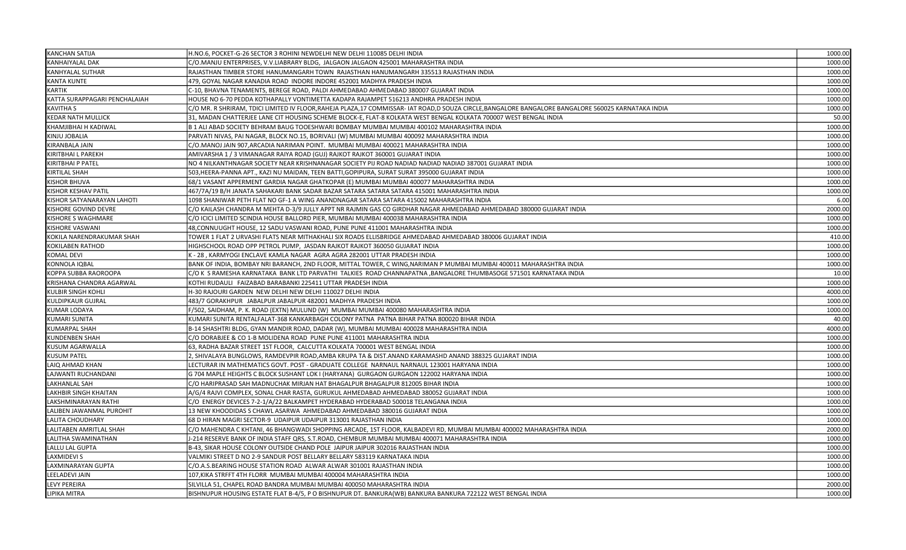| <b>KANCHAN SATIJA</b>         | H.NO.6, POCKET-G-26 SECTOR 3 ROHINI NEWDELHI NEW DELHI 110085 DELHI INDIA                                                                         | 1000.00 |
|-------------------------------|---------------------------------------------------------------------------------------------------------------------------------------------------|---------|
| KANHAIYALAL DAK               | C/O.MANJU ENTERPRISES, V.V.LIABRARY BLDG, JALGAON JALGAON 425001 MAHARASHTRA INDIA                                                                | 1000.00 |
| KANHYALAL SUTHAR              | RAJASTHAN TIMBER STORE HANUMANGARH TOWN  RAJASTHAN HANUMANGARH 335513 RAJASTHAN INDIA                                                             | 1000.00 |
| <b>KANTA KUNTE</b>            | 479, GOYAL NAGAR KANADIA ROAD INDORE INDORE 452001 MADHYA PRADESH INDIA                                                                           | 1000.00 |
| <b><i>KARTIK</i></b>          | C-10, BHAVNA TENAMENTS, BEREGE ROAD, PALDI AHMEDABAD AHMEDABAD 380007 GUJARAT INDIA                                                               | 1000.00 |
| KATTA SURAPPAGARI PENCHALAIAH | HOUSE NO 6-70 PEDDA KOTHAPALLY VONTIMETTA KADAPA RAJAMPET 516213 ANDHRA PRADESH INDIA                                                             | 1000.00 |
| KAVITHA S                     | C/O MR. R SHRIRAM, TDICI LIMITED IV FLOOR,RAHEJA PLAZA,17 COMMISSAR- IAT ROAD,D SOUZA CIRCLE,BANGALORE BANGALORE BANGALORE 560025 KARNATAKA INDIA | 1000.00 |
| <b>KEDAR NATH MULLICK</b>     | 31, MADAN CHATTERJEE LANE CIT HOUSING SCHEME BLOCK-E, FLAT-8 KOLKATA WEST BENGAL KOLKATA 700007 WEST BENGAL INDIA                                 | 50.00   |
| KHAMJIBHAI H KADIWAL          | B 1 ALI ABAD SOCIETY BEHRAM BAUG TOOESHWARI BOMBAY MUMBAI MUMBAI 400102 MAHARASHTRA INDIA                                                         | 1000.00 |
| KINJU JOBALIA                 | PARVATI NIVAS, PAI NAGAR, BLOCK NO.15, BORIVALI (W) MUMBAI MUMBAI 400092 MAHARASHTRA INDIA                                                        | 1000.00 |
| KIRANBALA JAIN                | C/O.MANOJ JAIN 907,ARCADIA NARIMAN POINT.  MUMBAI MUMBAI 400021 MAHARASHTRA INDIA                                                                 | 1000.00 |
| KIRITBHAI L PAREKH            | AMIVARSHA 1 / 3 VIMANAGAR RAIYA ROAD (GUJ) RAJKOT RAJKOT 360001 GUJARAT INDIA                                                                     | 1000.00 |
| KIRITBHAI P PATEL             | NO 4 NILKANTHNAGAR SOCIETY NEAR KRISHNANAGAR SOCIETY PIJ ROAD NADIAD NADIAD NADIAD 387001 GUJARAT INDIA                                           | 1000.00 |
| KIRTILAL SHAH                 | 503,HEERA-PANNA APT., KAZI NU MAIDAN, TEEN BATTI,GOPIPURA, SURAT SURAT 395000 GUJARAT INDIA                                                       | 1000.00 |
| KISHOR BHUVA                  | 68/1 VASANT APPERMENT GARDIA NAGAR GHATKOPAR (E) MUMBAI MUMBAI 400077 MAHARASHTRA INDIA                                                           | 1000.00 |
| <b>KISHOR KESHAV PATIL</b>    | 467/7A/19 B/H JANATA SAHAKARI BANK SADAR BAZAR SATARA SATARA SATARA 415001 MAHARASHTRA INDIA                                                      | 1000.00 |
| KISHOR SATYANARAYAN LAHOTI    | 1098 SHANIWAR PETH FLAT NO GF-1 A WING ANANDNAGAR SATARA SATARA 415002 MAHARASHTRA INDIA                                                          | 6.00    |
| KISHORE GOVIND DEVRE          | C/O KAILASH CHANDRA M MEHTA D-3/9 JULLY APPT NR RAJMIN GAS CO GIRDHAR NAGAR AHMEDABAD AHMEDABAD 380000 GUJARAT INDIA                              | 2000.00 |
| KISHORE S WAGHMARE            | C/O ICICI LIMITED SCINDIA HOUSE BALLORD PIER, MUMBAI MUMBAI 400038 MAHARASHTRA INDIA                                                              | 1000.00 |
| KISHORE VASWANI               | 48, CONNUUGHT HOUSE, 12 SADU VASWANI ROAD, PUNE PUNE 411001 MAHARASHTRA INDIA                                                                     | 1000.00 |
| KOKILA NARENDRAKUMAR SHAH     | TOWER 1 FLAT 2 URVASHI FLATS NEAR MITHAKHALI SIX ROADS ELLISBRIDGE AHMEDABAD AHMEDABAD 380006 GUJARAT INDIA                                       | 410.00  |
| KOKILABEN RATHOD              | HIGHSCHOOL ROAD OPP PETROL PUMP, JASDAN RAJKOT RAJKOT 360050 GUJARAT INDIA                                                                        | 1000.00 |
| KOMAL DEVI                    | K - 28 , KARMYOGI ENCLAVE KAMLA NAGAR AGRA AGRA 282001 UTTAR PRADESH INDIA                                                                        | 1000.00 |
| <b>CONNOLA IQBAL</b>          | BANK OF INDIA, BOMBAY NRI BARANCH, 2ND FLOOR, MITTAL TOWER, C WING,NARIMAN P MUMBAI MUMBAI 400011 MAHARASHTRA INDIA                               | 1000.00 |
| KOPPA SUBBA RAOROOPA          | C/O K S RAMESHA KARNATAKA BANK LTD PARVATHI TALKIES ROAD CHANNAPATNA ,BANGALORE THUMBASOGE 571501 KARNATAKA INDIA                                 | 10.00   |
| KRISHANA CHANDRA AGARWAL      | KOTHI RUDAULI FAIZABAD BARABANKI 225411 UTTAR PRADESH INDIA                                                                                       | 1000.00 |
| KULBIR SINGH KOHLI            | H-30 RAJOURI GARDEN NEW DELHI NEW DELHI 110027 DELHI INDIA                                                                                        | 4000.00 |
| <b>KULDIPKAUR GUJRAL</b>      | 483/7 GORAKHPUR JABALPUR JABALPUR 482001 MADHYA PRADESH INDIA                                                                                     | 1000.00 |
| <b>KUMAR LODAYA</b>           | -/502, SAIDHAM, P. K. ROAD (EXTN) MULUND (W)  MUMBAI MUMBAI 400080 MAHARASHTRA INDIA                                                              | 1000.00 |
| <b>KUMARI SUNITA</b>          | (UMARI SUNITA RENTALFALAT-368 KANKARBAGH COLONY PATNA PATNA BIHAR PATNA 800020 BIHAR INDIA                                                        | 40.00   |
| <b>KUMARPAL SHAH</b>          | B-14 SHASHTRI BLDG, GYAN MANDIR ROAD, DADAR (W), MUMBAI MUMBAI 400028 MAHARASHTRA INDIA                                                           | 4000.00 |
| <b>KUNDENBEN SHAH</b>         | C/O DORABJEE & CO 1-B MOLIDENA ROAD  PUNE PUNE 411001 MAHARASHTRA INDIA                                                                           | 1000.00 |
| KUSUM AGARWALLA               | 63, RADHA BAZAR STREET 1ST FLOOR, CALCUTTA KOLKATA 700001 WEST BENGAL INDIA                                                                       | 1000.00 |
| <b>KUSUM PATEL</b>            | 2, SHIVALAYA BUNGLOWS, RAMDEVPIR ROAD,AMBA KRUPA TA & DIST.ANAND KARAMASHD ANAND 388325 GUJARAT INDIA                                             | 1000.00 |
| LAIQ AHMAD KHAN               | LECTURAR IN MATHEMATICS GOVT. POST - GRADUATE COLLEGE  NARNAUL NARNAUL 123001 HARYANA INDIA                                                       | 1000.00 |
| LAJWANTI RUCHANDANI           | G 704 MAPLE HEIGHTS C BLOCK SUSHANT LOK I (HARYANA) GURGAON GURGAON 122002 HARYANA INDIA                                                          | 1000.00 |
| LAKHANLAL SAH                 | C/O HARIPRASAD SAH MADNUCHAK MIRJAN HAT BHAGALPUR BHAGALPUR 812005 BIHAR INDIA                                                                    | 1000.00 |
| LAKHBIR SINGH KHAITAN         | A/G/4 RAJVI COMPLEX, SONAL CHAR RASTA, GURUKUL AHMEDABAD AHMEDABAD 380052 GUJARAT INDIA                                                           | 1000.00 |
| LAKSHMINARAYAN RATHI          | C/O ENERGY DEVICES 7-2-1/A/22 BALKAMPET HYDERABAD HYDERABAD 500018 TELANGANA INDIA                                                                | 1000.00 |
| LALIBEN JAWANMAL PUROHIT      | 13 NEW KHOODIDAS S CHAWL ASARWA AHMEDABAD AHMEDABAD 380016 GUJARAT INDIA                                                                          | 1000.00 |
| LALITA CHOUDHARY              | 68 D HIRAN MAGRI SECTOR-9 UDAIPUR UDAIPUR 313001 RAJASTHAN INDIA                                                                                  | 1000.00 |
| LALITABEN AMRITLAL SHAH       | C/O MAHENDRA C KHTANI, 46 BHANGWADI SHOPPING ARCADE, 1ST FLOOR, KALBADEVI RD, MUMBAI MUMBAI 400002 MAHARASHTRA INDIA                              | 2000.00 |
| LALITHA SWAMINATHAN           | J-214 RESERVE BANK OF INDIA STAFF QRS, S.T.ROAD, CHEMBUR MUMBAI MUMBAI 400071 MAHARASHTRA INDIA                                                   | 1000.00 |
| LALLU LAL GUPTA               | B-43, SIKAR HOUSE COLONY OUTSIDE CHAND POLE JAIPUR JAIPUR 302016 RAJASTHAN INDIA                                                                  | 1000.00 |
| AXMIDEVI S                    | VALMIKI STREET D NO 2-9 SANDUR POST BELLARY BELLARY 583119 KARNATAKA INDIA                                                                        | 1000.00 |
| LAXMINARAYAN GUPTA            | C/O.A.S.BEARING HOUSE STATION ROAD ALWAR ALWAR 301001 RAJASTHAN INDIA                                                                             | 1000.00 |
| LEELADEVI JAIN                | 107,KIKA STRFFT 4TH FLORR MUMBAI MUMBAI 400004 MAHARASHTRA INDIA                                                                                  | 1000.00 |
| LEVY PEREIRA                  | SILVILLA 51, CHAPEL ROAD BANDRA MUMBAI MUMBAI 400050 MAHARASHTRA INDIA                                                                            | 2000.00 |
| LIPIKA MITRA                  | BISHNUPUR HOUSING ESTATE FLAT B-4/5, P O BISHNUPUR DT. BANKURA(WB) BANKURA BANKURA 722122 WEST BENGAL INDIA                                       | 1000.00 |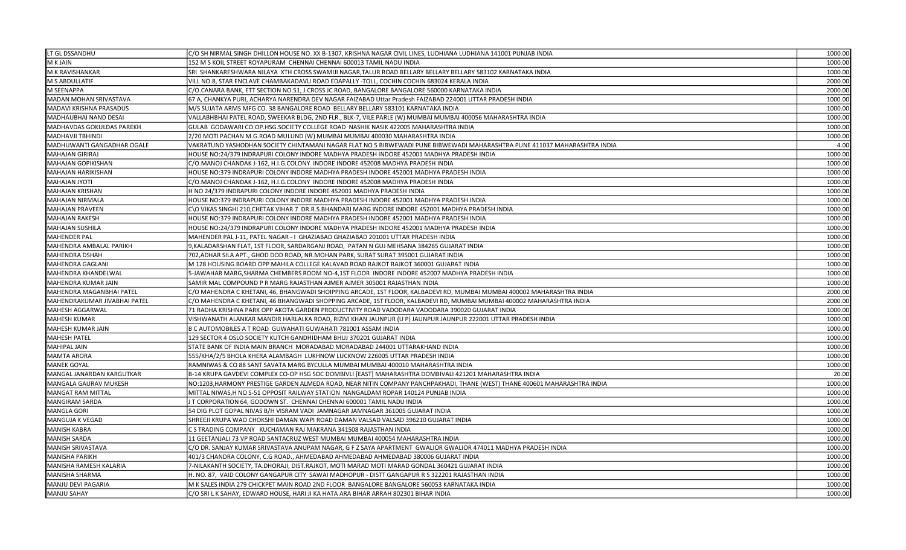| LT GL DSSANDHU               | C/O SH NIRMAL SINGH DHILLON HOUSE NO. XX B-1307, KRISHNA NAGAR CIVIL LINES, LUDHIANA LUDHIANA 141001 PUNJAB INDIA         | 1000.00 |
|------------------------------|---------------------------------------------------------------------------------------------------------------------------|---------|
| M K JAIN                     | 152 M S KOIL STREET ROYAPURAM CHENNAI CHENNAI 600013 TAMIL NADU INDIA                                                     | 1000.00 |
| M K RAVISHANKAR              | SRI SHANKARESHWARA NILAYA XTH CROSS SWAMIJI NAGAR,TALUR ROAD BELLARY BELLARY BELLARY 583102 KARNATAKA INDIA               | 1000.00 |
| M S ABDULLATIF               | VILL NO.8, STAR ENCLAVE CHAMBAKADAVU ROAD EDAPALLY -TOLL, COCHIN COCHIN 683024 KERALA INDIA                               | 2000.00 |
| M SEENAPPA                   | C/O.CANARA BANK, ETT SECTION NO.51, J CROSS JC ROAD, BANGALORE BANGALORE 560000 KARNATAKA INDIA                           | 2000.00 |
| MADAN MOHAN SRIVASTAVA       | 67 A, CHANKYA PURI, ACHARYA NARENDRA DEV NAGAR FAIZABAD Uttar Pradesh FAIZABAD 224001 UTTAR PRADESH INDIA                 | 1000.00 |
| MADAVI KRISHNA PRASADUS      | M/S SUJATA ARMS MFG CO. 38 BANGALORE ROAD BELLARY BELLARY 583101 KARNATAKA INDIA                                          | 1000.00 |
| MADHAUBHAI NAND DESAI        | VALLABHBHAI PATEL ROAD, SWEEKAR BLDG, 2ND FLR., BLK-7, VILE PARLE (W) MUMBAI MUMBAI 400056 MAHARASHTRA INDIA              | 1000.00 |
| MADHAVDAS GOKULDAS PAREKH    | GULAB GODAWARI CO.OP.HSG.SOCIETY COLLEGE ROAD NASHIK NASIK 422005 MAHARASHTRA INDIA                                       | 1000.00 |
| MADHAVJI TBHINDI             | 2/20 MOTI PACHAN M.G.ROAD MULUND (W) MUMBAI MUMBAI 400030 MAHARASHTRA INDIA                                               | 1000.00 |
| MADHUWANTI GANGADHAR OGALE   | VAKRATUND YASHODHAN SOCIETY CHINTAMANI NAGAR FLAT NO 5 BIBWEWADI PUNE BIBWEWADI MAHARASHTRA PUNE 411037 MAHARASHTRA INDIA | 4.00    |
| <b>MAHAJAN GIRIRAJ</b>       | HOUSE NO:24/379 INDRAPURI COLONY INDORE MADHYA PRADESH INDORE 452001 MADHYA PRADESH INDIA                                 | 1000.00 |
| MAHAJAN GOPIKISHAN           | C/O.MANOJ CHANDAK J-162, H.I.G.COLONY  INDORE INDORE 452008 MADHYA PRADESH INDIA                                          | 1000.00 |
| MAHAJAN HARIKISHAN           | HOUSE NO:379 INDRAPURI COLONY INDORE MADHYA PRADESH INDORE 452001 MADHYA PRADESH INDIA                                    | 1000.00 |
| <b>MAHAJAN JYOTI</b>         | C/O.MANOJ CHANDAK J-162, H.I.G.COLONY  INDORE INDORE 452008 MADHYA PRADESH INDIA                                          | 1000.00 |
| <b>MAHAJAN KRISHAN</b>       | H NO 24/379 INDRAPURI COLONY INDORE INDORE 452001 MADHYA PRADESH INDIA                                                    | 1000.00 |
| MAHAJAN NIRMALA              | HOUSE NO:379 INDRAPURI COLONY INDORE MADHYA PRADESH INDORE 452001 MADHYA PRADESH INDIA                                    | 1000.00 |
| MAHAJAN PRAVEEN              | C\O VIKAS SINGHI 210,CHETAK VIHAR 7  DR.R.S.BHANDARI MARG INDORE INDORE 452001 MADHYA PRADESH INDIA                       | 1000.00 |
| MAHAJAN RAKESH               | HOUSE NO:379 INDRAPURI COLONY INDORE MADHYA PRADESH INDORE 452001 MADHYA PRADESH INDIA                                    | 1000.00 |
| MAHAJAN SUSHILA              | HOUSE NO:24/379 INDRAPURI COLONY INDORE MADHYA PRADESH INDORE 452001 MADHYA PRADESH INDIA                                 | 1000.00 |
| <b>MAHENDER PAL</b>          | MAHENDER PAL J-11, PATEL NAGAR - I  GHAZIABAD GHAZIABAD 201001 UTTAR PRADESH INDIA                                        | 1000.00 |
| MAHENDRA AMBALAL PARIKH      | 9,KALADARSHAN FLAT, 1ST FLOOR, SARDARGANJ ROAD, PATAN N GUJ MEHSANA 384265 GUJARAT INDIA                                  | 1000.00 |
| <b>MAHENDRA DSHAH</b>        | 702,ADHAR SILA APT., GHOD DOD ROAD, NR.MOHAN PARK, SURAT SURAT 395001 GUJARAT INDIA                                       | 1000.00 |
| MAHENDRA GAGLANI             | M 128 HOUSING BOARD OPP MAHILA COLLEGE KALAVAD ROAD RAJKOT RAJKOT 360001 GUJARAT INDIA                                    | 1000.00 |
| MAHENDRA KHANDELWAL          | 5-JAWAHAR MARG, SHARMA CHEMBERS ROOM NO-4, 1ST FLOOR INDORE INDORE 452007 MADHYA PRADESH INDIA                            | 1000.00 |
| MAHENDRA KUMAR JAIN          | SAMIR MAL COMPOUND P R MARG RAJASTHAN AJMER AJMER 305001 RAJASTHAN INDIA                                                  | 1000.00 |
| MAHENDRA MAGANBHAI PATEL     | C/O MAHENDRA C KHETANI, 46, BHANGWADI SHOIPPING ARCADE, 1ST FLOOR, KALBADEVI RD, MUMBAI MUMBAI 400002 MAHARASHTRA INDIA   | 2000.00 |
| MAHENDRAKUMAR JIVABHAI PATEL | C/O MAHENDRA C KHETANI, 46 BHANGWADI SHOPPING ARCADE, 1ST FLOOR, KALBADEVI RD, MUMBAI MUMBAI 400002 MAHARASHTRA INDIA     | 2000.00 |
| <b>MAHESH AGGARWAL</b>       | 71 RADHA KRISHNA PARK OPP AKOTA GARDEN PRODUCTIVITY ROAD VADODARA VADODARA 390020 GUJARAT INDIA                           | 1000.00 |
| <b>MAHESH KUMAR</b>          | VISHWANATH ALANKAR MANDIR HARLALKA ROAD, RIZIVI KHAN JAUNPUR (U P) JAUNPUR JAUNPUR 222001 UTTAR PRADESH INDIA             | 1000.00 |
| MAHESH KUMAR JAIN            | B C AUTOMOBILES A T ROAD  GUWAHATI GUWAHATI 781001 ASSAM INDIA                                                            | 1000.00 |
| <b>MAHESH PATEL</b>          | 129 SECTOR 4 OSLO SOCIETY KUTCH GANDHIDHAM BHUJ 370201 GUJARAT INDIA                                                      | 1000.00 |
| <b>MAHIPAL JAIN</b>          | STATE BANK OF INDIA MAIN BRANCH MORADABAD MORADABAD 244001 UTTARAKHAND INDIA                                              | 1000.00 |
| <b>MAMTA ARORA</b>           | 555/KHA/2/5 BHOLA KHERA ALAMBAGH  LUKHNOW LUCKNOW 226005 UTTAR PRADESH INDIA                                              | 1000.00 |
| <b>MANEK GOYAL</b>           | RAMNIWAS & CO 88 SANT SAVATA MARG BYCULLA MUMBAI MUMBAI 400010 MAHARASHTRA INDIA                                          | 1000.00 |
| MANGAL JANARDAN KARGUTKAR    | B-14 KRUPA GAVDEVI COMPLEX CO-OP HSG SOC DOMBIVLI [EAST] MAHARASHTRA DOMBIVALI 421201 MAHARASHTRA INDIA                   | 20.00   |
| MANGALA GAURAV MUKESH        | NO:1203,HARMONY PRESTIGE GARDEN ALMEDA ROAD, NEAR NITIN COMPANY PANCHPAKHADI, THANE (WEST) THANE 400601 MAHARASHTRA INDIA | 1000.00 |
| MANGAT RAM MITTAL            | MITTAL NIWAS,H NO S-51 OPPOSIT RAILWAY STATION NANGALDAM ROPAR 140124 PUNJAB INDIA                                        | 1000.00 |
| MANGIRAM SARDA               | J T CORPORATION 64, GODOWN ST. CHENNAI CHENNAI 600001 TAMIL NADU INDIA                                                    | 1000.00 |
| <b>MANGLA GORI</b>           | 54 DIG PLOT GOPAL NIVAS B/H VISRAM VADI JAMNAGAR JAMNAGAR 361005 GUJARAT INDIA                                            | 1000.00 |
| MANGUJA K VEGAD              | SHREEJI KRUPA WAO CHOKSHI DAMAN WAPI ROAD DAMAN VALSAD VALSAD 396210 GUJARAT INDIA                                        | 1000.00 |
| <b>MANISH KABRA</b>          | C S TRADING COMPANY KUCHAMAN RAJ MAKRANA 341508 RAJASTHAN INDIA                                                           | 1000.00 |
| <b>MANISH SARDA</b>          | 11 GEETANJALI 73 VP ROAD SANTACRUZ WEST MUMBAI MUMBAI 400054 MAHARASHTRA INDIA                                            | 1000.00 |
| MANISH SRIVASTAVA            | C/O DR. SANJAY KUMAR SRIVASTAVA ANUPAM NAGAR, G F Z SAYA APARTMENT  GWALIOR GWALIOR 474011 MADHYA PRADESH INDIA           | 1000.00 |
| MANISHA PARIKH               | 401/3 CHANDRA COLONY, C.G ROAD., AHMEDABAD AHMEDABAD AHMEDABAD 380006 GUJARAT INDIA                                       | 1000.00 |
| MANISHA RAMESH KALARIA       | 7-NILAKANTH SOCIETY, TA.DHORAJI, DIST.RAJKOT, MOTI MARAD MOTI MARAD GONDAL 360421 GUJARAT INDIA                           | 1000.00 |
| MANISHA SHARMA               | H. NO. 87, VAID COLONY GANGAPUR CITY SAWAI MADHOPUR - DISTT GANGAPUR R S 322201 RAJASTHAN INDIA                           | 1000.00 |
| MANJU DEVI PAGARIA           | M K SALES INDIA 279 CHICKPET MAIN ROAD 2ND FLOOR BANGALORE BANGALORE 560053 KARNATAKA INDIA                               | 1000.00 |
| <b>MANJU SAHAY</b>           | C/O SRI L K SAHAY. EDWARD HOUSE. HARI JI KA HATA ARA BIHAR ARRAH 802301 BIHAR INDIA                                       | 1000.00 |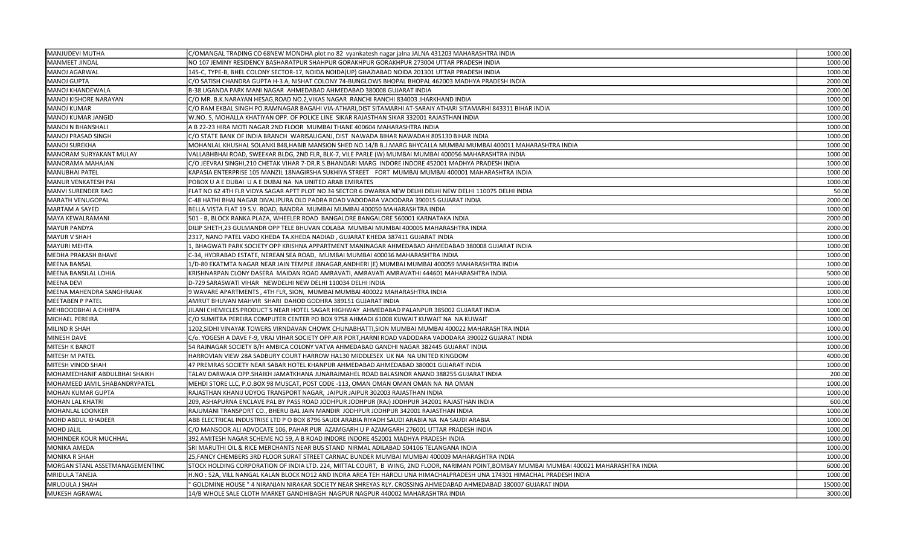| MANJUDEVI MUTHA                 | C/OMANGAL TRADING CO 68NEW MONDHA plot no 82 vyankatesh nagar jalna JALNA 431203 MAHARASHTRA INDIA                                        | 1000.00  |
|---------------------------------|-------------------------------------------------------------------------------------------------------------------------------------------|----------|
| <b>MANMEET JINDAL</b>           | NO 107 JEMINY RESIDENCY BASHARATPUR SHAHPUR GORAKHPUR GORAKHPUR 273004 UTTAR PRADESH INDIA                                                | 1000.00  |
| MANOJ AGARWAL                   | 145-C, TYPE-B, BHEL COLONY SECTOR-17, NOIDA NOIDA(UP) GHAZIABAD NOIDA 201301 UTTAR PRADESH INDIA                                          | 1000.00  |
| <b>MANOJ GUPTA</b>              | C/O SATISH CHANDRA GUPTA H-3 A, NISHAT COLONY 74-BUNGLOWS BHOPAL BHOPAL 462003 MADHYA PRADESH INDIA                                       | 2000.00  |
| MANOJ KHANDEWALA                | B-38 UGANDA PARK MANI NAGAR AHMEDABAD AHMEDABAD 380008 GUJARAT INDIA                                                                      | 2000.00  |
| MANOJ KISHORE NARAYAN           | C/O MR. B.K.NARAYAN HESAG,ROAD NO.2,VIKAS NAGAR RANCHI RANCHI 834003 JHARKHAND INDIA                                                      | 1000.00  |
| MANOJ KUMAR                     | C/O RAM EKBAL SINGH PO.RAMNAGAR BAGAHI VIA-ATHARI, DIST SITAMARHI AT-SARAIY ATHARI SITAMARHI 843311 BIHAR INDIA                           | 1000.00  |
| MANOJ KUMAR JANGID              | W.NO. 5, MOHALLA KHATIYAN OPP. OF POLICE LINE SIKAR RAJASTHAN SIKAR 332001 RAJASTHAN INDIA                                                | 1000.00  |
| MANOJ N BHANSHALI               | A B 22-23 HIRA MOTI NAGAR 2ND FLOOR MUMBAI THANE 400604 MAHARASHTRA INDIA                                                                 | 1000.00  |
| MANOJ PRASAD SINGH              | C/O STATE BANK OF INDIA BRANCH WARISALIGANJ, DIST NAWADA BIHAR NAWADAH 805130 BIHAR INDIA                                                 | 1000.00  |
| MANOJ SUREKHA                   | MOHANLAL KHUSHAL SOLANKI 848, HABIB MANSION SHED NO.14/B B.J.MARG BHYCALLA MUMBAI MUMBAI 400011 MAHARASHTRA INDIA                         | 1000.00  |
| <b>MANORAM SURYAKANT MULAY</b>  | VALLABHBHAI ROAD, SWEEKAR BLDG, 2ND FLR, BLK-7, VILE PARLE (W) MUMBAI MUMBAI 400056 MAHARASHTRA INDIA                                     | 1000.00  |
| MANORAMA MAHAJAN                | C/O JEEVRAJ SINGHI,210 CHETAK VIHAR 7-DR.R.S.BHANDARI MARG INDORE INDORE 452001 MADHYA PRADESH INDIA                                      | 1000.00  |
| <b>MANUBHAI PATEL</b>           | KAPASIA ENTERPRISE 105 MANZIL 18NAGIRSHA SUKHIYA STREET FORT MUMBAI MUMBAI 400001 MAHARASHTRA INDIA                                       | 1000.00  |
| MANUR VENKATESH PAI             | POBOX U A E DUBAI U A E DUBAI NA NA UNITED ARAB EMIRATES                                                                                  | 1000.00  |
| MANVI SURENDER RAO              | FLAT NO 62 4TH FLR VIDYA SAGAR APTT PLOT NO 34 SECTOR 6 DWARKA NEW DELHI DELHI NEW DELHI 110075 DELHI INDIA                               | 50.00    |
| <b>MARATH VENUGOPAL</b>         | C-48 HATHI BHAI NAGAR DIVALIPURA OLD PADRA ROAD VADODARA VADODARA 390015 GUJARAT INDIA                                                    | 2000.00  |
| <b>MARTAM A SAYED</b>           | BELLA VISTA FLAT 19 S.V. ROAD, BANDRA MUMBAI MUMBAI 400050 MAHARASHTRA INDIA                                                              | 1000.00  |
| MAYA KEWALRAMANI                | 501 - B, BLOCK RANKA PLAZA, WHEELER ROAD BANGALORE BANGALORE 560001 KARNATAKA INDIA                                                       | 2000.00  |
| <b>MAYUR PANDYA</b>             | DILIP SHETH, 23 GULMANDR OPP TELE BHUVAN COLABA MUMBAI MUMBAI 400005 MAHARASHTRA INDIA                                                    | 2000.00  |
| <b>MAYUR V SHAH</b>             | 2317, NANO PATEL VADO KHEDA TA.KHEDA NADIAD, GUJARAT KHEDA 387411 GUJARAT INDIA                                                           | 1000.00  |
| <b>MAYURI MEHTA</b>             | 1, BHAGWATI PARK SOCIETY OPP KRISHNA APPARTMENT MANINAGAR AHMEDABAD AHMEDABAD 380008 GUJARAT INDIA                                        | 1000.00  |
| <b>MEDHA PRAKASH BHAVE</b>      | C-34, HYDRABAD ESTATE, NEREAN SEA ROAD, MUMBAI MUMBAI 400036 MAHARASHTRA INDIA                                                            | 1000.00  |
| <b>MEENA BANSAL</b>             | 1/D-80 EKATMTA NAGAR NEAR JAIN TEMPLE JBNAGAR, ANDHERI (E) MUMBAI MUMBAI 400059 MAHARASHTRA INDIA                                         | 1000.00  |
| MEENA BANSILAL LOHIA            | KRISHNARPAN CLONY DASERA MAIDAN ROAD AMRAVATI, AMRAVATI AMRAVATHI 444601 MAHARASHTRA INDIA                                                | 5000.00  |
| <b>MEENA DEVI</b>               | D-729 SARASWATI VIHAR NEWDELHI NEW DELHI 110034 DELHI INDIA                                                                               | 1000.00  |
| MEENA MAHENDRA SANGHRAIAK       | 9 WAVARE APARTMENTS, 4TH FLR, SION, MUMBAI MUMBAI 400022 MAHARASHTRA INDIA                                                                | 1000.00  |
| MEETABEN P PATEL                | AMRUT BHUVAN MAHVIR SHARI DAHOD GODHRA 389151 GUJARAT INDIA                                                                               | 1000.00  |
| MEHBOODBHAI A CHHIPA            | JILANI CHEMICLES PRODUCT S NEAR HOTEL SAGAR HIGHWAY AHMEDABAD PALANPUR 385002 GUJARAT INDIA                                               | 1000.00  |
| MICHAEL PEREIRA                 | C/O SUMITRA PEREIRA COMPUTER CENTER PO BOX 9758 AHMADI 61008 KUWAIT KUWAIT NA NA KUWAIT                                                   | 1000.00  |
| MILIND R SHAH                   | 1202, SIDHI VINAYAK TOWERS VIRNDAVAN CHOWK CHUNABHATTI, SION MUMBAI MUMBAI 400022 MAHARASHTRA INDIA                                       | 1000.00  |
| MINESH DAVE                     | C/o. YOGESH A DAVE F-9, VRAJ VIHAR SOCIETY OPP.AIR PORT,HARNI ROAD VADODARA VADODARA 390022 GUJARAT INDIA                                 | 1000.00  |
| <b>MITESH K BAROT</b>           | 54 RAJNAGAR SOCIETY B/H AMBICA COLONY VATVA AHMEDABAD GANDHI NAGAR 382445 GUJARAT INDIA                                                   | 1000.00  |
| MITESH M PATEL                  | HARROVIAN VIEW 28A SADBURY COURT HARROW HA130 MIDDLESEX UK NA NA UNITED KINGDOM                                                           | 4000.00  |
| MITESH VINOD SHAH               | 47 PREMRAS SOCIETY NEAR SABAR HOTEL KHANPUR AHMEDABAD AHMEDABAD 380001 GUJARAT INDIA                                                      | 1000.00  |
| MOHAMEDHANIF ABDULBHAI SHAIKH   | TALAV DARWAJA OPP.SHAIKH JAMATKHANA JUNARAJMAHEL ROAD BALASINOR ANAND 388255 GUJARAT INDIA                                                | 200.00   |
| MOHAMEED JAMIL SHABANDRYPATEL   | MEHDI STORE LLC, P.O.BOX 98 MUSCAT, POST CODE -113, OMAN OMAN OMAN OMAN NA NA OMAN                                                        | 1000.00  |
| <b>MOHAN KUMAR GUPTA</b>        | RAJASTHAN KHANIJ UDYOG TRANSPORT NAGAR, JAIPUR JAIPUR 302003 RAJASTHAN INDIA                                                              | 1000.00  |
| <b>MOHAN LAL KHATRI</b>         | 209, ASHAPURNA ENCLAVE PAL BY PASS ROAD JODHPUR JODHPUR (RAJ) JODHPUR 342001 RAJASTHAN INDIA                                              | 600.00   |
| MOHANLAL LOONKER                | RAJUMANI TRANSPORT CO., BHERU BAL JAIN MANDIR JODHPUR JODHPUR 342001 RAJASTHAN INDIA                                                      | 1000.00  |
| MOHD ABDUL KHADEER              | ABB ELECTRICAL INDUSTRISE LTD P O BOX 8796 SAUDI ARABIA RIYADH SAUDI ARABIA NA NA SAUDI ARABIA                                            | 1000.00  |
| <b>MOHD JALIL</b>               | C/O MANSOOR ALI ADVOCATE 106, PAHAR PUR AZAMGARH U P AZAMGARH 276001 UTTAR PRADESH INDIA                                                  | 1000.00  |
| MOHINDER KOUR MUCHHAL           | 392 AMITESH NAGAR SCHEME NO 59, A B ROAD INDORE INDORE 452001 MADHYA PRADESH INDIA                                                        | 1000.00  |
| <b>MONIKA AMEDA</b>             | SRI MARUTHI OIL & RICE MERCHANTS NEAR BUS STAND NIRMAL ADILABAD 504106 TELANGANA INDIA                                                    | 1000.00  |
| <b>MONIKA R SHAH</b>            | 25, FANCY CHEMBERS 3RD FLOOR SURAT STREET CARNAC BUNDER MUMBAI MUMBAI 400009 MAHARASHTRA INDIA                                            | 1000.00  |
| MORGAN STANL ASSETMANAGEMENTINC | STOCK HOLDING CORPORATION OF INDIA LTD. 224, MITTAL COURT, B WING, 2ND FLOOR, NARIMAN POINT,BOMBAY MUMBAI MUMBAI 400021 MAHARASHTRA INDIA | 6000.00  |
| <b>MRIDULA TANEJA</b>           | H.NO : 52A, VILL NANGAL KALAN BLOCK NO12 AND INDRA AREA TEH HAROLI UNA HIMACHALPRADESH UNA 174301 HIMACHAL PRADESH INDIA                  | 1000.00  |
| <b>MRUDULA J SHAH</b>           | GOLDMINE HOUSE " 4 NIRANJAN NIRAKAR SOCIETY NEAR SHREYAS RLY. CROSSING AHMEDABAD AHMEDABAD 380007 GUJARAT INDIA                           | 15000.00 |
| <b>MUKESH AGRAWAL</b>           | 14/B WHOLE SALE CLOTH MARKET GANDHIBAGH NAGPUR NAGPUR 440002 MAHARASHTRA INDIA                                                            | 3000.00  |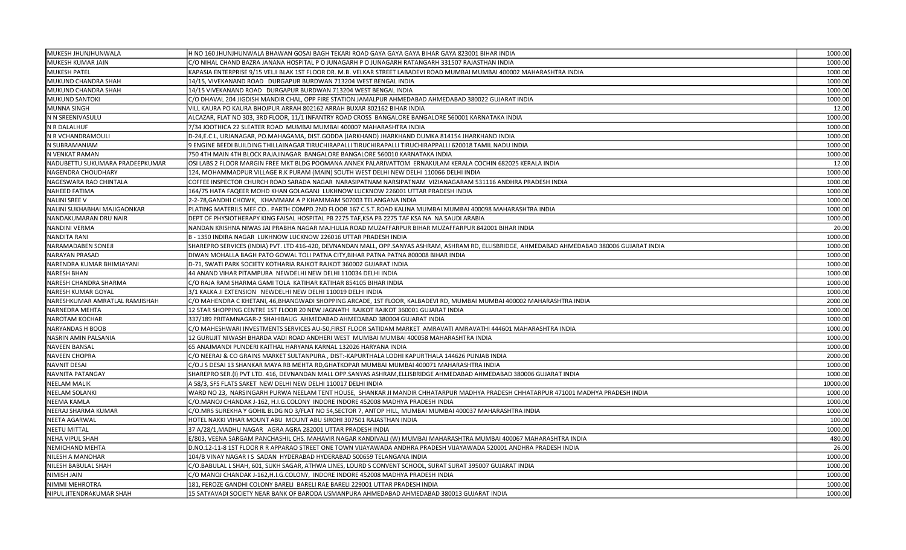| MUKESH JHUNJHUNWALA             | H NO 160 JHUNJHUNWALA BHAWAN GOSAI BAGH TEKARI ROAD GAYA GAYA GAYA BIHAR GAYA 823001 BIHAR INDIA                                                | 1000.00  |
|---------------------------------|-------------------------------------------------------------------------------------------------------------------------------------------------|----------|
| MUKESH KUMAR JAIN               | C/O NIHAL CHAND BAZRA JANANA HOSPITAL P O JUNAGARH P O JUNAGARH RATANGARH 331507 RAJASTHAN INDIA                                                | 1000.00  |
| MUKESH PATEL                    | KAPASIA ENTERPRISE 9/15 VELJI BLAK 1ST FLOOR DR. M.B. VELKAR STREET LABADEVI ROAD MUMBAI MUMBAI 400002 MAHARASHTRA INDIA                        | 1000.00  |
| MUKUND CHANDRA SHAH             | 14/15, VIVEKANAND ROAD DURGAPUR BURDWAN 713204 WEST BENGAL INDIA                                                                                | 1000.00  |
| MUKUND CHANDRA SHAH             | 14/15 VIVEKANAND ROAD DURGAPUR BURDWAN 713204 WEST BENGAL INDIA                                                                                 | 1000.00  |
| MUKUND SANTOKI                  | C/O DHAVAL 204 JIGDISH MANDIR CHAL, OPP FIRE STATION JAMALPUR AHMEDABAD AHMEDABAD 380022 GUJARAT INDIA                                          | 1000.00  |
| MUNNA SINGH                     | VILL KAURA PO KAURA BHOJPUR ARRAH 802162 ARRAH BUXAR 802162 BIHAR INDIA                                                                         | 12.00    |
| N N SREENIVASULU                | ALCAZAR, FLAT NO 303, 3RD FLOOR, 11/1 INFANTRY ROAD CROSS BANGALORE BANGALORE 560001 KARNATAKA INDIA                                            | 1000.00  |
| N R DALALHUF                    | 7/34 JOOTHICA 22 SLEATER ROAD MUMBAI MUMBAI 400007 MAHARASHTRA INDIA                                                                            | 1000.00  |
| N R VCHANDRAMOULI               | D-24,E.C.L, URJANAGAR, PO.MAHAGAMA, DIST.GODDA (JARKHAND) JHARKHAND DUMKA 814154 JHARKHAND INDIA                                                | 1000.00  |
| N SUBRAMANIAM                   | 9 ENGINE BEEDI BUILDING THILLAINAGAR TIRUCHIRAPALLI TIRUCHIRAPALLI TIRUCHIRAPPALLI 620018 TAMIL NADU INDIA                                      | 1000.00  |
| N VENKAT RAMAN                  | 750 4TH MAIN 4TH BLOCK RAJAJINAGAR BANGALORE BANGALORE 560010 KARNATAKA INDIA                                                                   | 1000.00  |
| NADUBETTU SUKUMARA PRADEEPKUMAR | OSI LABS 2 FLOOR MARGIN FREE MKT BLDG POOMANA ANNEX PALARIVATTOM ERNAKULAM KERALA COCHIN 682025 KERALA INDIA                                    | 12.00    |
| NAGENDRA CHOUDHARY              | 124, MOHAMMADPUR VILLAGE R.K PURAM (MAIN) SOUTH WEST DELHI NEW DELHI 110066 DELHI INDIA                                                         | 1000.00  |
| NAGESWARA RAO CHINTALA          | COFFEE INSPECTOR CHURCH ROAD SARADA NAGAR NARASIPATNAM NARSIPATNAM VIZIANAGARAM 531116 ANDHRA PRADESH INDIA                                     | 1000.00  |
| NAHEED FATIMA                   | 164/75 HATA FAQEER MOHD KHAN GOLAGANJ LUKHNOW LUCKNOW 226001 UTTAR PRADESH INDIA                                                                | 1000.00  |
| NALINI SREE V                   | 2-2-78, GANDHI CHOWK, KHAMMAM A P KHAMMAM 507003 TELANGANA INDIA                                                                                | 1000.00  |
| NALINI SUKHABHAI MAJIGAONKAR    | PLATING MATERILS MEF.CO PARTH COMPD.2ND FLOOR 167 C.S.T.ROAD KALINA MUMBAI MUMBAI 400098 MAHARASHTRA INDIA                                      | 1000.00  |
| NANDAKUMARAN DRU NAIR           | DEPT OF PHYSIOTHERAPY KING FAISAL HOSPITAL PB 2275 TAF, KSA PB 2275 TAF KSA NA NA SAUDI ARABIA                                                  | 1000.00  |
| NANDINI VERMA                   | NANDAN KRISHNA NIWAS JAI PRABHA NAGAR MAJHULIA ROAD MUZAFFARPUR BIHAR MUZAFFARPUR 842001 BIHAR INDIA                                            | 20.00    |
| NANDITA RANI                    | B - 1350 INDIRA NAGAR LUKHNOW LUCKNOW 226016 UTTAR PRADESH INDIA                                                                                | 1000.00  |
| NARAMADABEN SONEJI              | SHAREPRO SERVICES (INDIA) PVT. LTD 416-420, DEVNANDAN MALL, OPP.SANYAS ASHRAM, ASHRAM RD, ELLISBRIDGE, AHMEDABAD AHMEDABAD 380006 GUJARAT INDIA | 1000.00  |
| NARAYAN PRASAD                  | DIWAN MOHALLA BAGH PATO GOWAL TOLI PATNA CITY, BIHAR PATNA PATNA 800008 BIHAR INDIA                                                             | 1000.00  |
| NARENDRA KUMAR BHIMJAYANI       | D-71, SWATI PARK SOCIETY KOTHARIA RAJKOT RAJKOT 360002 GUJARAT INDIA                                                                            | 1000.00  |
| <b>NARESH BHAN</b>              | 44 ANAND VIHAR PITAMPURA NEWDELHI NEW DELHI 110034 DELHI INDIA                                                                                  | 1000.00  |
| NARESH CHANDRA SHARMA           | C/O RAJA RAM SHARMA GAMI TOLA KATIHAR KATIHAR 854105 BIHAR INDIA                                                                                | 1000.00  |
| NARESH KUMAR GOYAL              | 3/1 KALKA JI EXTENSION NEWDELHI NEW DELHI 110019 DELHI INDIA                                                                                    | 1000.00  |
| NARESHKUMAR AMRATLAL RAMJISHAH  | C/O MAHENDRA C KHETANI, 46,BHANGWADI SHOPPING ARCADE, 1ST FLOOR, KALBADEVI RD, MUMBAI MUMBAI 400002 MAHARASHTRA INDIA                           | 2000.00  |
| NARNEDRA MEHTA                  | 12 STAR SHOPPING CENTRE 1ST FLOOR 20 NEW JAGNATH RAJKOT RAJKOT 360001 GUJARAT INDIA                                                             | 1000.00  |
| NAROTAM KOCHAR                  | 337/189 PRITAMNAGAR-2 SHAHIBAUG AHMEDABAD AHMEDABAD 380004 GUJARAT INDIA                                                                        | 1000.00  |
| NARYANDAS H BOOB                | C/O MAHESHWARI INVESTMENTS SERVICES AU-50,FIRST FLOOR SATIDAM MARKET AMRAVATI AMRAVATHI 444601 MAHARASHTRA INDIA                                | 1000.00  |
| NASRIN AMIN PALSANIA            | 12 GURUJIT NIWASH BHARDA VADI ROAD ANDHERI WEST MUMBAI MUMBAI 400058 MAHARASHTRA INDIA                                                          | 1000.00  |
| <b>NAVEEN BANSAL</b>            | 65 ANAJMANDI PUNDERI KAITHAL HARYANA KARNAL 132026 HARYANA INDIA                                                                                | 1000.00  |
| NAVEEN CHOPRA                   | C/O NEERAJ & CO GRAINS MARKET SULTANPURA, DIST:-KAPURTHALA LODHI KAPURTHALA 144626 PUNJAB INDIA                                                 | 2000.00  |
| NAVNIT DESAI                    | C/O.J S DESAI 13 SHANKAR MAYA RB MEHTA RD, GHATKOPAR MUMBAI MUMBAI 400071 MAHARASHTRA INDIA                                                     | 1000.00  |
| NAVNITA PATANGAY                | SHAREPRO SER.(I) PVT LTD. 416, DEVNANDAN MALL OPP.SANYAS ASHRAM,ELLISBRIDGE AHMEDABAD AHMEDABAD 380006 GUJARAT INDIA                            | 1000.00  |
| <b>NEELAM MALIK</b>             | A 58/3, SFS FLATS SAKET NEW DELHI NEW DELHI 110017 DELHI INDIA                                                                                  | 10000.00 |
| NEELAM SOLANKI                  | WARD NO 23, NARSINGARH PURWA NEELAM TENT HOUSE, SHANKAR JI MANDIR CHHATARPUR MADHYA PRADESH CHHATARPUR 471001 MADHYA PRADESH INDIA              | 1000.00  |
| NEEMA KAMLA                     | C/O.MANOJ CHANDAK J-162, H.I.G.COLONY INDORE INDORE 452008 MADHYA PRADESH INDIA                                                                 | 1000.00  |
| NEERAJ SHARMA KUMAR             | C/O.MRS SUREKHA Y GOHIL BLDG NO 3/FLAT NO 54, SECTOR 7, ANTOP HILL, MUMBAI MUMBAI 400037 MAHARASHTRA INDIA                                      | 1000.00  |
| NEETA AGARWAL                   | HOTEL NAKKI VIHAR MOUNT ABU MOUNT ABU SIROHI 307501 RAJASTHAN INDIA                                                                             | 100.00   |
| <b>NEETU MITTAL</b>             | 37 A/28/1, MADHU NAGAR AGRA AGRA 282001 UTTAR PRADESH INDIA                                                                                     | 1000.00  |
| NEHA VIPUL SHAH                 | E/803, VEENA SARGAM PANCHASHIL CHS. MAHAVIR NAGAR KANDIVALI (W) MUMBAI MAHARASHTRA MUMBAI 400067 MAHARASHTRA INDIA                              | 480.00   |
| <b>NEMICHAND MEHTA</b>          | D.NO.12-11-8 1ST FLOOR R R APPARAO STREET ONE TOWN VIJAYAWADA ANDHRA PRADESH VIJAYAWADA 520001 ANDHRA PRADESH INDIA                             | 26.00    |
| NILESH A MANOHAR                | 104/B VINAY NAGAR I S SADAN HYDERABAD HYDERABAD 500659 TELANGANA INDIA                                                                          | 1000.00  |
| NILESH BABULAL SHAH             | C/O.BABULAL L SHAH, 601, SUKH SAGAR, ATHWA LINES, LOURD S CONVENT SCHOOL, SURAT SURAT 395007 GUJARAT INDIA                                      | 1000.00  |
| NIMISH JAIN                     | C/O MANOJ CHANDAK J-162, H.I.G.COLONY, INDORE INDORE 452008 MADHYA PRADESH INDIA                                                                | 1000.00  |
| NIMMI MEHROTRA                  | 181, FEROZE GANDHI COLONY BARELI BARELI RAE BARELI 229001 UTTAR PRADESH INDIA                                                                   | 1000.00  |
| NIPUL JITENDRAKUMAR SHAH        | 15 SATYAVADI SOCIETY NEAR BANK OF BARODA USMANPURA AHMEDABAD AHMEDABAD 380013 GUJARAT INDIA                                                     | 1000.00  |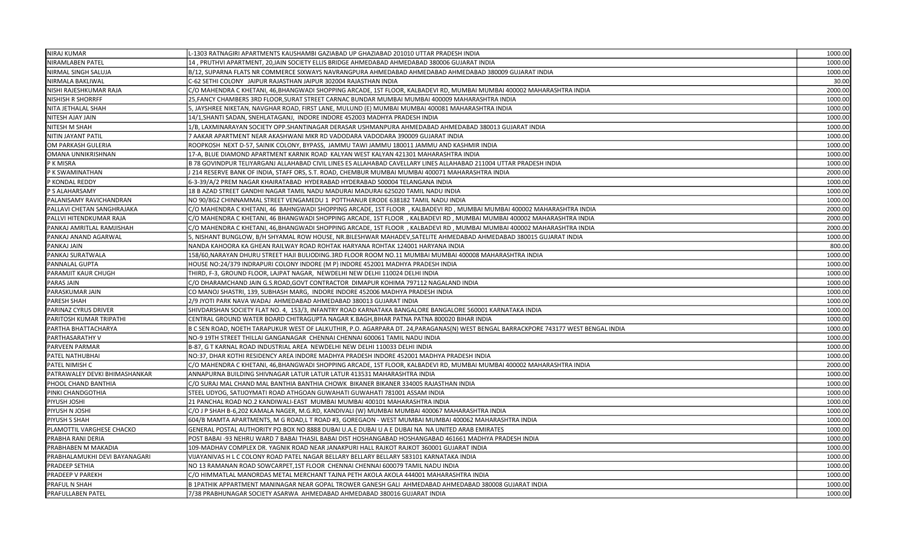| <b>NIRAJ KUMAR</b>            | L-1303 RATNAGIRI APARTMENTS KAUSHAMBI GAZIABAD UP GHAZIABAD 201010 UTTAR PRADESH INDIA                                              | 1000.00 |
|-------------------------------|-------------------------------------------------------------------------------------------------------------------------------------|---------|
| NIRAMLABEN PATEL              | 14, PRUTHVI APARTMENT, 20, JAIN SOCIETY ELLIS BRIDGE AHMEDABAD AHMEDABAD 380006 GUJARAT INDIA                                       | 1000.00 |
| NIRMAL SINGH SALUJA           | B/12, SUPARNA FLATS NR COMMERCE SIXWAYS NAVRANGPURA AHMEDABAD AHMEDABAD AHMEDABAD 380009 GUJARAT INDIA                              | 1000.00 |
| NIRMALA BAKLIWAL              | C-62 SETHI COLONY JAIPUR RAJASTHAN JAIPUR 302004 RAJASTHAN INDIA                                                                    | 30.00   |
| NISHI RAJESHKUMAR RAJA        | C/O MAHENDRA C KHETANI, 46,BHANGWADI SHOPPING ARCADE, 1ST FLOOR, KALBADEVI RD, MUMBAI MUMBAI 400002 MAHARASHTRA INDIA               | 2000.00 |
| <b>NISHISH R SHORRFF</b>      | 25, FANCY CHAMBERS 3RD FLOOR, SURAT STREET CARNAC BUNDAR MUMBAI MUMBAI 400009 MAHARASHTRA INDIA                                     | 1000.00 |
| NITA JETHALAL SHAH            | 5, JAYSHREE NIKETAN, NAVGHAR ROAD, FIRST LANE, MULUND (E) MUMBAI MUMBAI 400081 MAHARASHTRA INDIA                                    | 1000.00 |
| NITESH AJAY JAIN              | 14/1, SHANTI SADAN, SNEHLATAGANJ, INDORE INDORE 452003 MADHYA PRADESH INDIA                                                         | 1000.00 |
| NITESH M SHAH                 | 1/B, LAXMINARAYAN SOCIETY OPP.SHANTINAGAR DERASAR USHMANPURA AHMEDABAD AHMEDABAD 380013 GUJARAT INDIA                               | 1000.00 |
| NITIN JAYANT PATIL            | 7 AAKAR APARTMENT NEAR AKASHWANI MKR RD VADODARA VADODARA 390009 GUJARAT INDIA                                                      | 1000.00 |
| OM PARKASH GULERIA            | ROOPKOSH NEXT D-57, SAINIK COLONY, BYPASS, JAMMU TAWI JAMMU 180011 JAMMU AND KASHMIR INDIA                                          | 1000.00 |
| OMANA UNNIKRISHNAN            | 17-A, BLUE DIAMOND APARTMENT KARNIK ROAD KALYAN WEST KALYAN 421301 MAHARASHTRA INDIA                                                | 1000.00 |
| P K MISRA                     | B 78 GOVINDPUR TELIYARGANJ ALLAHABAD CIVIL LINES ES ALLAHABAD CAVELLARY LINES ALLAHABAD 211004 UTTAR PRADESH INDIA                  | 1000.00 |
| P K SWAMINATHAN               | J 214 RESERVE BANK OF INDIA, STAFF ORS, S.T. ROAD, CHEMBUR MUMBAI MUMBAI 400071 MAHARASHTRA INDIA                                   | 2000.00 |
| P KONDAL REDDY                | 6-3-39/A/2 PREM NAGAR KHAIRATABAD HYDERABAD HYDERABAD 500004 TELANGANA INDIA                                                        | 1000.00 |
| P S ALAHARSAMY                | 18 B AZAD STREET GANDHI NAGAR TAMIL NADU MADURAI MADURAI 625020 TAMIL NADU INDIA                                                    | 1000.00 |
| PALANISAMY RAVICHANDRAN       | NO 90/8G2 CHINNAMMAL STREET VENGAMEDU 1 POTTHANUR ERODE 638182 TAMIL NADU INDIA                                                     | 1000.00 |
| PALLAVI CHETAN SANGHRAJAKA    | C/O MAHENDRA C KHETANI, 46 BAHNGWADI SHOPPING ARCADE, 1ST FLOOR, KALBADEVI RD, MUMBAI MUMBAI 400002 MAHARASHTRA INDIA               | 2000.00 |
| PALLVI HITENDKUMAR RAJA       | C/O MAHENDRA C KHETANI, 46 BHANGWADI SHOPPING ARCADE, 1ST FLOOR), KALBADEVI RD, MUMBAI MUMBAI 400002 MAHARASHTRA INDIA              | 2000.00 |
| PANKAJ AMRITLAL RAMJISHAH     | C/O MAHENDRA C KHETANI, 46,BHANGWADI SHOPPING ARCADE, 1ST FLOOR , KALBADEVI RD , MUMBAI MUMBAI 400002 MAHARASHTRA INDIA             | 2000.00 |
| PANKAJ ANAND AGARWAL          | 5, NISHANT BUNGLOW, B/H SHYAMAL ROW HOUSE, NR.BILESHWAR MAHADEV, SATELITE AHMEDABAD AHMEDABAD 380015 GUJARAT INDIA                  | 1000.00 |
| PANKAJ JAIN                   | NANDA KAHOORA KA GHEAN RAILWAY ROAD ROHTAK HARYANA ROHTAK 124001 HARYANA INDIA                                                      | 800.00  |
| PANKAJ SURATWALA              | 158/60, NARAYAN DHURU STREET HAJI BULIODING. 3RD FLOOR ROOM NO.11 MUMBAI MUMBAI 400008 MAHARASHTRA INDIA                            | 1000.00 |
| PANNALAL GUPTA                | HOUSE NO:24/379 INDRAPURI COLONY INDORE (M P) INDORE 452001 MADHYA PRADESH INDIA                                                    | 1000.00 |
| PARAMJIT KAUR CHUGH           | THIRD, F-3, GROUND FLOOR, LAJPAT NAGAR, NEWDELHI NEW DELHI 110024 DELHI INDIA                                                       | 1000.00 |
| PARAS JAIN                    | C/O DHARAMCHAND JAIN G.S.ROAD, GOVT CONTRACTOR DIMAPUR KOHIMA 797112 NAGALAND INDIA                                                 | 1000.00 |
| PARASKUMAR JAIN               | CO MANOJ SHASTRI, 139, SUBHASH MARG, INDORE INDORE 452006 MADHYA PRADESH INDIA                                                      | 1000.00 |
| PARESH SHAH                   | 2/9 JYOTI PARK NAVA WADAJ AHMEDABAD AHMEDABAD 380013 GUJARAT INDIA                                                                  | 1000.00 |
| PARINAZ CYRUS DRIVER          | SHIVDARSHAN SOCIETY FLAT NO. 4, 153/3, INFANTRY ROAD KARNATAKA BANGALORE BANGALORE 560001 KARNATAKA INDIA                           | 1000.00 |
| PARITOSH KUMAR TRIPATHI       | CENTRAL GROUND WATER BOARD CHITRAGUPTA NAGAR K.BAGH, BIHAR PATNA PATNA 800020 BIHAR INDIA                                           | 1000.00 |
| PARTHA BHATTACHARYA           | B C SEN ROAD, NOETH TARAPUKUR WEST OF LALKUTHIR, P.O. AGARPARA DT. 24,PARAGANAS(N) WEST BENGAL BARRACKPORE 743177 WEST BENGAL INDIA | 1000.00 |
| PARTHASARATHY V               | NO-9 19TH STREET THILLAI GANGANAGAR CHENNAI CHENNAI 600061 TAMIL NADU INDIA                                                         | 1000.00 |
| PARVEEN PARMAR                | B-87, G T KARNAL ROAD INDUSTRIAL AREA NEWDELHI NEW DELHI 110033 DELHI INDIA                                                         | 1000.00 |
| PATEL NATHUBHAI               | NO:37, DHAR KOTHI RESIDENCY AREA INDORE MADHYA PRADESH INDORE 452001 MADHYA PRADESH INDIA                                           | 1000.00 |
| PATEL NIMISH C                | C/O MAHENDRA C KHETANI, 46,BHANGWADI SHOPPING ARCADE, 1ST FLOOR, KALBADEVI RD, MUMBAI MUMBAI 400002 MAHARASHTRA INDIA               | 2000.00 |
| PATRAWALEY DEVKI BHIMASHANKAR | ANNAPURNA BUILDING SHIVNAGAR LATUR LATUR LATUR 413531 MAHARASHTRA INDIA                                                             | 1000.00 |
| PHOOL CHAND BANTHIA           | C/O SURAJ MAL CHAND MAL BANTHIA BANTHIA CHOWK BIKANER BIKANER 334005 RAJASTHAN INDIA                                                | 1000.00 |
| PINKI CHANDGOTHIA             | STEEL UDYOG, SATIJOYMATI ROAD ATHGOAN GUWAHATI GUWAHATI 781001 ASSAM INDIA                                                          | 1000.00 |
| PIYUSH JOSHI                  | 21 PANCHAL ROAD NO.2 KANDIWALI-EAST MUMBAI MUMBAI 400101 MAHARASHTRA INDIA                                                          | 1000.00 |
| PIYUSH N JOSHI                | C/O J P SHAH B-6,202 KAMALA NAGER, M.G.RD, KANDIVALI (W) MUMBAI MUMBAI 400067 MAHARASHTRA INDIA                                     | 1000.00 |
| PIYUSH S SHAH                 | 604/B MAMTA APARTMENTS, M G ROAD,L T ROAD #3, GOREGAON - WEST MUMBAI MUMBAI 400062 MAHARASHTRA INDIA                                | 1000.0  |
| PLAMOTTIL VARGHESE CHACKO     | GENERAL POSTAL AUTHORITY PO.BOX NO 8888 DUBAI U.A.E DUBAI U A E DUBAI NA NA UNITED ARAB EMIRATES                                    | 1000.00 |
| PRABHA RANI DERIA             | POST BABAI-93 NEHRU WARD 7 BABAI THASIL BABAI DIST HOSHANGABAD HOSHANGABAD 461661 MADHYA PRADESH INDIA                              | 1000.0  |
| PRABHABEN M MAKADIA           | 109-MADHAV COMPLEX DR. YAGNIK ROAD NEAR JANAKPURI HALL RAJKOT RAJKOT 360001 GUJARAT INDIA                                           | 1000.00 |
| PRABHALAMUKHI DEVI BAYANAGARI | VIJAYANIVAS H L C COLONY ROAD PATEL NAGAR BELLARY BELLARY BELLARY 583101 KARNATAKA INDIA                                            | 1000.0  |
| PRADEEP SETHIA                | NO 13 RAMANAN ROAD SOWCARPET, 1ST FLOOR CHENNAI CHENNAI 600079 TAMIL NADU INDIA                                                     | 1000.00 |
| PRADEEP V PAREKH              | C/O HIMMATLAL MANORDAS METAL MERCHANT TAJNA PETH AKOLA AKOLA 444001 MAHARASHTRA INDIA                                               | 1000.00 |
| PRAFUL N SHAH                 | B 1PATHIK APPARTMENT MANINAGAR NEAR GOPAL TROWER GANESH GALI AHMEDABAD AHMEDABAD 380008 GUJARAT INDIA                               | 1000.00 |
| <b>PRAFULLABEN PATEL</b>      | 7/38 PRABHUNAGAR SOCIETY ASARWA AHMEDABAD AHMEDABAD 380016 GUJARAT INDIA                                                            | 1000.00 |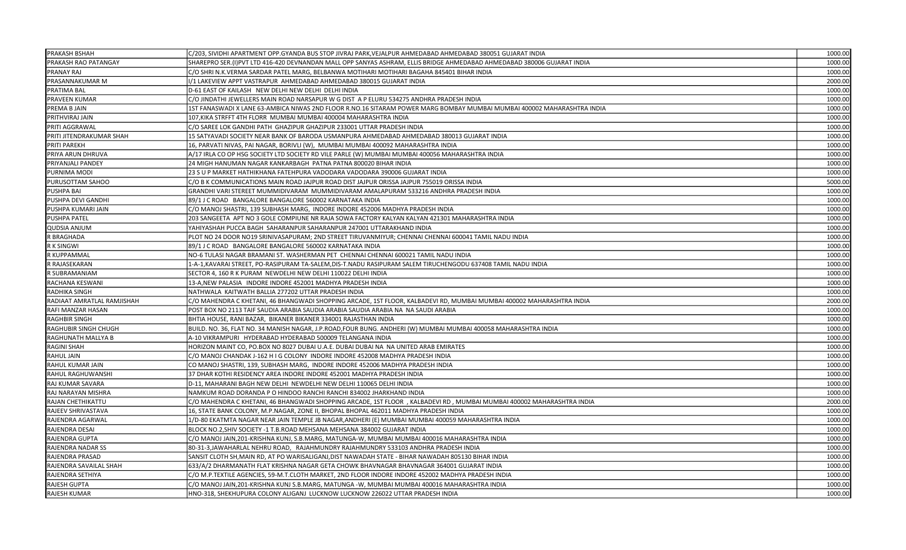| <b>PRAKASH BSHAH</b>        | C/203, SIVIDHI APARTMENT OPP.GYANDA BUS STOP JIVRAJ PARK, VEJALPUR AHMEDABAD AHMEDABAD 380051 GUJARAT INDIA             | 1000.00 |
|-----------------------------|-------------------------------------------------------------------------------------------------------------------------|---------|
| PRAKASH RAO PATANGAY        | SHAREPRO SER.(I)PVT LTD 416-420 DEVNANDAN MALL OPP SANYAS ASHRAM, ELLIS BRIDGE AHMEDABAD AHMEDABAD 380006 GUJARAT INDIA | 1000.00 |
| PRANAY RAJ                  | C/O SHRI N.K.VERMA SARDAR PATEL MARG, BELBANWA MOTIHARI MOTIHARI BAGAHA 845401 BIHAR INDIA                              | 1000.00 |
| PRASANNAKUMAR M             | I/1 LAKEVIEW APPT VASTRAPUR AHMEDABAD AHMEDABAD 380015 GUJARAT INDIA                                                    | 2000.00 |
| PRATIMA BAL                 | D-61 EAST OF KAILASH NEW DELHI NEW DELHI DELHI INDIA                                                                    | 1000.00 |
| PRAVEEN KUMAR               | C/O JINDATHI JEWELLERS MAIN ROAD NARSAPUR W G DIST A P ELURU 534275 ANDHRA PRADESH INDIA                                | 1000.00 |
| PREMA B JAIN                | 1ST FANASWADI X LANE 63-AMBICA NIWAS 2ND FLOOR R.NO.16 SITARAM POWER MARG BOMBAY MUMBAI MUMBAI 400002 MAHARASHTRA INDIA | 1000.00 |
| PRITHVIRAJ JAIN             | 107, KIKA STRFFT 4TH FLORR MUMBAI MUMBAI 400004 MAHARASHTRA INDIA                                                       | 1000.00 |
| PRITI AGGRAWAL              | C/O SAREE LOK GANDHI PATH GHAZIPUR GHAZIPUR 233001 UTTAR PRADESH INDIA                                                  | 1000.00 |
| PRITI JITENDRAKUMAR SHAH    | 15 SATYAVADI SOCIETY NEAR BANK OF BARODA USMANPURA AHMEDABAD AHMEDABAD 380013 GUJARAT INDIA                             | 1000.00 |
| PRITI PAREKH                | 16, PARVATI NIVAS, PAI NAGAR, BORIVLI (W), MUMBAI MUMBAI 400092 MAHARASHTRA INDIA                                       | 1000.00 |
| PRIYA ARUN DHRUVA           | A/17 IRLA CO OP HSG SOCIETY LTD SOCIETY RD VILE PARLE (W) MUMBAI MUMBAI 400056 MAHARASHTRA INDIA                        | 1000.00 |
| PRIYANJALI PANDEY           | 24 MIGH HANUMAN NAGAR KANKARBAGH PATNA PATNA 800020 BIHAR INDIA                                                         | 1000.00 |
| PURNIMA MODI                | 23 S U P MARKET HATHIKHANA FATEHPURA VADODARA VADODARA 390006 GUJARAT INDIA                                             | 1000.00 |
| PURUSOTTAM SAHOO            | C/O B K COMMUNICATIONS MAIN ROAD JAJPUR ROAD DIST JAJPUR ORISSA JAJPUR 755019 ORISSA INDIA                              | 5000.00 |
| PUSHPA BAI                  | GRANDHI VARI STEREET MUMMIDIVARAM MUMMIDIVARAM AMALAPURAM 533216 ANDHRA PRADESH INDIA                                   | 1000.00 |
| PUSHPA DEVI GANDHI          | 89/1 J C ROAD BANGALORE BANGALORE 560002 KARNATAKA INDIA                                                                | 1000.00 |
| PUSHPA KUMARI JAIN          | C/O MANOJ SHASTRI, 139 SUBHASH MARG, INDORE INDORE 452006 MADHYA PRADESH INDIA                                          | 1000.00 |
| PUSHPA PATEL                | 203 SANGEETA APT NO 3 GOLE COMPIUNE NR RAJA SOWA FACTORY KALYAN KALYAN 421301 MAHARASHTRA INDIA                         | 1000.00 |
| <b>QUDSIA ANJUM</b>         | YAHIYASHAH PUCCA BAGH SAHARANPUR SAHARANPUR 247001 UTTARAKHAND INDIA                                                    | 1000.00 |
| R BRAGHADA                  | PLOT NO 24 DOOR NO19 SRINIVASAPURAM; 2ND STREET TIRUVANMIYUR; CHENNAI CHENNAI 600041 TAMIL NADU INDIA                   | 1000.00 |
| R K SINGWI                  | 89/1 J C ROAD BANGALORE BANGALORE 560002 KARNATAKA INDIA                                                                | 1000.00 |
| R KUPPAMMAL                 | NO-6 TULASI NAGAR BRAMANI ST. WASHERMAN PET CHENNAI CHENNAI 600021 TAMIL NADU INDIA                                     | 1000.00 |
| R RAJASEKARAN               | 1-A-1, KAVARAI STREET, PO-RASIPURAM TA-SALEM, DIS-T. NADU RASIPURAM SALEM TIRUCHENGODU 637408 TAMIL NADU INDIA          | 1000.00 |
| R SUBRAMANIAM               | SECTOR 4, 160 R K PURAM NEWDELHI NEW DELHI 110022 DELHI INDIA                                                           | 1000.00 |
| RACHANA KESWANI             | 13-A, NEW PALASIA INDORE INDORE 452001 MADHYA PRADESH INDIA                                                             | 1000.00 |
| <b>RADHIKA SINGH</b>        | NATHWALA KAITWATH BALLIA 277202 UTTAR PRADESH INDIA                                                                     | 1000.00 |
| RADIAAT AMRATLAL RAMJISHAH  | C/O MAHENDRA C KHETANI, 46 BHANGWADI SHOPPING ARCADE, 1ST FLOOR, KALBADEVI RD, MUMBAI MUMBAI 400002 MAHARASHTRA INDIA   | 2000.00 |
| RAFI MANZAR HASAN           | POST BOX NO 2113 TAIF SAUDIA ARABIA SAUDIA ARABIA SAUDIA ARABIA NA NA SAUDI ARABIA                                      | 1000.00 |
| <b>RAGHBIR SINGH</b>        | BHTIA HOUSE, RANI BAZAR, BIKANER BIKANER 334001 RAJASTHAN INDIA                                                         | 1000.00 |
| <b>RAGHUBIR SINGH CHUGH</b> | BUILD. NO. 36, FLAT NO. 34 MANISH NAGAR, J.P.ROAD,FOUR BUNG. ANDHERI (W) MUMBAI MUMBAI 400058 MAHARASHTRA INDIA         | 1000.00 |
| RAGHUNATH MALLYA B          | A-10 VIKRAMPURI HYDERABAD HYDERABAD 500009 TELANGANA INDIA                                                              | 1000.00 |
| RAGINI SHAH                 | HORIZON MAINT CO, PO.BOX NO 8027 DUBAI U.A.E. DUBAI DUBAI NA NA UNITED ARAB EMIRATES                                    | 1000.00 |
| RAHUL JAIN                  | C/O MANOJ CHANDAK J-162 H I G COLONY INDORE INDORE 452008 MADHYA PRADESH INDIA                                          | 1000.00 |
| RAHUL KUMAR JAIN            | CO MANOJ SHASTRI, 139, SUBHASH MARG, INDORE INDORE 452006 MADHYA PRADESH INDIA                                          | 1000.00 |
| RAHUL RAGHUWANSHI           | 37 DHAR KOTHI RESIDENCY AREA INDORE INDORE 452001 MADHYA PRADESH INDIA                                                  | 1000.00 |
| RAJ KUMAR SAVARA            | D-11, MAHARANI BAGH NEW DELHI NEWDELHI NEW DELHI 110065 DELHI INDIA                                                     | 1000.00 |
| RAJ NARAYAN MISHRA          | NAMKUM ROAD DORANDA P O HINDOO RANCHI RANCHI 834002 JHARKHAND INDIA                                                     | 1000.00 |
| RAJAN CHETHIKATTU           | C/O MAHENDRA C KHETANI, 46 BHANGWADI SHOPPING ARCADE, 1ST FLOOR , KALBADEVI RD, MUMBAI MUMBAI 400002 MAHARASHTRA INDIA  | 2000.00 |
| RAJEEV SHRIVASTAVA          | 16, STATE BANK COLONY, M.P.NAGAR, ZONE II, BHOPAL BHOPAL 462011 MADHYA PRADESH INDIA                                    | 1000.00 |
| RAJENDRA AGARWAL            | 1/D-80 EKATMTA NAGAR NEAR JAIN TEMPLE JB NAGAR, ANDHERI (E) MUMBAI MUMBAI 400059 MAHARASHTRA INDIA                      | 1000.00 |
| RAJENDRA DESAI              | BLOCK NO.2, SHIV SOCIETY -1 T.B.ROAD MEHSANA MEHSANA 384002 GUJARAT INDIA                                               | 1000.00 |
| RAJENDRA GUPTA              | C/O MANOJ JAIN, 201-KRISHNA KUNJ, S.B.MARG, MATUNGA-W, MUMBAI MUMBAI 400016 MAHARASHTRA INDIA                           | 1000.00 |
| <b>RAJENDRA NADAR SS</b>    | 80-31-3, JAWAHARLAL NEHRU ROAD, RAJAHMUNDRY RAJAHMUNDRY 533103 ANDHRA PRADESH INDIA                                     | 1000.00 |
| RAJENDRA PRASAD             | SANSIT CLOTH SH, MAIN RD, AT PO WARISALIGANJ, DIST NAWADAH STATE - BIHAR NAWADAH 805130 BIHAR INDIA                     | 1000.00 |
| RAJENDRA SAVAILAL SHAH      | 633/A/2 DHARMANATH FLAT KRISHNA NAGAR GETA CHOWK BHAVNAGAR BHAVNAGAR 364001 GUJARAT INDIA                               | 1000.00 |
| RAJENDRA SETHIYA            | C/O M.P.TEXTILE AGENCIES, 59-M.T.CLOTH MARKET, 2ND FLOOR INDORE INDORE 452002 MADHYA PRADESH INDIA                      | 1000.00 |
| <b>RAJESH GUPTA</b>         | C/O MANOJ JAIN,201-KRISHNA KUNJ S.B.MARG, MATUNGA -W, MUMBAI MUMBAI 400016 MAHARASHTRA INDIA                            | 1000.00 |
| <b>RAJESH KUMAR</b>         | HNO-318, SHEKHUPURA COLONY ALIGANJ LUCKNOW LUCKNOW 226022 UTTAR PRADESH INDIA                                           | 1000.00 |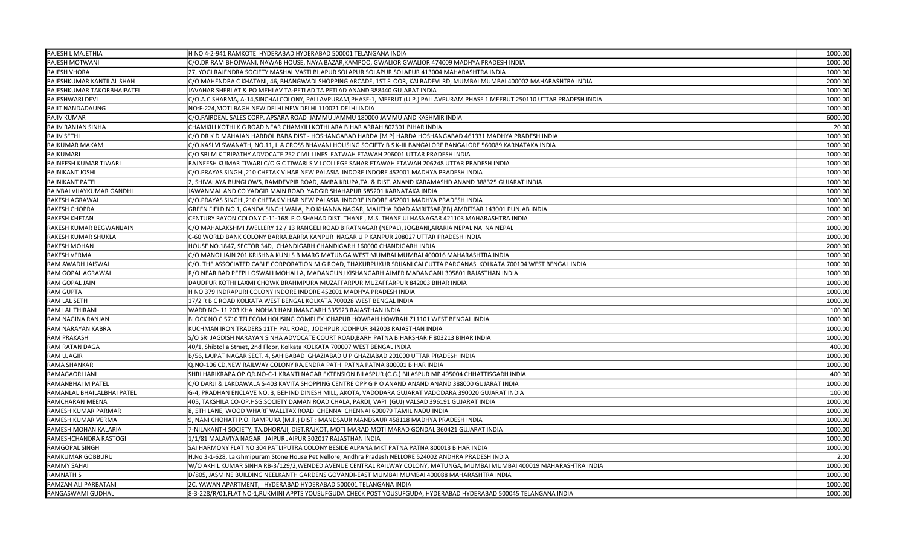| RAJESH L MAJETHIA          | H NO 4-2-941 RAMKOTE HYDERABAD HYDERABAD 500001 TELANGANA INDIA                                                               | 1000.00 |
|----------------------------|-------------------------------------------------------------------------------------------------------------------------------|---------|
| RAJESH MOTWANI             | C/O.DR RAM BHOJWANI, NAWAB HOUSE, NAYA BAZAR, KAMPOO, GWALIOR GWALIOR 474009 MADHYA PRADESH INDIA                             | 1000.00 |
| RAJESH VHORA               | 27, YOGI RAJENDRA SOCIETY MASHAL VASTI BIJAPUR SOLAPUR SOLAPUR SOLAPUR 413004 MAHARASHTRA INDIA                               | 1000.00 |
| RAJESHKUMAR KANTILAL SHAH  | C/O MAHENDRA C KHATANI, 46, BHANGWADI SHOPPING ARCADE, 1ST FLOOR, KALBADEVI RD, MUMBAI MUMBAI 400002 MAHARASHTRA INDIA        | 2000.00 |
| RAJESHKUMAR TAKORBHAIPATEL | JAVAHAR SHERI AT & PO MEHLAV TA-PETLAD TA PETLAD ANAND 388440 GUJARAT INDIA                                                   | 1000.00 |
| RAJESHWARI DEVI            | C/O.A.C.SHARMA, A-14,SINCHAI COLONY, PALLAVPURAM,PHASE-1, MEERUT (U.P.) PALLAVPURAM PHASE 1 MEERUT 250110 UTTAR PRADESH INDIA | 1000.00 |
| RAJIT NANDADAUNG           | NO:F-224, MOTI BAGH NEW DELHI NEW DELHI 110021 DELHI INDIA                                                                    | 1000.00 |
| <b>RAJIV KUMAR</b>         | C/O.FAIRDEAL SALES CORP. APSARA ROAD JAMMU JAMMU 180000 JAMMU AND KASHMIR INDIA                                               | 6000.00 |
| RAJIV RANJAN SINHA         | CHAMKILI KOTHI K G ROAD NEAR CHAMKILI KOTHI ARA BIHAR ARRAH 802301 BIHAR INDIA                                                | 20.00   |
| RAJIV SETHI                | C/O DR K D MAHAJAN HARDOL BABA DIST - HOSHANGABAD HARDA [M P] HARDA HOSHANGABAD 461331 MADHYA PRADESH INDIA                   | 1000.00 |
| RAJKUMAR MAKAM             | C/O.KASI VI SWANATH, NO.11, I A CROSS BHAVANI HOUSING SOCIETY B S K-III BANGALORE BANGALORE 560089 KARNATAKA INDIA            | 1000.00 |
| RAJKUMARI                  | C/O SRI M K TRIPATHY ADVOCATE 252 CIVIL LINES EATWAH ETAWAH 206001 UTTAR PRADESH INDIA                                        | 1000.00 |
| RAJNEESH KUMAR TIWARI      | RAJNEESH KUMAR TIWARI C/O G C TIWARI S V I COLLEGE SAHAR ETAWAH ETAWAH 206248 UTTAR PRADESH INDIA                             | 1000.00 |
| RAJNIKANT JOSHI            | C/O.PRAYAS SINGHI,210 CHETAK VIHAR NEW PALASIA INDORE INDORE 452001 MADHYA PRADESH INDIA                                      | 1000.00 |
| RAJNIKANT PATEL            | 2, SHIVALAYA BUNGLOWS, RAMDEVPIR ROAD, AMBA KRUPA, TA. & DIST. ANAND KARAMASHD ANAND 388325 GUJARAT INDIA                     | 1000.00 |
| RAJVBAI VIJAYKUMAR GANDHI  | JAWANMAL AND CO YADGIR MAIN ROAD YADGIR SHAHAPUR 585201 KARNATAKA INDIA                                                       | 1000.00 |
| RAKESH AGRAWAL             | C/O.PRAYAS SINGHI,210 CHETAK VIHAR NEW PALASIA INDORE INDORE 452001 MADHYA PRADESH INDIA                                      | 1000.00 |
| RAKESH CHOPRA              | GREEN FIELD NO 1, GANDA SINGH WALA, P.O KHANNA NAGAR, MAJITHA ROAD AMRITSAR(PB) AMRITSAR 143001 PUNJAB INDIA                  | 1000.00 |
| RAKESH KHETAN              | CENTURY RAYON COLONY C-11-168 P.O.SHAHAD DIST. THANE , M.S. THANE ULHASNAGAR 421103 MAHARASHTRA INDIA                         | 2000.00 |
| RAKESH KUMAR BEGWANIJAIN   | C/O MAHALAKSHMI JWELLERY 12 / 13 RANGELI ROAD BIRATNAGAR (NEPAL), JOGBANI, ARARIA NEPAL NA NA NEPAL                           | 1000.00 |
| RAKESH KUMAR SHUKLA        | C-60 WORLD BANK COLONY BARRA, BARRA KANPUR NAGAR U P KANPUR 208027 UTTAR PRADESH INDIA                                        | 1000.00 |
| <b>RAKESH MOHAN</b>        | HOUSE NO.1847, SECTOR 34D, CHANDIGARH CHANDIGARH 160000 CHANDIGARH INDIA                                                      | 2000.00 |
| <b>RAKESH VERMA</b>        | C/O MANOJ JAIN 201 KRISHNA KUNJ S B MARG MATUNGA WEST MUMBAI MUMBAI 400016 MAHARASHTRA INDIA                                  | 1000.00 |
| RAM AWADH JAISWAL          | C/O. THE ASSOCIATED CABLE CORPORATION M G ROAD, THAKURPUKUR SRIJANI CALCUTTA PARGANAS KOLKATA 700104 WEST BENGAL INDIA        | 1000.00 |
| RAM GOPAL AGRAWAL          | R/O NEAR BAD PEEPLI OSWALI MOHALLA, MADANGUNJ KISHANGARH AJMER MADANGANJ 305801 RAJASTHAN INDIA                               | 1000.00 |
| RAM GOPAL JAIN             | DAUDPUR KOTHI LAXMI CHOWK BRAHMPURA MUZAFFARPUR MUZAFFARPUR 842003 BIHAR INDIA                                                | 1000.00 |
| <b>RAM GUPTA</b>           | H NO 379 INDRAPURI COLONY INDORE INDORE 452001 MADHYA PRADESH INDIA                                                           | 1000.00 |
| RAM LAL SETH               | 17/2 R B C ROAD KOLKATA WEST BENGAL KOLKATA 700028 WEST BENGAL INDIA                                                          | 1000.00 |
| RAM LAL THIRANI            | WARD NO-11 203 KHA NOHAR HANUMANGARH 335523 RAJASTHAN INDIA                                                                   | 100.00  |
| RAM NAGINA RANJAN          | BLOCK NO C 5710 TELECOM HOUSING COMPLEX ICHAPUR HOWRAH HOWRAH 711101 WEST BENGAL INDIA                                        | 1000.00 |
| RAM NARAYAN KABRA          | KUCHMAN IRON TRADERS 11TH PAL ROAD, JODHPUR JODHPUR 342003 RAJASTHAN INDIA                                                    | 1000.00 |
| <b>RAM PRAKASH</b>         | S/O SRI JAGDISH NARAYAN SINHA ADVOCATE COURT ROAD,BARH PATNA BIHARSHARIF 803213 BIHAR INDIA                                   | 1000.00 |
| RAM RATAN DAGA             | 40/1, Shibtolla Street, 2nd Floor, Kolkata KOLKATA 700007 WEST BENGAL INDIA                                                   | 400.00  |
| RAM UJAGIR                 | B/56, LAJPAT NAGAR SECT. 4, SAHIBABAD GHAZIABAD U P GHAZIABAD 201000 UTTAR PRADESH INDIA                                      | 1000.00 |
| RAMA SHANKAR               | Q.NO-106 CD,NEW RAILWAY COLONY RAJENDRA PATH PATNA PATNA 800001 BIHAR INDIA                                                   | 1000.00 |
| RAMAGAORI JANI             | SHRI HARIKRAPA OP. QR. NO-C-1 KRANTI NAGAR EXTENSION BILASPUR (C.G.) BILASPUR MP 495004 CHHATTISGARH INDIA                    | 400.00  |
| RAMANBHAI M PATEL          | C/O DARJI & LAKDAWALA S-403 KAVITA SHOPPING CENTRE OPP G P O ANAND ANAND ANAND 388000 GUJARAT INDIA                           | 1000.00 |
| RAMANLAL BHAILALBHAI PATEL | G-4, PRADHAN ENCLAVE NO. 3, BEHIND DINESH MILL, AKOTA, VADODARA GUJARAT VADODARA 390020 GUJARAT INDIA                         | 100.00  |
| RAMCHARAN MEENA            | 405, TAKSHILA CO-OP.HSG.SOCIETY DAMAN ROAD CHALA, PARDI, VAPI (GUJ) VALSAD 396191 GUJARAT INDIA                               | 1000.00 |
| RAMESH KUMAR PARMAR        | 8, 5TH LANE, WOOD WHARF WALLTAX ROAD CHENNAI CHENNAI 600079 TAMIL NADU INDIA                                                  | 1000.00 |
| RAMESH KUMAR VERMA         | 9, NANI CHOHATI P.O. RAMPURA (M.P.) DIST : MANDSAUR MANDSAUR 458118 MADHYA PRADESH INDIA                                      | 1000.00 |
| RAMESH MOHAN KALARIA       | 7-NILAKANTH SOCIETY, TA.DHORAJI, DIST.RAJKOT, MOTI MARAD MOTI MARAD GONDAL 360421 GUJARAT INDIA                               | 1000.00 |
| RAMESHCHANDRA RASTOGI      | 1/1/81 MALAVIYA NAGAR JAIPUR JAIPUR 302017 RAJASTHAN INDIA                                                                    | 1000.00 |
| RAMGOPAL SINGH             | SAI HARMONY FLAT NO 304 PATLIPUTRA COLONY BESIDE ALPANA MKT PATNA PATNA 800013 BIHAR INDIA                                    | 1000.00 |
| RAMKUMAR GOBBURU           | H.No 3-1-628, Lakshmipuram Stone House Pet Nellore, Andhra Pradesh NELLORE 524002 ANDHRA PRADESH INDIA                        | 2.00    |
| <b>RAMMY SAHAI</b>         | W/O AKHIL KUMAR SINHA RB-3/129/2, WENDED AVENUE CENTRAL RAILWAY COLONY, MATUNGA, MUMBAI MUMBAI 400019 MAHARASHTRA INDIA       | 1000.00 |
| RAMNATH S                  | D/805, JASMINE BUILDING NEELKANTH GARDENS GOVANDI-EAST MUMBAI MUMBAI 400088 MAHARASHTRA INDIA                                 | 1000.00 |
| RAMZAN ALI PARBATANI       | 2C, YAWAN APARTMENT, HYDERABAD HYDERABAD 500001 TELANGANA INDIA                                                               | 1000.00 |
| RANGASWAMI GUDHAL          | 8-3-228/R/01,FLAT NO-1,RUKMINI APPTS YOUSUFGUDA CHECK POST YOUSUFGUDA, HYDERABAD HYDERABAD 500045 TELANGANA INDIA             | 1000.00 |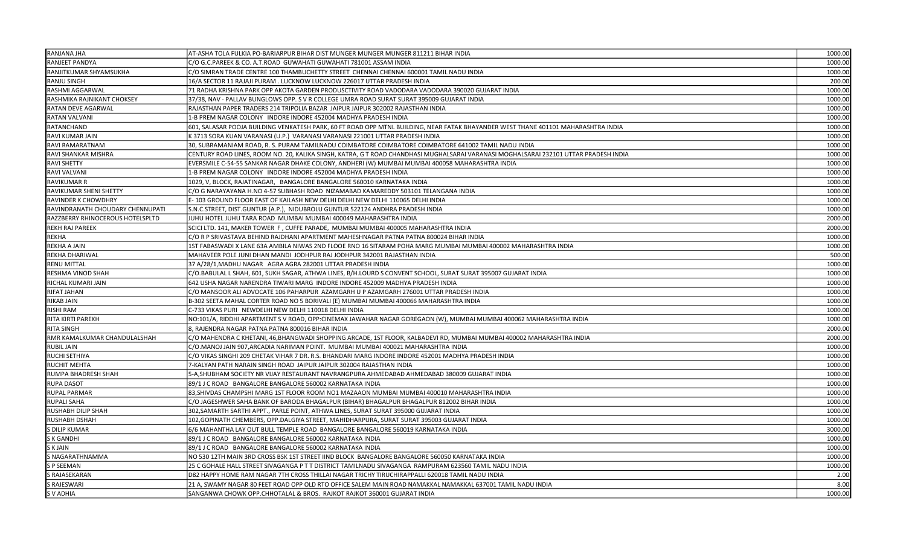| RANJANA JHA                      | AT-ASHA TOLA FULKIA PO-BARIARPUR BIHAR DIST MUNGER MUNGER MUNGER 811211 BIHAR INDIA                                                  | 1000.00 |
|----------------------------------|--------------------------------------------------------------------------------------------------------------------------------------|---------|
| RANJEET PANDYA                   | C/O G.C.PAREEK & CO. A.T.ROAD GUWAHATI GUWAHATI 781001 ASSAM INDIA                                                                   | 1000.00 |
| RANJITKUMAR SHYAMSUKHA           | C/O SIMRAN TRADE CENTRE 100 THAMBUCHETTY STREET CHENNAI CHENNAI 600001 TAMIL NADU INDIA                                              | 1000.00 |
| RANJU SINGH                      | 16/A SECTOR 11 RAJAJI PURAM . LUCKNOW LUCKNOW 226017 UTTAR PRADESH INDIA                                                             | 200.00  |
| RASHMI AGGARWAL                  | 71 RADHA KRISHNA PARK OPP AKOTA GARDEN PRODUSCTIVITY ROAD VADODARA VADODARA 390020 GUJARAT INDIA                                     | 1000.00 |
| RASHMIKA RAJNIKANT CHOKSEY       | 37/38, NAV - PALLAV BUNGLOWS OPP. S V R COLLEGE UMRA ROAD SURAT SURAT 395009 GUJARAT INDIA                                           | 1000.00 |
| RATAN DEVE AGARWAL               | RAJASTHAN PAPER TRADERS 214 TRIPOLIA BAZAR JAIPUR JAIPUR 302002 RAJASTHAN INDIA                                                      | 1000.0  |
| <b>RATAN VALVANI</b>             | 1-B PREM NAGAR COLONY INDORE INDORE 452004 MADHYA PRADESH INDIA                                                                      | 1000.00 |
| RATANCHAND                       | 601, SALASAR POOJA BUILDING VENKATESH PARK, 60 FT ROAD OPP MTNL BUILDING, NEAR FATAK BHAYANDER WEST THANE 401101 MAHARASHTRA INDIA   | 1000.00 |
| RAVI KUMAR JAIN                  | K 3713 SORA KUAN VARANASI (U.P.)  VARANASI VARANASI 221001 UTTAR PRADESH INDIA                                                       | 1000.00 |
| RAVI RAMARATNAM                  | 30, SUBRAMANIAM ROAD, R. S. PURAM TAMILNADU COIMBATORE COIMBATORE COIMBATORE 641002 TAMIL NADU INDIA                                 | 1000.00 |
| RAVI SHANKAR MISHRA              | CENTURY ROAD LINES, ROOM NO. 20, KALIKA SINGH, KATRA, G T ROAD CHANDHASI MUGHALSARAI VARANASI MOGHALSARAI 232101 UTTAR PRADESH INDIA | 1000.00 |
| <b>RAVI SHETTY</b>               | EVERSMILE C-54-55 SANKAR NAGAR DHAKE COLONY, ANDHERI (W) MUMBAI MUMBAI 400058 MAHARASHTRA INDIA                                      | 1000.00 |
| RAVI VALVANI                     | 1-B PREM NAGAR COLONY INDORE INDORE 452004 MADHYA PRADESH INDIA                                                                      | 1000.00 |
| <b>RAVIKUMAR R</b>               | 1029, V, BLOCK, RAJATINAGAR, BANGALORE BANGALORE 560010 KARNATAKA INDIA                                                              | 1000.00 |
| RAVIKUMAR SHENI SHETTY           | C/O G NARAYAYANA H.NO 4-57 SUBHASH ROAD NIZAMABAD KAMAREDDY 503101 TELANGANA INDIA                                                   | 1000.00 |
| RAVINDER K CHOWDHRY              | E-103 GROUND FLOOR EAST OF KAILASH NEW DELHI DELHI NEW DELHI 110065 DELHI INDIA                                                      | 1000.00 |
| RAVINDRANATH CHOUDARY CHENNUPATI | S.N.C.STREET, DIST.GUNTUR (A.P.),  NIDUBROLU GUNTUR 522124 ANDHRA PRADESH INDIA                                                      | 1000.00 |
| RAZZBERRY RHINOCEROUS HOTELSPLTD | JUHU HOTEL JUHU TARA ROAD MUMBAI MUMBAI 400049 MAHARASHTRA INDIA                                                                     | 2000.00 |
| <b>REKH RAJ PAREEK</b>           | SCICI LTD. 141, MAKER TOWER F , CUFFE PARADE, MUMBAI MUMBAI 400005 MAHARASHTRA INDIA                                                 | 2000.0  |
| <b>REKHA</b>                     | C/O R P SRIVASTAVA BEHIND RAJDHANI APARTMENT MAHESHNAGAR PATNA PATNA 800024 BIHAR INDIA                                              | 1000.00 |
| REKHA A JAIN                     | 1ST FABASWADI X LANE 63A AMBILA NIWAS 2ND FLOOE RNO 16 SITARAM POHA MARG MUMBAI MUMBAI 400002 MAHARASHTRA INDIA                      | 1000.00 |
| <b>REKHA DHARIWAL</b>            | MAHAVEER POLE JUNI DHAN MANDI JODHPUR RAJ JODHPUR 342001 RAJASTHAN INDIA                                                             | 500.00  |
| <b>RENU MITTAL</b>               | 37 A/28/1, MADHU NAGAR AGRA AGRA 282001 UTTAR PRADESH INDIA                                                                          | 1000.00 |
| RESHMA VINOD SHAH                | C/O.BABULAL L SHAH, 601, SUKH SAGAR, ATHWA LINES, B/H.LOURD S CONVENT SCHOOL, SURAT SURAT 395007 GUJARAT INDIA                       | 1000.00 |
| RICHAL KUMARI JAIN               | 642 USHA NAGAR NARENDRA TIWARI MARG INDORE INDORE 452009 MADHYA PRADESH INDIA                                                        | 1000.00 |
| <b>RIFAT JAHAN</b>               | C/O MANSOOR ALI ADVOCATE 106 PAHARPUR  AZAMGARH U P AZAMGARH 276001 UTTAR PRADESH INDIA                                              | 1000.0  |
| <b>RIKAB JAIN</b>                | B-302 SEETA MAHAL CORTER ROAD NO 5 BORIVALI (E) MUMBAI MUMBAI 400066 MAHARASHTRA INDIA                                               | 1000.00 |
| <b>RISHI RAM</b>                 | C-733 VIKAS PURI NEWDELHI NEW DELHI 110018 DELHI INDIA                                                                               | 1000.00 |
| RITA KIRTI PAREKH                | NO:101/A, RIDDHI APARTMENT S V ROAD, OPP:CINEMAX JAWAHAR NAGAR GOREGAON (W), MUMBAI MUMBAI 400062 MAHARASHTRA INDIA                  | 1000.00 |
| <b>RITA SINGH</b>                | 8. RAJENDRA NAGAR PATNA PATNA 800016 BIHAR INDIA                                                                                     | 2000.00 |
| RMR KAMALKUMAR CHANDULALSHAH     | C/O MAHENDRA C KHETANI, 46,BHANGWADI SHOPPING ARCADE, 1ST FLOOR, KALBADEVI RD, MUMBAI MUMBAI 400002 MAHARASHTRA INDIA                | 2000.00 |
| <b>RUBIL JAIN</b>                | C/O.MANOJ JAIN 907,ARCADIA NARIMAN POINT.  MUMBAI MUMBAI 400021 MAHARASHTRA INDIA                                                    | 1000.00 |
| RUCHI SETHIYA                    | C/O VIKAS SINGHI 209 CHETAK VIHAR 7 DR. R.S. BHANDARI MARG INDORE INDORE 452001 MADHYA PRADESH INDIA                                 | 1000.00 |
| <b>RUCHIT MEHTA</b>              | 7-KALYAN PATH NARAIN SINGH ROAD JAIPUR JAIPUR 302004 RAJASTHAN INDIA                                                                 | 1000.00 |
| RUMPA BHADRESH SHAH              | 5-A,SHUBHAM SOCIETY NR VIJAY RESTAURANT NAVRANGPURA AHMEDABAD AHMEDABAD 380009 GUJARAT INDIA                                         | 1000.00 |
| <b>RUPA DASOT</b>                | 89/1 J C ROAD BANGALORE BANGALORE 560002 KARNATAKA INDIA                                                                             | 1000.00 |
| <b>RUPAL PARMAR</b>              | 83,SHIVDAS CHAMPSHI MARG 1ST FLOOR ROOM NO1 MAZAAON MUMBAI MUMBAI 400010 MAHARASHTRA INDIA                                           | 1000.00 |
| <b>RUPALI SAHA</b>               | C/O JAGESHWER SAHA BANK OF BARODA BHAGALPUR (BIHAR) BHAGALPUR BHAGALPUR 812002 BIHAR INDIA                                           | 1000.00 |
| RUSHABH DILIP SHAH               | 302,SAMARTH SARTHI APPT., PARLE POINT, ATHWA LINES, SURAT SURAT 395000 GUJARAT INDIA                                                 | 1000.00 |
| RUSHABH DSHAH                    | 102,GOPINATH CHEMBERS, OPP.DALGIYA STREET, MAHIDHARPURA, SURAT SURAT 395003 GUJARAT INDIA                                            | 1000.00 |
| S DILIP KUMAR                    | 6/6 MAHANTHA LAY OUT BULL TEMPLE ROAD  BANGALORE BANGALORE 560019 KARNATAKA INDIA                                                    | 3000.00 |
| S K GANDHI                       | 89/1 J C ROAD BANGALORE BANGALORE 560002 KARNATAKA INDIA                                                                             | 1000.00 |
| S K JAIN                         | 89/1 J C ROAD BANGALORE BANGALORE 560002 KARNATAKA INDIA                                                                             | 1000.00 |
| S NAGARATHNAMMA                  | NO 530 12TH MAIN 3RD CROSS BSK 1ST STREET IIND BLOCK BANGALORE BANGALORE 560050 KARNATAKA INDIA                                      | 1000.0  |
| <b>SP SEEMAN</b>                 | 25 C GOHALE HALL STREET SIVAGANGA P T T DISTRICT TAMILNADU SIVAGANGA RAMPURAM 623560 TAMIL NADU INDIA                                | 1000.00 |
| S RAJASEKARAN                    | D82 HAPPY HOME RAM NAGAR 7TH CROSS THILLAI NAGAR TRICHY TIRUCHIRAPPALLI 620018 TAMIL NADU INDIA                                      | 2.00    |
| S RAJESWARI                      | 21 A, SWAMY NAGAR 80 FEET ROAD OPP OLD RTO OFFICE SALEM MAIN ROAD NAMAKKAL NAMAKKAL 637001 TAMIL NADU INDIA                          | 8.00    |
| S V ADHIA                        | SANGANWA CHOWK OPP.CHHOTALAL & BROS. RAJKOT RAJKOT 360001 GUJARAT INDIA                                                              | 1000.00 |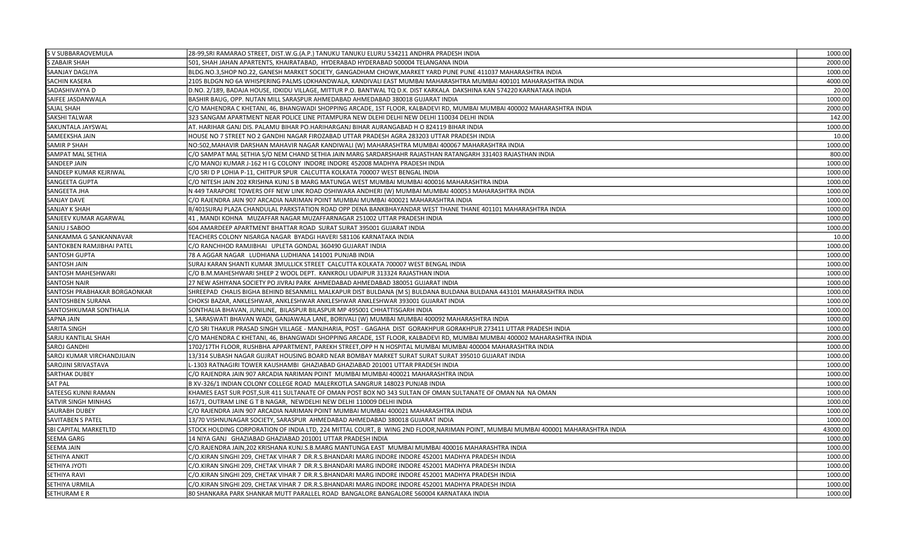| S V SUBBARAOVEMULA           | 28-99, SRI RAMARAO STREET, DIST.W.G. (A.P.) TANUKU TANUKU ELURU 534211 ANDHRA PRADESH INDIA                                      | 1000.00  |
|------------------------------|----------------------------------------------------------------------------------------------------------------------------------|----------|
| <b>S ZABAIR SHAH</b>         | 501, SHAH JAHAN APARTENTS, KHAIRATABAD, HYDERABAD HYDERABAD 500004 TELANGANA INDIA                                               | 2000.00  |
| SAANJAY DAGLIYA              | BLDG.NO.3,SHOP NO.22, GANESH MARKET SOCIETY, GANGADHAM CHOWK, MARKET YARD PUNE PUNE 411037 MAHARASHTRA INDIA                     | 1000.00  |
| <b>SACHIN KASERA</b>         | 2105 BLDGN NO 6A WHISPERING PALMS LOKHANDWALA, KANDIVALI EAST MUMBAI MAHARASHTRA MUMBAI 400101 MAHARASHTRA INDIA                 | 4000.00  |
| SADASHIVAYYA D               | D.NO. 2/189, BADAJA HOUSE, IDKIDU VILLAGE, MITTUR P.O. BANTWAL TO D.K. DIST KARKALA DAKSHINA KAN 574220 KARNATAKA INDIA          | 20.00    |
| SAIFEE JASDANWALA            | BASHIR BAUG, OPP. NUTAN MILL SARASPUR AHMEDABAD AHMEDABAD 380018 GUJARAT INDIA                                                   | 1000.00  |
| SAJAL SHAH                   | C/O MAHENDRA C KHETANI, 46, BHANGWADI SHOPPING ARCADE, 1ST FLOOR, KALBADEVI RD, MUMBAI MUMBAI 400002 MAHARASHTRA INDIA           | 2000.00  |
| <b>SAKSHI TALWAR</b>         | 323 SANGAM APARTMENT NEAR POLICE LINE PITAMPURA NEW DLEHI DELHI NEW DELHI 110034 DELHI INDIA                                     | 142.00   |
| SAKUNTALA JAYSWAL            | AT. HARIHAR GANJ DIS. PALAMU BIHAR PO.HARIHARGANJ BIHAR AURANGABAD H O 824119 BIHAR INDIA                                        | 1000.00  |
| SAMEEKSHA JAIN               | HOUSE NO 7 STREET NO 2 GANDHI NAGAR FIROZABAD UTTAR PRADESH AGRA 283203 UTTAR PRADESH INDIA                                      | 10.00    |
| SAMIR P SHAH                 | NO:502,MAHAVIR DARSHAN MAHAVIR NAGAR KANDIWALI (W) MAHARASHTRA MUMBAI 400067 MAHARASHTRA INDIA                                   | 1000.00  |
| SAMPAT MAL SETHIA            | C/O SAMPAT MAL SETHIA S/O NEM CHAND SETHIA JAIN MARG SARDARSHAHR RAJASTHAN RATANGARH 331403 RAJASTHAN INDIA                      | 800.00   |
| SANDEEP JAIN                 | C/O MANOJ KUMAR J-162 H I G COLONY INDORE INDORE 452008 MADHYA PRADESH INDIA                                                     | 1000.00  |
| SANDEEP KUMAR KEJRIWAL       | C/O SRI D P LOHIA P-11, CHITPUR SPUR CALCUTTA KOLKATA 700007 WEST BENGAL INDIA                                                   | 1000.00  |
| SANGEETA GUPTA               | C/O NITESH JAIN 202 KRISHNA KUNJ S B MARG MATUNGA WEST MUMBAI MUMBAI 400016 MAHARASHTRA INDIA                                    | 1000.00  |
| SANGEETA JHA                 | N 449 TARAPORE TOWERS OFF NEW LINK ROAD OSHIWARA ANDHERI (W) MUMBAI MUMBAI 400053 MAHARASHTRA INDIA                              | 1000.00  |
| <b>SANJAY DAVE</b>           | C/O RAJENDRA JAIN 907 ARCADIA NARIMAN POINT MUMBAI MUMBAI 400021 MAHARASHTRA INDIA                                               | 1000.00  |
| <b>SANJAY K SHAH</b>         | B/401SURAJ PLAZA CHANDULAL PARKSTATION ROAD OPP DENA BANKBHAYANDAR WEST THANE THANE 401101 MAHARASHTRA INDIA                     | 1000.00  |
| SANJEEV KUMAR AGARWAL        | 41, MANDI KOHNA MUZAFFAR NAGAR MUZAFFARNAGAR 251002 UTTAR PRADESH INDIA                                                          | 1000.00  |
| SANJU J SABOO                | 604 AMARDEEP APARTMENT BHATTAR ROAD SURAT SURAT 395001 GUJARAT INDIA                                                             | 1000.00  |
| SANKAMMA G SANKANNAVAR       | TEACHERS COLONY NISARGA NAGAR BYADGI HAVERI 581106 KARNATAKA INDIA                                                               | 10.00    |
| SANTOKBEN RAMJIBHAI PATEL    | C/O RANCHHOD RAMJIBHAI UPLETA GONDAL 360490 GUJARAT INDIA                                                                        | 1000.00  |
| <b>SANTOSH GUPTA</b>         | 78 A AGGAR NAGAR LUDHIANA LUDHIANA 141001 PUNJAB INDIA                                                                           | 1000.00  |
| SANTOSH JAIN                 | SURAJ KARAN SHANTI KUMAR 3MULLICK STREET CALCUTTA KOLKATA 700007 WEST BENGAL INDIA                                               | 1000.00  |
| <b>SANTOSH MAHESHWARI</b>    | C/O B.M.MAHESHWARI SHEEP 2 WOOL DEPT. KANKROLI UDAIPUR 313324 RAJASTHAN INDIA                                                    | 1000.00  |
| <b>SANTOSH NAIR</b>          | 27 NEW ASHIYANA SOCIETY PO JIVRAJ PARK AHMEDABAD AHMEDABAD 380051 GUJARAT INDIA                                                  | 1000.00  |
| SANTOSH PRABHAKAR BORGAONKAR | SHREEPAD CHALIS BIGHA BEHIND BESANMILL MALKAPUR DIST BULDANA (M S) BULDANA BULDANA BULDANA 443101 MAHARASHTRA INDIA              | 1000.00  |
| SANTOSHBEN SURANA            | CHOKSI BAZAR, ANKLESHWAR, ANKLESHWAR ANKLESHWAR ANKLESHWAR 393001 GUJARAT INDIA                                                  | 1000.00  |
| SANTOSHKUMAR SONTHALIA       | SONTHALIA BHAVAN, JUNILINE, BILASPUR BILASPUR MP 495001 CHHATTISGARH INDIA                                                       | 1000.00  |
| SAPNA JAIN                   | , SARASWATI BHAVAN WADI, GANJAWALA LANE, BORIVALI (W) MUMBAI MUMBAI 400092 MAHARASHTRA INDIA                                     | 1000.00  |
| <b>SARITA SINGH</b>          | C/O SRI THAKUR PRASAD SINGH VILLAGE - MANJHARIA, POST - GAGAHA  DIST  GORAKHPUR GORAKHPUR 273411 UTTAR PRADESH INDIA             | 1000.00  |
| SARJU KANTILAL SHAH          | C/O MAHENDRA C KHETANI, 46, BHANGWADI SHOPPING ARCADE, 1ST FLOOR, KALBADEVI RD, MUMBAI MUMBAI 400002 MAHARASHTRA INDIA           | 2000.00  |
| SAROJ GANDHI                 | 1702/17TH FLOOR, RUSHBHA APPARTMENT, PAREKH STREET,OPP H N HOSPITAL MUMBAI MUMBAI 400004 MAHARASHTRA INDIA                       | 1000.00  |
| SAROJ KUMAR VIRCHANDJIJAIN   | 13/314 SUBASH NAGAR GUJRAT HOUSING BOARD NEAR BOMBAY MARKET SURAT SURAT SURAT 395010 GUJARAT INDIA                               | 1000.00  |
| SAROJINI SRIVASTAVA          | L-1303 RATNAGIRI TOWER KAUSHAMBI GHAZIABAD GHAZIABAD 201001 UTTAR PRADESH INDIA                                                  | 1000.00  |
| SARTHAK DUBEY                | C/O RAJENDRA JAIN 907 ARCADIA NARIMAN POINT MUMBAI MUMBAI 400021 MAHARASHTRA INDIA                                               | 1000.00  |
| SAT PAL                      | B XV-326/1 INDIAN COLONY COLLEGE ROAD MALERKOTLA SANGRUR 148023 PUNJAB INDIA                                                     | 1000.00  |
| SATEESG KUNNI RAMAN          | KHAMES EAST SUR POST,SUR 411 SULTANATE OF OMAN POST BOX NO 343 SULTAN OF OMAN SULTANATE OF OMAN NA  NA OMAN                      | 1000.00  |
| SATVIR SINGH MINHAS          | 167/1, OUTRAM LINE G T B NAGAR, NEWDELHI NEW DELHI 110009 DELHI INDIA                                                            | 1000.00  |
| <b>SAURABH DUBEY</b>         | C/O RAJENDRA JAIN 907 ARCADIA NARIMAN POINT MUMBAI MUMBAI 400021 MAHARASHTRA INDIA                                               | 1000.00  |
| <b>SAVITABEN S PATEL</b>     | 13/70 VISHNUNAGAR SOCIETY, SARASPUR AHMEDABAD AHMEDABAD 380018 GUJARAT INDIA                                                     | 1000.00  |
| <b>SBI CAPITAL MARKETLTD</b> | STOCK HOLDING CORPORATION OF INDIA LTD, 224 MITTAL COURT, B WING 2ND FLOOR,NARIMAN POINT, MUMBAI MUMBAI 400001 MAHARASHTRA INDIA | 43000.00 |
| SEEMA GARG                   | 14 NIYA GANJ GHAZIABAD GHAZIABAD 201001 UTTAR PRADESH INDIA                                                                      | 1000.00  |
| <b>SEEMA JAIN</b>            | C/O.RAJENDRA JAIN,202 KRISHANA KUNJ.S.B.MARG MANTUNGA EAST MUMBAI MUMBAI 400016 MAHARASHTRA INDIA                                | 1000.00  |
| SETHIYA ANKIT                | C/O.KIRAN SINGHI 209, CHETAK VIHAR 7 DR.R.S.BHANDARI MARG INDORE INDORE 452001 MADHYA PRADESH INDIA                              | 1000.00  |
| SETHIYA JYOTI                | C/O.KIRAN SINGHI 209, CHETAK VIHAR 7  DR.R.S.BHANDARI MARG INDORE INDORE 452001 MADHYA PRADESH INDIA                             | 1000.00  |
| SETHIYA RAVI                 | C/O.KIRAN SINGHI 209, CHETAK VIHAR 7  DR.R.S.BHANDARI MARG INDORE INDORE 452001 MADHYA PRADESH INDIA                             | 1000.00  |
| SETHIYA URMILA               | C/O.KIRAN SINGHI 209, CHETAK VIHAR 7 DR.R.S.BHANDARI MARG INDORE INDORE 452001 MADHYA PRADESH INDIA                              | 1000.00  |
| <b>SETHURAM E R</b>          | 80 SHANKARA PARK SHANKAR MUTT PARALLEL ROAD BANGALORE BANGALORE 560004 KARNATAKA INDIA                                           | 1000.00  |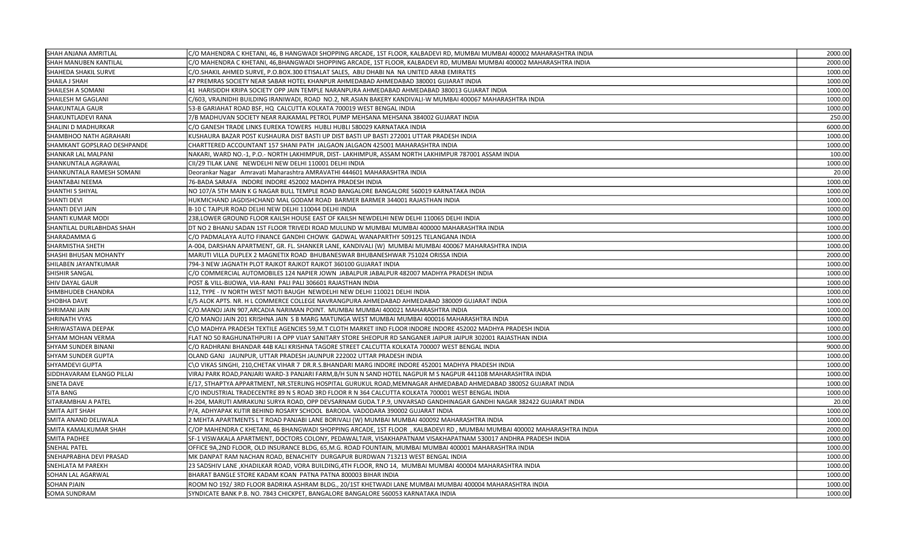| SHAH ANJANA AMRITLAL        | C/O MAHENDRA C KHETANI, 46, B HANGWADI SHOPPING ARCADE, 1ST FLOOR, KALBADEVI RD, MUMBAI MUMBAI 400002 MAHARASHTRA INDIA  | 2000.00 |
|-----------------------------|--------------------------------------------------------------------------------------------------------------------------|---------|
| SHAH MANUBEN KANTILAL       | C/O MAHENDRA C KHETANI, 46,BHANGWADI SHOPPING ARCADE, 1ST FLOOR, KALBADEVI RD, MUMBAI MUMBAI 400002 MAHARASHTRA INDIA    | 2000.00 |
| SHAHEDA SHAKIL SURVE        | C/O.SHAKIL AHMED SURVE, P.O.BOX.300 ETISALAT SALES, ABU DHABI NA NA UNITED ARAB EMIRATES                                 | 1000.00 |
| SHAILA J SHAH               | 47 PREMRAS SOCIETY NEAR SABAR HOTEL KHANPUR AHMEDABAD AHMEDABAD 380001 GUJARAT INDIA                                     | 1000.00 |
| SHAILESH A SOMANI           | 41 HARISIDDH KRIPA SOCIETY OPP JAIN TEMPLE NARANPURA AHMEDABAD AHMEDABAD 380013 GUJARAT INDIA                            | 1000.00 |
| SHAILESH M GAGLANI          | C/603, VRAJNIDHI BUILDING IRANIWADI, ROAD  NO.2, NR.ASIAN BAKERY KANDIVALI-W MUMBAI 400067 MAHARASHTRA INDIA             | 1000.00 |
| <b>SHAKUNTALA GAUR</b>      | 53-B GARIAHAT ROAD BSF, HQ CALCUTTA KOLKATA 700019 WEST BENGAL INDIA                                                     | 1000.00 |
| SHAKUNTLADEVI RANA          | 7/B MADHUVAN SOCIETY NEAR RAJKAMAL PETROL PUMP MEHSANA MEHSANA 384002 GUJARAT INDIA                                      | 250.00  |
| SHALINI D MADHURKAR         | C/O GANESH TRADE LINKS EUREKA TOWERS HUBLI HUBLI 580029 KARNATAKA INDIA                                                  | 6000.00 |
| SHAMBHOO NATH AGRAHARI      | KUSHAURA BAZAR POST KUSHAURA DIST BASTI UP DIST BASTI UP BASTI 272001 UTTAR PRADESH INDIA                                | 1000.00 |
| SHAMKANT GOPSLRAO DESHPANDE | CHARTTERED ACCOUNTANT 157 SHANI PATH JALGAON JALGAON 425001 MAHARASHTRA INDIA                                            | 1000.00 |
| SHANKAR LAL MALPANI         | NAKARI, WARD NO.-1, P.O.- NORTH LAKHIMPUR, DIST- LAKHIMPUR, ASSAM NORTH LAKHIMPUR 787001 ASSAM INDIA                     | 100.00  |
| SHANKUNTALA AGRAWAL         | CII/29 TILAK LANE NEWDELHI NEW DELHI 110001 DELHI INDIA                                                                  | 1000.00 |
| SHANKUNTALA RAMESH SOMANI   | Deorankar Nagar Amravati Maharashtra AMRAVATHI 444601 MAHARASHTRA INDIA                                                  | 20.00   |
| SHANTABAI NEEMA             | 76-BADA SARAFA INDORE INDORE 452002 MADHYA PRADESH INDIA                                                                 | 1000.00 |
| <b>SHANTHI S SHIYAL</b>     | NO 107/A 5TH MAIN K G NAGAR BULL TEMPLE ROAD BANGALORE BANGALORE 560019 KARNATAKA INDIA                                  | 1000.00 |
| SHANTI DEVI                 | HUKMICHAND JAGDISHCHAND MAL GODAM ROAD BARMER BARMER 344001 RAJASTHAN INDIA                                              | 1000.00 |
| SHANTI DEVI JAIN            | B-10 C TAJPUR ROAD DELHI NEW DELHI 110044 DELHI INDIA                                                                    | 1000.00 |
| SHANTI KUMAR MODI           | 238, LOWER GROUND FLOOR KAILSH HOUSE EAST OF KAILSH NEWDELHI NEW DELHI 110065 DELHI INDIA                                | 1000.00 |
| SHANTILAL DURLABHDAS SHAH   | DT NO 2 BHANU SADAN 1ST FLOOR TRIVEDI ROAD MULUND W MUMBAI MUMBAI 400000 MAHARASHTRA INDIA                               | 1000.00 |
| SHARADAMMA G                | C/O PADMALAYA AUTO FINANCE GANDHI CHOWK  GADWAL WANAPARTHY 509125 TELANGANA INDIA                                        | 1000.00 |
| SHARMISTHA SHETH            | A-004, DARSHAN APARTMENT, GR. FL. SHANKER LANE, KANDIVALI (W)  MUMBAI MUMBAI 400067 MAHARASHTRA INDIA                    | 1000.00 |
| SHASHI BHUSAN MOHANTY       | MARUTI VILLA DUPLEX 2 MAGNETIX ROAD BHUBANESWAR BHUBANESHWAR 751024 ORISSA INDIA                                         | 2000.00 |
| SHILABEN JAYANTKUMAR        | 794-3 NEW JAGNATH PLOT RAJKOT RAJKOT RAJKOT 360100 GUJARAT INDIA                                                         | 1000.00 |
| SHISHIR SANGAL              | C/O COMMERCIAL AUTOMOBILES 124 NAPIER JOWN JABALPUR JABALPUR 482007 MADHYA PRADESH INDIA                                 | 1000.00 |
| <b>SHIV DAYAL GAUR</b>      | POST & VILL-BIJOWA, VIA-RANI PALI PALI 306601 RAJASTHAN INDIA                                                            | 1000.00 |
| SHMBHUDEB CHANDRA           | 112, TYPE - IV NORTH WEST MOTI BAUGH NEWDELHI NEW DELHI 110021 DELHI INDIA                                               | 1000.00 |
| SHOBHA DAVE                 | E/5 ALOK APTS. NR. H L COMMERCE COLLEGE NAVRANGPURA AHMEDABAD AHMEDABAD 380009 GUJARAT INDIA                             | 1000.00 |
| <b>SHRIMANI JAIN</b>        | C/O.MANOJ JAIN 907,ARCADIA NARIMAN POINT. MUMBAI MUMBAI 400021 MAHARASHTRA INDIA                                         | 1000.00 |
| SHRINATH VYAS               | C/O MANOJ JAIN 201 KRISHNA JAIN  S B MARG MATUNGA WEST MUMBAI MUMBAI 400016 MAHARASHTRA INDIA                            | 1000.00 |
| SHRIWASTAWA DEEPAK          | C\O MADHYA PRADESH TEXTILE AGENCIES 59,M.T CLOTH MARKET IIND FLOOR INDORE INDORE 452002 MADHYA PRADESH INDIA             | 1000.00 |
| SHYAM MOHAN VERMA           | FLAT NO 50 RAGHUNATHPURI I A OPP VIJAY SANITARY STORE SHEOPUR RD SANGANER JAIPUR JAIPUR 302001 RAJASTHAN INDIA           | 1000.00 |
| SHYAM SUNDER BINANI         | C/O RADHRANI BHANDAR 44B KALI KRISHNA TAGORE STREET CALCUTTA KOLKATA 700007 WEST BENGAL INDIA                            | 9000.00 |
| SHYAM SUNDER GUPTA          | OLAND GANJ JAUNPUR, UTTAR PRADESH JAUNPUR 222002 UTTAR PRADESH INDIA                                                     | 1000.00 |
| SHYAMDEVI GUPTA             | C\O VIKAS SINGHI, 210,CHETAK VIHAR 7  DR.R.S.BHANDARI MARG INDORE INDORE 452001 MADHYA PRADESH INDIA                     | 1000.00 |
| SIDDHAVARAM ELANGO PILLAI   | VIRAJ PARK ROAD,PANJARI WARD-3 PANJARI FARM,B/H SUN N SAND HOTEL NAGPUR M S NAGPUR 441108 MAHARASHTRA INDIA              | 1000.00 |
| SINETA DAVE                 | E/17, STHAPTYA APPARTMENT, NR.STERLING HOSPITAL GURUKUL ROAD,MEMNAGAR AHMEDABAD AHMEDABAD 380052 GUJARAT INDIA           | 1000.00 |
| SITA BANG                   | C/O INDUSTRIAL TRADECENTRE 89 N S ROAD 3RD FLOOR R N 364 CALCUTTA KOLKATA 700001 WEST BENGAL INDIA                       | 1000.00 |
| SITARAMBHAI A PATEL         | H-204, MARUTI AMRAKUNJ SURYA ROAD, OPP DEVSARNAM GUDA.T.P.9, UNVARSAD GANDHINAGAR GANDHI NAGAR 382422 GUJARAT INDIA      | 20.00   |
| SMITA AJIT SHAH             | P/4, ADHYAPAK KUTIR BEHIND ROSARY SCHOOL BARODA. VADODARA 390002 GUJARAT INDIA                                           | 1000.00 |
| SMITA ANAND DELIWALA        | 2 MEHTA APARTMENTS L T ROAD PANJABI LANE BORIVALI (W) MUMBAI MUMBAI 400092 MAHARASHTRA INDIA                             | 1000.00 |
| SMITA KAMALKUMAR SHAH       | C/OP MAHENDRA C KHETANI, 46 BHANGWADI SHOPPING ARCADE, 1ST FLOOR), KALBADEVI RD , MUMBAI MUMBAI 400002 MAHARASHTRA INDIA | 2000.00 |
| SMITA PADHEE                | SF-1 VISWAKALA APARTMENT, DOCTORS COLONY, PEDAWALTAIR, VISAKHAPATNAM VISAKHAPATNAM 530017 ANDHRA PRADESH INDIA           | 1000.00 |
| <b>SNEHAL PATEL</b>         | OFFICE 9A,2ND FLOOR, OLD INSURANCE BLDG, 65,M.G. ROAD FOUNTAIN, MUMBAI MUMBAI 400001 MAHARASHTRA INDIA                   | 1000.00 |
| SNEHAPRABHA DEVI PRASAD     | MK DANPAT RAM NACHAN ROAD, BENACHITY DURGAPUR BURDWAN 713213 WEST BENGAL INDIA                                           | 1000.00 |
| SNEHLATA M PAREKH           | 23 SADSHIV LANE ,KHADILKAR ROAD, VORA BUILDING,4TH FLOOR, RNO 14, MUMBAI MUMBAI 400004 MAHARASHTRA INDIA                 | 1000.00 |
| SOHAN LAL AGARWAI           | BHARAT BANGLE STORE KADAM KOAN PATNA PATNA 800003 BIHAR INDIA                                                            | 1000.00 |
| SOHAN PJAIN                 | ROOM NO 192/ 3RD FLOOR BADRIKA ASHRAM BLDG., 20/1ST KHETWADI LANE MUMBAI MUMBAI 400004 MAHARASHTRA INDIA                 | 1000.00 |
| <b>SOMA SUNDRAM</b>         | SYNDICATE BANK P.B. NO. 7843 CHICKPET. BANGALORE BANGALORE 560053 KARNATAKA INDIA                                        | 1000.00 |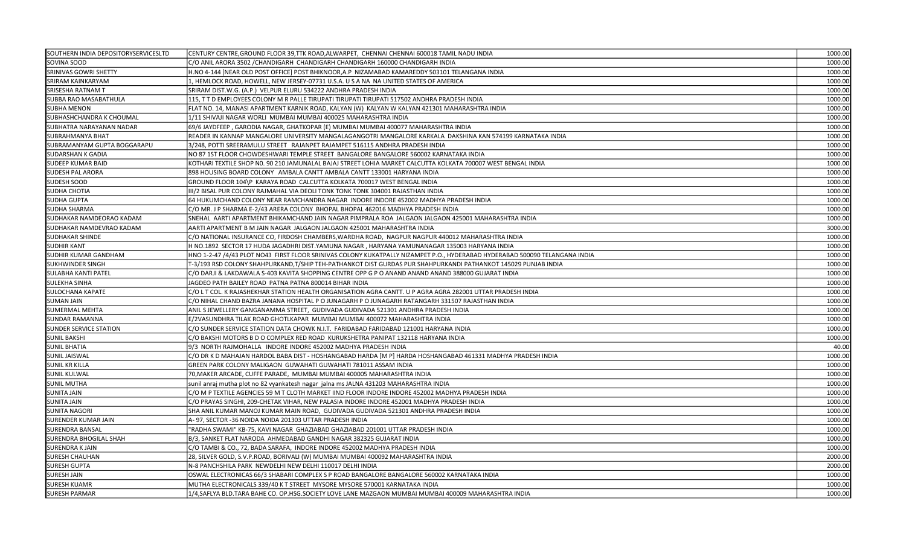| SOUTHERN INDIA DEPOSITORYSERVICESLTD | CENTURY CENTRE, GROUND FLOOR 39, TTK ROAD, ALWARPET, CHENNAI CHENNAI 600018 TAMIL NADU INDIA                                | 1000.00 |
|--------------------------------------|-----------------------------------------------------------------------------------------------------------------------------|---------|
| SOVINA SOOD                          | C/O ANIL ARORA 3502 /CHANDIGARH  CHANDIGARH CHANDIGARH 160000 CHANDIGARH INDIA                                              | 1000.00 |
| SRINIVAS GOWRI SHETTY                | H.NO 4-144 [NEAR OLD POST OFFICE] POST BHIKNOOR,A.P  NIZAMABAD KAMAREDDY 503101 TELANGANA INDIA                             | 1000.00 |
| <b>SRIRAM KAINKARYAM</b>             | 1, HEMLOCK ROAD, HOWELL, NEW JERSEY-07731 U.S.A. U S A NA  NA UNITED STATES OF AMERICA                                      | 1000.00 |
| SRISESHA RATNAM T                    | SRIRAM DIST.W.G. (A.P.) VELPUR ELURU 534222 ANDHRA PRADESH INDIA                                                            | 1000.00 |
| SUBBA RAO MASABATHULA                | 115, T T D EMPLOYEES COLONY M R PALLE TIRUPATI TIRUPATI TIRUPATI 517502 ANDHRA PRADESH INDIA                                | 1000.00 |
| SUBHA MENON                          | FLAT NO. 14, MANASI APARTMENT KARNIK ROAD, KALYAN (W) KALYAN W KALYAN 421301 MAHARASHTRA INDIA                              | 1000.00 |
| SUBHASHCHANDRA K CHOUMAL             | 1/11 SHIVAJI NAGAR WORLI MUMBAI MUMBAI 400025 MAHARASHTRA INDIA                                                             | 1000.00 |
| UBHATRA NARAYANAN NADAR              | 69/6 JAYDFEEP , GARODIA NAGAR, GHATKOPAR (E) MUMBAI MUMBAI 400077 MAHARASHTRA INDIA                                         | 1000.00 |
| SUBRAHMANYA BHAT                     | READER IN KANNAP MANGALORE UNIVERSITY MANGALAGANGOTRI MANGALORE KARKALA  DAKSHINA KAN 574199 KARNATAKA INDIA                | 1000.00 |
| SUBRAMANYAM GUPTA BOGGARAPU          | 3/248, POTTI SREERAMULU STREET   RAJANPET RAJAMPET 516115 ANDHRA PRADESH INDIA                                              | 1000.00 |
| SUDARSHAN K GADIA                    | NO 87 1ST FLOOR CHOWDESHWARI TEMPLE STREET BANGALORE BANGALORE 560002 KARNATAKA INDIA                                       | 1000.00 |
| SUDEEP KUMAR BAID                    | KOTHARI TEXTILE SHOP NO. 90 210 JAMUNALAL BAJAJ STREET LOHIA MARKET CALCUTTA KOLKATA 700007 WEST BENGAL INDIA               | 1000.00 |
| SUDESH PAL ARORA                     | 898 HOUSING BOARD COLONY AMBALA CANTT AMBALA CANTT 133001 HARYANA INDIA                                                     | 1000.00 |
| SUDESH SOOD                          | GROUND FLOOR 104\P KARAYA ROAD CALCUTTA KOLKATA 700017 WEST BENGAL INDIA                                                    | 1000.00 |
| SUDHA CHOTIA                         | III/2 BISAL PUR COLONY RAJMAHAL VIA DEOLI TONK TONK TONK 304001 RAJASTHAN INDIA                                             | 1000.00 |
| SUDHA GUPTA                          | 64 HUKUMCHAND COLONY NEAR RAMCHANDRA NAGAR INDORE INDORE 452002 MADHYA PRADESH INDIA                                        | 1000.00 |
| SUDHA SHARMA                         | C/O MR. J P SHARMA E-2/43 ARERA COLONY BHOPAL BHOPAL 462016 MADHYA PRADESH INDIA                                            | 1000.00 |
| SUDHAKAR NAMDEORAO KADAM             | SNEHAL AARTI APARTMENT BHIKAMCHAND JAIN NAGAR PIMPRALA ROA JALGAON JALGAON 425001 MAHARASHTRA INDIA                         | 1000.00 |
| SUDHAKAR NAMDEVRAO KADAM             | AARTI APARTMENT B M JAIN NAGAR  JALGAON JALGAON 425001 MAHARASHTRA INDIA                                                    | 3000.00 |
| SUDHAKAR SHINDE                      | C/O NATIONAL INSURANCE CO, FIRDOSH CHAMBERS,WARDHA ROAD,  NAGPUR NAGPUR 440012 MAHARASHTRA INDIA                            | 1000.00 |
| SUDHIR KANT                          | H NO.1892 SECTOR 17 HUDA JAGADHRI DIST.YAMUNA NAGAR, HARYANA YAMUNANAGAR 135003 HARYANA INDIA                               | 1000.00 |
| SUDHIR KUMAR GANDHAM                 | HNO 1-2-47 /4/43 PLOT NO43 FIRST FLOOR SRINIVAS COLONY KUKATPALLY NIZAMPET P.O., HYDERABAD HYDERABAD 500090 TELANGANA INDIA | 1000.00 |
| SUKHWINDER SINGH                     | T-3/193 RSD COLONY SHAHPURKAND,T/SHIP TEH-PATHANKOT DIST GURDAS PUR SHAHPURKANDI PATHANKOT 145029 PUNJAB INDIA              | 1000.00 |
| <b>SULABHA KANTI PATEL</b>           | C/O DARJI & LAKDAWALA S-403 KAVITA SHOPPING CENTRE OPP G P O ANAND ANAND ANAND 388000 GUJARAT INDIA                         | 1000.00 |
| SULEKHA SINHA                        | JAGDEO PATH BAILEY ROAD PATNA PATNA 800014 BIHAR INDIA                                                                      | 1000.00 |
| <b>SULOCHANA KAPATE</b>              | C/O L T COL. K RAJASHEKHAR STATION HEALTH ORGANISATION AGRA CANTT. U P AGRA AGRA 282001 UTTAR PRADESH INDIA                 | 1000.00 |
| <b>SUMAN JAIN</b>                    | C/O NIHAL CHAND BAZRA JANANA HOSPITAL P O JUNAGARH P O JUNAGARH RATANGARH 331507 RAJASTHAN INDIA                            | 1000.00 |
| <b>SUMERMAL MEHTA</b>                | ANIL S JEWELLERY GANGANAMMA STREET, GUDIVADA GUDIVADA 521301 ANDHRA PRADESH INDIA                                           | 1000.00 |
| SUNDAR RAMANNA                       | E/2VASUNDHRA TILAK ROAD GHOTLKAPAR  MUMBAI MUMBAI 400072 MAHARASHTRA INDIA                                                  | 1000.00 |
| <b>SUNDER SERVICE STATION</b>        | C/O SUNDER SERVICE STATION DATA CHOWK N.I.T.  FARIDABAD FARIDABAD 121001 HARYANA INDIA                                      | 1000.00 |
| SUNIL BAKSHI                         | C/O BAKSHI MOTORS B D O COMPLEX RED ROAD  KURUKSHETRA PANIPAT 132118 HARYANA INDIA                                          | 1000.00 |
| <b>SUNIL BHATIA</b>                  | 9/3 NORTH RAJMOHALLA INDORE INDORE 452002 MADHYA PRADESH INDIA                                                              | 40.00   |
| SUNIL JAISWAL                        | C/O DR K D MAHAJAN HARDOL BABA DIST - HOSHANGABAD HARDA [M P] HARDA HOSHANGABAD 461331 MADHYA PRADESH INDIA                 | 1000.00 |
| SUNIL KR KILLA                       | GREEN PARK COLONY MALIGAON GUWAHATI GUWAHATI 781011 ASSAM INDIA                                                             | 1000.00 |
| SUNIL KULWAL                         | 70, MAKER ARCADE, CUFFE PARADE, MUMBAI MUMBAI 400005 MAHARASHTRA INDIA                                                      | 1000.00 |
| <b>SUNIL MUTHA</b>                   | sunil anraj mutha plot no 82 vyankatesh nagar jalna ms JALNA 431203 MAHARASHTRA INDIA                                       | 1000.00 |
| SUNITA JAIN                          | C/O M P TEXTILE AGENCIES 59 M T CLOTH MARKET IIND FLOOR INDORE INDORE 452002 MADHYA PRADESH INDIA                           | 1000.00 |
| SUNITA JAIN                          | C/O PRAYAS SINGHI, 209-CHETAK VIHAR, NEW PALASIA INDORE INDORE 452001 MADHYA PRADESH INDIA                                  | 1000.00 |
| SUNITA NAGORI                        | SHA ANIL KUMAR MANOJ KUMAR MAIN ROAD, GUDIVADA GUDIVADA 521301 ANDHRA PRADESH INDIA                                         | 1000.00 |
| SURENDER KUMAR JAIN                  | A-97, SECTOR -36 NOIDA NOIDA 201303 UTTAR PRADESH INDIA                                                                     | 1000.00 |
| SURENDRA BANSAL                      | 'RADHA SWAMI" KB-75, KAVI NAGAR GHAZIABAD GHAZIABAD 201001 UTTAR PRADESH INDIA                                              | 1000.00 |
| SURENDRA BHOGILAL SHAH               | B/3, SANKET FLAT NARODA AHMEDABAD GANDHI NAGAR 382325 GUJARAT INDIA                                                         | 1000.00 |
| <b>SURENDRA K JAIN</b>               | C/O TAMBI & CO., 72, BADA SARAFA, INDORE INDORE 452002 MADHYA PRADESH INDIA                                                 | 1000.00 |
| SURESH CHAUHAN                       | 28, SILVER GOLD, S.V.P.ROAD, BORIVALI (W) MUMBAI MUMBAI 400092 MAHARASHTRA INDIA                                            | 2000.00 |
| <b>SURESH GUPTA</b>                  | N-8 PANCHSHILA PARK NEWDELHI NEW DELHI 110017 DELHI INDIA                                                                   | 2000.00 |
| SURESH JAIN                          | OSWAL ELECTRONICAS 66/3 SHABARI COMPLEX S P ROAD BANGALORE BANGALORE 560002 KARNATAKA INDIA                                 | 1000.00 |
| <b>SURESH KUAMR</b>                  | MUTHA ELECTRONICALS 339/40 K T STREET MYSORE MYSORE 570001 KARNATAKA INDIA                                                  | 1000.00 |
| <b>SURESH PARMAR</b>                 | 1/4,SAFLYA BLD.TARA BAHE CO. OP.HSG.SOCIETY LOVE LANE MAZGAON MUMBAI MUMBAI 400009 MAHARASHTRA INDIA                        | 1000.00 |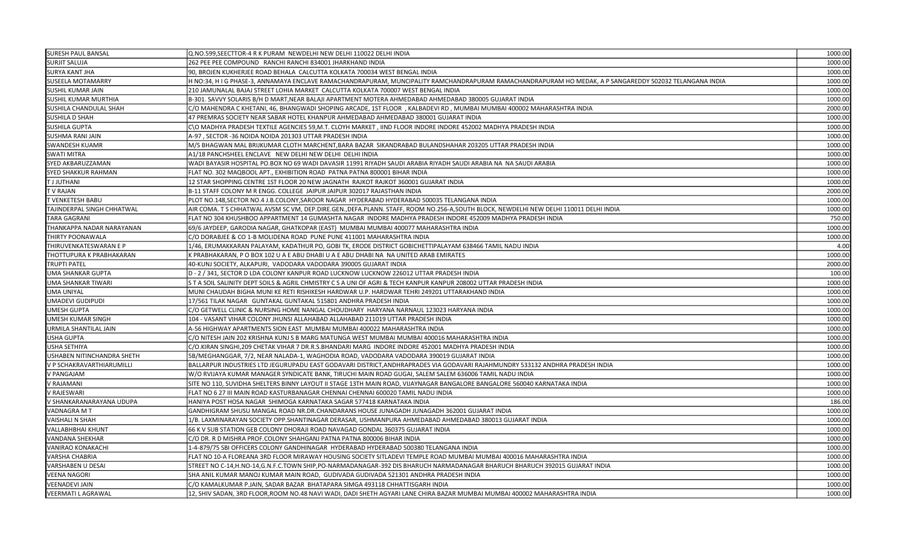| <b>SURESH PAUL BANSAL</b>   | Q.NO.599,SEECTTOR-4 R K PURAM NEWDELHI NEW DELHI 110022 DELHI INDIA                                                                                     | 1000.00 |
|-----------------------------|---------------------------------------------------------------------------------------------------------------------------------------------------------|---------|
| <b>SURJIT SALUJA</b>        | 262 PEE PEE COMPOUND RANCHI RANCHI 834001 JHARKHAND INDIA                                                                                               | 1000.00 |
| SURYA KANT JHA              | 90, BROJEN KUKHERJEE ROAD BEHALA CALCUTTA KOLKATA 700034 WEST BENGAL INDIA                                                                              | 1000.00 |
| <b>SUSEELA MOTAMARRY</b>    | H NO:34, H I G PHASE-3, ANNAMAYA ENCLAVE RAMACHANDRAPURAM, MUNCIPALITY RAMCHANDRAPURAM RAMACHANDRAPURAM HO MEDAK, A P SANGAREDDY 502032 TELANGANA INDIA | 1000.00 |
| SUSHIL KUMAR JAIN           | 210 JAMUNALAL BAJAJ STREET LOHIA MARKET CALCUTTA KOLKATA 700007 WEST BENGAL INDIA                                                                       | 1000.00 |
| <b>SUSHIL KUMAR MURTHIA</b> | B-301. SAVVY SOLARIS B/H D MART, NEAR BALAJI APARTMENT MOTERA AHMEDABAD AHMEDABAD 380005 GUJARAT INDIA                                                  | 1000.00 |
| SUSHILA CHANDULAL SHAH      | C/O MAHENDRA C KHETANI, 46, BHANGWADI SHOPING ARCADE, 1ST FLOOR , KALBADEVI RD, MUMBAI MUMBAI 400002 MAHARASHTRA INDIA                                  | 2000.00 |
| <b>SUSHILA D SHAH</b>       | 47 PREMRAS SOCIETY NEAR SABAR HOTEL KHANPUR AHMEDABAD AHMEDABAD 380001 GUJARAT INDIA                                                                    | 1000.00 |
| SUSHILA GUPTA               | C\O MADHYA PRADESH TEXTILE AGENCIES 59,M.T. CLOYH MARKET, IIND FLOOR INDORE INDORE 452002 MADHYA PRADESH INDIA                                          | 1000.00 |
| <b>SUSHMA RANI JAIN</b>     | A-97, SECTOR -36 NOIDA NOIDA 201303 UTTAR PRADESH INDIA                                                                                                 | 1000.00 |
| SWANDESH KUAMR              | M/S BHAGWAN MAL BRIJKUMAR CLOTH MARCHENT, BARA BAZAR SIKANDRABAD BULANDSHAHAR 203205 UTTAR PRADESH INDIA                                                | 1000.00 |
| <b>SWATI MITRA</b>          | A1/18 PANCHSHEEL ENCLAVE NEW DELHI NEW DELHI DELHI INDIA                                                                                                | 1000.00 |
| SYED AKBARUZZAMAN           | WADI BAYASIR HOSPITAL PO.BOX NO 69 WADI DAVASIR 11991 RIYADH SAUDI ARABIA RIYADH SAUDI ARABIA NA NA SAUDI ARABIA                                        | 1000.00 |
| <b>SYED SHAKKUR RAHMAN</b>  | FLAT NO. 302 MAQBOOL APT., EXHIBITION ROAD PATNA PATNA 800001 BIHAR INDIA                                                                               | 1000.00 |
| <b>TJJUTHANI</b>            | 12 STAR SHOPPING CENTRE 1ST FLOOR 20 NEW JAGNATH RAJKOT RAJKOT 360001 GUJARAT INDIA                                                                     | 1000.00 |
| T V RAJAN                   | B-11 STAFF COLONY M R ENGG. COLLEGE JAIPUR JAIPUR 302017 RAJASTHAN INDIA                                                                                | 2000.00 |
| T VENKETESH BABU            | PLOT NO.148, SECTOR NO.4 J.B.COLONY, SAROOR NAGAR HYDERABAD HYDERABAD 500035 TELANGANA INDIA                                                            | 1000.00 |
| TAJINDERPAL SINGH CHHATWAL  | AIR COMA. T S CHHATWAL AVSM SC VM, DEP.DIRE.GEN.,DEFA.PLANN. STAFF, ROOM NO.256-A,SOUTH BLOCK, NEWDELHI NEW DELHI 110011 DELHI INDIA                    | 1000.00 |
| <b>TARA GAGRANI</b>         | FLAT NO 304 KHUSHBOO APPARTMENT 14 GUMASHTA NAGAR INDORE MADHYA PRADESH INDORE 452009 MADHYA PRADESH INDIA                                              | 750.00  |
| THANKAPPA NADAR NARAYANAN   | 69/6 JAYDEEP, GARODIA NAGAR, GHATKOPAR (EAST) MUMBAI MUMBAI 400077 MAHARASHTRA INDIA                                                                    | 1000.00 |
| THIRTY POONAWALA            | C/O DORABJEE & CO 1-B MOLIDENA ROAD PUNE PUNE 411001 MAHARASHTRA INDIA                                                                                  | 1000.00 |
| THIRUVENKATESWARAN E P      | 1/46, ERUMAKKARAN PALAYAM, KADATHUR PO, GOBI TK, ERODE DISTRICT GOBICHETTIPALAYAM 638466 TAMIL NADU INDIA                                               | 4.00    |
| THOTTUPURA K PRABHAKARAN    | K PRABHAKARAN, P O BOX 102 U A E ABU DHABI U A E ABU DHABI NA NA UNITED ARAB EMIRATES                                                                   | 1000.00 |
| <b>TRUPTI PATEL</b>         | 40-KUNJ SOCIETY, ALKAPURI, VADODARA VADODARA 390005 GUJARAT INDIA                                                                                       | 2000.00 |
| <b>UMA SHANKAR GUPTA</b>    | D - 2 / 341, SECTOR D LDA COLONY KANPUR ROAD LUCKNOW LUCKNOW 226012 UTTAR PRADESH INDIA                                                                 | 100.00  |
| UMA SHANKAR TIWARI          | S T A SOIL SALINITY DEPT SOILS & AGRIL CHMISTRY C S A UNI OF AGRI & TECH KANPUR KANPUR 208002 UTTAR PRADESH INDIA                                       | 1000.00 |
| <b>UMA UNIYAL</b>           | MUNI CHAUDAH BIGHA MUNI KE RETI RISHIKESH HARDWAR U.P. HARDWAR TEHRI 249201 UTTARAKHAND INDIA                                                           | 1000.00 |
| UMADEVI GUDIPUDI            | 17/561 TILAK NAGAR GUNTAKAL GUNTAKAL 515801 ANDHRA PRADESH INDIA                                                                                        | 1000.00 |
| UMESH GUPTA                 | C/O GETWELL CLINIC & NURSING HOME NANGAL CHOUDHARY HARYANA NARNAUL 123023 HARYANA INDIA                                                                 | 1000.00 |
| UMESH KUMAR SINGH           | 104 - VASANT VIHAR COLONY JHUNSI ALLAHABAD ALLAHABAD 211019 UTTAR PRADESH INDIA                                                                         | 1000.00 |
| URMILA SHANTILAL JAIN       | A-56 HIGHWAY APARTMENTS SION EAST MUMBAI MUMBAI 400022 MAHARASHTRA INDIA                                                                                | 1000.00 |
| <b>USHA GUPTA</b>           | C/O NITESH JAIN 202 KRISHNA KUNJ S B MARG MATUNGA WEST MUMBAI MUMBAI 400016 MAHARASHTRA INDIA                                                           | 1000.00 |
| <b>USHA SETHIYA</b>         | C/O.KIRAN SINGHI,209 CHETAK VIHAR 7 DR.R.S.BHANDARI MARG INDORE INDORE 452001 MADHYA PRADESH INDIA                                                      | 1000.00 |
| USHABEN NITINCHANDRA SHETH  | 5B/MEGHANGGAR, 7/2, NEAR NALADA-1, WAGHODIA ROAD, VADODARA VADODARA 390019 GUJARAT INDIA                                                                | 1000.00 |
| V P SCHAKRAVARTHIARUMILLI   | BALLARPUR INDUSTRIES LTD JEGURUPADU EAST GODAVARI DISTRICT, ANDHRAPRADES VIA GODAVARI RAJAHMUNDRY 533132 ANDHRA PRADESH INDIA                           | 1000.00 |
| V PANGAJAM                  | W/O RVIJAYA KUMAR MANAGER SYNDICATE BANK, TIRUCHI MAIN ROAD GUGAI, SALEM SALEM 636006 TAMIL NADU INDIA                                                  | 1000.00 |
| <b>V RAJAMANI</b>           | SITE NO 110, SUVIDHA SHELTERS BINNY LAYOUT II STAGE 13TH MAIN ROAD, VIJAYNAGAR BANGALORE BANGALORE 560040 KARNATAKA INDIA                               | 1000.00 |
| V RAJESWARI                 | FLAT NO 6 27 III MAIN ROAD KASTURBANAGAR CHENNAI CHENNAI 600020 TAMIL NADU INDIA                                                                        | 1000.00 |
| V SHANKARANARAYANA UDUPA    | HANIYA POST HOSA NAGAR SHIMOGA KARNATAKA SAGAR 577418 KARNATAKA INDIA                                                                                   | 186.00  |
| VADNAGRA MT                 | GANDHIGRAM SHUSU MANGAL ROAD NR.DR.CHANDARANS HOUSE JUNAGADH JUNAGADH 362001 GUJARAT INDIA                                                              | 1000.00 |
| <b>VAISHALI N SHAH</b>      | 1/B. LAXMINARAYAN SOCIETY OPP.SHANTINAGAR DERASAR, USHMANPURA AHMEDABAD AHMEDABAD 380013 GUJARAT INDIA                                                  | 1000.00 |
| <b>VALLABHBHAI KHUNT</b>    | 66 K V SUB STATION GEB COLONY DHORAJI ROAD NAVAGAD GONDAL 360375 GUJARAT INDIA                                                                          | 1000.00 |
| <b>VANDANA SHEKHAR</b>      | C/O DR. R D MISHRA PROF.COLONY SHAHGANJ PATNA PATNA 800006 BIHAR INDIA                                                                                  | 1000.00 |
| <b>VANIRAO KONAKACHI</b>    | 1-4-879/75 SBI OFFICERS COLONY GANDHINAGAR HYDERABAD HYDERABAD 500380 TELANGANA INDIA                                                                   | 1000.00 |
| VARSHA CHABRIA              | FLAT NO 10-A FLOREANA 3RD FLOOR MIRAWAY HOUSING SOCIETY SITLADEVI TEMPLE ROAD MUMBAI MUMBAI 400016 MAHARASHTRA INDIA                                    | 1000.00 |
| <b>VARSHABEN U DESAI</b>    | STREET NO C-14,H.NO-14,G.N.F.C.TOWN SHIP,PO-NARMADANAGAR-392 DIS BHARUCH NARMADANAGAR BHARUCH BHARUCH 392015 GUJARAT INDIA                              | 1000.00 |
| VEENA NAGORI                | SHA ANIL KUMAR MANOJ KUMAR MAIN ROAD, GUDIVADA GUDIVADA 521301 ANDHRA PRADESH INDIA                                                                     | 1000.00 |
| <b>VEENADEVI JAIN</b>       | C/O KAMALKUMAR P.JAIN, SADAR BAZAR BHATAPARA SIMGA 493118 CHHATTISGARH INDIA                                                                            | 1000.00 |
| <b>VEERMATI L AGRAWAL</b>   | 12, SHIV SADAN, 3RD FLOOR,ROOM NO.48 NAVI WADI, DADI SHETH AGYARI LANE CHIRA BAZAR MUMBAI MUMBAI 400002 MAHARASHTRA INDIA                               | 1000.00 |